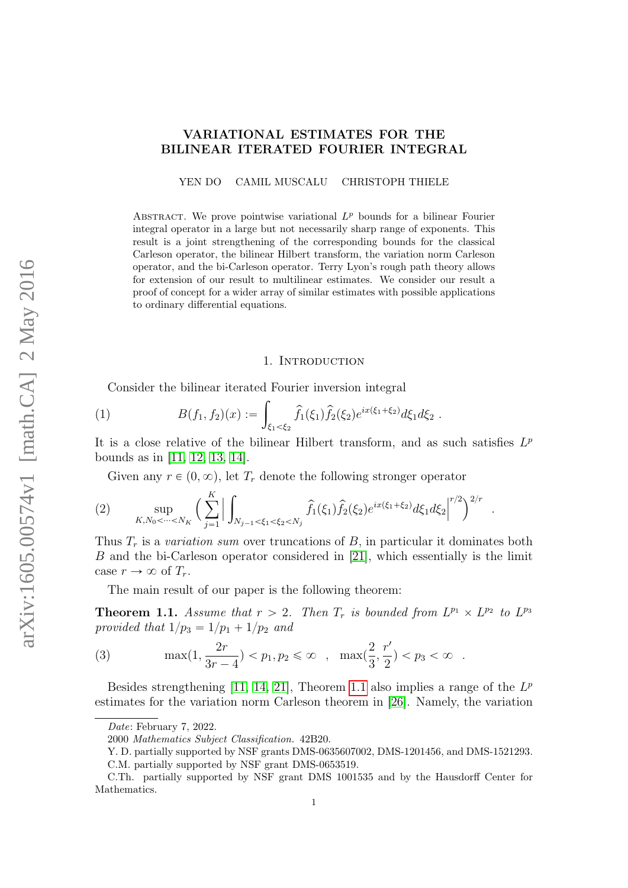## VARIATIONAL ESTIMATES FOR THE BILINEAR ITERATED FOURIER INTEGRAL

YEN DO CAMIL MUSCALU CHRISTOPH THIELE

ABSTRACT. We prove pointwise variational  $L^p$  bounds for a bilinear Fourier integral operator in a large but not necessarily sharp range of exponents. This result is a joint strengthening of the corresponding bounds for the classical Carleson operator, the bilinear Hilbert transform, the variation norm Carleson operator, and the bi-Carleson operator. Terry Lyon's rough path theory allows for extension of our result to multilinear estimates. We consider our result a proof of concept for a wider array of similar estimates with possible applications to ordinary differential equations.

#### 1. INTRODUCTION

<span id="page-0-2"></span>Consider the bilinear iterated Fourier inversion integral ż

(1) 
$$
B(f_1, f_2)(x) := \int_{\xi_1 < \xi_2} \hat{f}_1(\xi_1) \hat{f}_2(\xi_2) e^{ix(\xi_1 + \xi_2)} d\xi_1 d\xi_2.
$$

It is a close relative of the bilinear Hilbert transform, and as such satisfies  $L^p$ bounds as in [\[11,](#page-46-0) [12,](#page-46-1) [13,](#page-47-0) [14\]](#page-47-1).

<span id="page-0-1"></span>Given any  $r \in (0, \infty)$ , let  $T_r$  denote the following stronger operator

(2) 
$$
\sup_{K, N_0 < \dots < N_K} \left( \sum_{j=1}^K \Big| \int_{N_{j-1} < \xi_1 < \xi_2 < N_j} \hat{f}_1(\xi_1) \hat{f}_2(\xi_2) e^{ix(\xi_1 + \xi_2)} d\xi_1 d\xi_2 \Big|^{r/2} \right)^{2/r}
$$

Thus  $T_r$  is a variation sum over truncations of B, in particular it dominates both B and the bi-Carleson operator considered in [\[21\]](#page-47-2), which essentially is the limit case  $r \to \infty$  of  $T_r$ .

.

The main result of our paper is the following theorem:

<span id="page-0-0"></span>**Theorem 1.1.** Assume that  $r > 2$ . Then  $T_r$  is bounded from  $L^{p_1} \times L^{p_2}$  to  $L^{p_3}$ provided that  $1/p_3 = 1/p_1 + 1/p_2$  and

<span id="page-0-3"></span>(3) 
$$
\max(1, \frac{2r}{3r-4}) < p_1, p_2 \leq \infty, \quad \max(\frac{2}{3}, \frac{r'}{2}) < p_3 < \infty.
$$

Besides strengthening [\[11,](#page-46-0) [14,](#page-47-1) [21\]](#page-47-2), Theorem [1.1](#page-0-0) also implies a range of the  $L^p$ estimates for the variation norm Carleson theorem in [\[26\]](#page-47-3). Namely, the variation

Date: February 7, 2022.

<sup>2000</sup> Mathematics Subject Classification. 42B20.

Y. D. partially supported by NSF grants DMS-0635607002, DMS-1201456, and DMS-1521293.

C.M. partially supported by NSF grant DMS-0653519.

C.Th. partially supported by NSF grant DMS 1001535 and by the Hausdorff Center for Mathematics.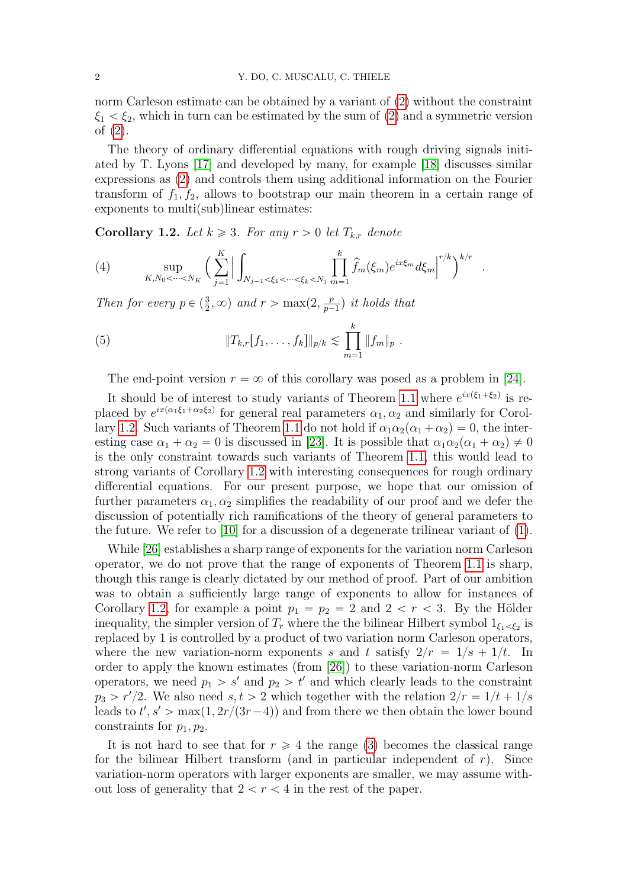norm Carleson estimate can be obtained by a variant of [\(2\)](#page-0-1) without the constraint  $\xi_1 < \xi_2$ , which in turn can be estimated by the sum of [\(2\)](#page-0-1) and a symmetric version of [\(2\)](#page-0-1).

The theory of ordinary differential equations with rough driving signals initiated by T. Lyons [\[17\]](#page-47-4) and developed by many, for example [\[18\]](#page-47-5) discusses similar expressions as [\(2\)](#page-0-1) and controls them using additional information on the Fourier transform of  $f_1, f_2$ , allows to bootstrap our main theorem in a certain range of exponents to multi(sub)linear estimates:

<span id="page-1-0"></span>**Corollary 1.2.** Let  $k \geq 3$ . For any  $r > 0$  let  $T_{k,r}$  denote

(4) 
$$
\sup_{K,N_0 < \dots < N_K} \left( \sum_{j=1}^K \Big| \int_{N_{j-1} < \xi_1 < \dots < \xi_k < N_j} \prod_{m=1}^k \hat{f}_m(\xi_m) e^{ix\xi_m} d\xi_m \Big|^{r/k} \right)^{k/r} .
$$

Then for every  $p \in (\frac{3}{2}, \infty)$  and  $r > \max(2, \frac{p}{p-1})$  $\frac{p}{p-1}$ ) it holds that

(5) 
$$
||T_{k,r}[f_1,\ldots,f_k]||_{p/k} \lesssim \prod_{m=1}^k ||f_m||_p.
$$

The end-point version  $r = \infty$  of this corollary was posed as a problem in [\[24\]](#page-47-6).

It should be of interest to study variants of Theorem [1.1](#page-0-0) where  $e^{ix(\xi_1+\xi_2)}$  is replaced by  $e^{ix(\alpha_1\xi_1+\alpha_2\xi_2)}$  for general real parameters  $\alpha_1, \alpha_2$  and similarly for Corol-lary [1.2.](#page-1-0) Such variants of Theorem [1.1](#page-0-0) do not hold if  $\alpha_1 \alpha_2(\alpha_1 + \alpha_2) = 0$ , the interesting case  $\alpha_1 + \alpha_2 = 0$  is discussed in [\[23\]](#page-47-7). It is possible that  $\alpha_1 \alpha_2 (\alpha_1 + \alpha_2) \neq 0$ is the only constraint towards such variants of Theorem [1.1,](#page-0-0) this would lead to strong variants of Corollary [1.2](#page-1-0) with interesting consequences for rough ordinary differential equations. For our present purpose, we hope that our omission of further parameters  $\alpha_1, \alpha_2$  simplifies the readability of our proof and we defer the discussion of potentially rich ramifications of the theory of general parameters to the future. We refer to [\[10\]](#page-46-2) for a discussion of a degenerate trilinear variant of [\(1\)](#page-0-2).

While [\[26\]](#page-47-3) establishes a sharp range of exponents for the variation norm Carleson operator, we do not prove that the range of exponents of Theorem [1.1](#page-0-0) is sharp, though this range is clearly dictated by our method of proof. Part of our ambition was to obtain a sufficiently large range of exponents to allow for instances of Corollary [1.2,](#page-1-0) for example a point  $p_1 = p_2 = 2$  and  $2 < r < 3$ . By the Hölder inequality, the simpler version of  $T_r$  where the the bilinear Hilbert symbol  $1_{\xi_1 < \xi_2}$  is replaced by 1 is controlled by a product of two variation norm Carleson operators, where the new variation-norm exponents s and t satisfy  $2/r = 1/s + 1/t$ . In order to apply the known estimates (from [\[26\]](#page-47-3)) to these variation-norm Carleson operators, we need  $p_1 > s'$  and  $p_2 > t'$  and which clearly leads to the constraint  $p_3 > r'/2$ . We also need  $s, t > 2$  which together with the relation  $2/r = 1/t + 1/s$ leads to  $t', s' > \max(1, 2r/(3r-4))$  and from there we then obtain the lower bound constraints for  $p_1, p_2$ .

It is not hard to see that for  $r \geq 4$  the range [\(3\)](#page-0-3) becomes the classical range for the bilinear Hilbert transform (and in particular independent of  $r$ ). Since variation-norm operators with larger exponents are smaller, we may assume without loss of generality that  $2 < r < 4$  in the rest of the paper.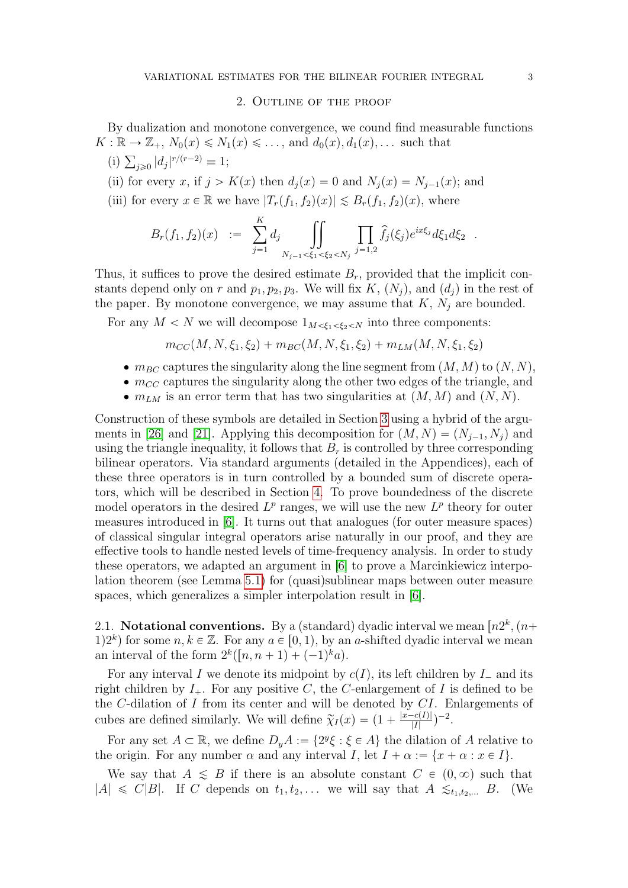### 2. Outline of the proof

By dualization and monotone convergence, we cound find measurable functions  $K: \mathbb{R} \to \mathbb{Z}_+, N_0(x) \leq N_1(x) \leq \ldots$ , and  $d_0(x), d_1(x), \ldots$  such that

(i)  $\sum_{j\geqslant 0} |d_j|^{r/(r-2)} \equiv 1;$ 

(ii) for every x, if  $j > K(x)$  then  $d_i(x) = 0$  and  $N_i(x) = N_{i-1}(x)$ ; and

(iii) for every  $x \in \mathbb{R}$  we have  $|T_r(f_1, f_2)(x)| \lesssim B_r(f_1, f_2)(x)$ , where

$$
B_r(f_1, f_2)(x) := \sum_{j=1}^K d_j \iint_{N_{j-1} < \xi_1 < \xi_2 < N_j} \prod_{j=1,2} \hat{f}_j(\xi_j) e^{ix\xi_j} d\xi_1 d\xi_2.
$$

Thus, it suffices to prove the desired estimate  $B_r$ , provided that the implicit constants depend only on r and  $p_1, p_2, p_3$ . We will fix K,  $(N_j)$ , and  $(d_j)$  in the rest of the paper. By monotone convergence, we may assume that  $K$ ,  $N_j$  are bounded.

For any  $M < N$  we will decompose  $1_{M < \xi_1 < \xi_2 < N}$  into three components:

<span id="page-2-0"></span>
$$
m_{CC}(M, N, \xi_1, \xi_2) + m_{BC}(M, N, \xi_1, \xi_2) + m_{LM}(M, N, \xi_1, \xi_2)
$$

- $\bullet$   $m_{BC}$  captures the singularity along the line segment from  $(M, M)$  to  $(N, N),$
- $\bullet$   $m_{CC}$  captures the singularity along the other two edges of the triangle, and
- $\bullet$   $m_{LM}$  is an error term that has two singularities at  $(M, M)$  and  $(N, N)$ .

Construction of these symbols are detailed in Section [3](#page-3-0) using a hybrid of the argu-ments in [\[26\]](#page-47-3) and [\[21\]](#page-47-2). Applying this decomposition for  $(M, N) = (N_{i-1}, N_i)$  and using the triangle inequality, it follows that  $B_r$  is controlled by three corresponding bilinear operators. Via standard arguments (detailed in the Appendices), each of these three operators is in turn controlled by a bounded sum of discrete operators, which will be described in Section [4.](#page-6-0) To prove boundedness of the discrete model operators in the desired  $L^p$  ranges, we will use the new  $L^p$  theory for outer measures introduced in [\[6\]](#page-46-3). It turns out that analogues (for outer measure spaces) of classical singular integral operators arise naturally in our proof, and they are effective tools to handle nested levels of time-frequency analysis. In order to study these operators, we adapted an argument in [\[6\]](#page-46-3) to prove a Marcinkiewicz interpolation theorem (see Lemma [5.1\)](#page-9-0) for (quasi)sublinear maps between outer measure spaces, which generalizes a simpler interpolation result in [\[6\]](#page-46-3).

2.1. Notational conventions. By a (standard) dyadic interval we mean  $[n2^k, (n+1)$ 1)<sup>2k</sup> for some  $n, k \in \mathbb{Z}$ . For any  $a \in [0, 1)$ , by an a-shifted dyadic interval we mean an interval of the form  $2^k([n, n+1) + (-1)^k a)$ .

For any interval I we denote its midpoint by  $c(I)$ , its left children by  $I_{-}$  and its right children by  $I_+$ . For any positive C, the C-enlargement of I is defined to be the  $C$ -dilation of  $I$  from its center and will be denoted by  $CI$ . Enlargements of cubes are defined similarly. We will define  $\tilde{\chi}_I(x) = \left(1 + \frac{|x - c(I)|}{|I|}\right)$  $\frac{-c(I)|}{|I|}\big)^{-2}.$ 

For any set  $A \subset \mathbb{R}$ , we define  $D_y A := \{2^y \xi : \xi \in A\}$  the dilation of A relative to the origin. For any number  $\alpha$  and any interval I, let  $I + \alpha := \{x + \alpha : x \in I\}.$ 

We say that  $A \leq B$  if there is an absolute constant  $C \in (0, \infty)$  such that  $|A| \leq C|B|$ . If C depends on  $t_1, t_2, \ldots$  we will say that  $A \leq t_1, t_2, \ldots$  B. (We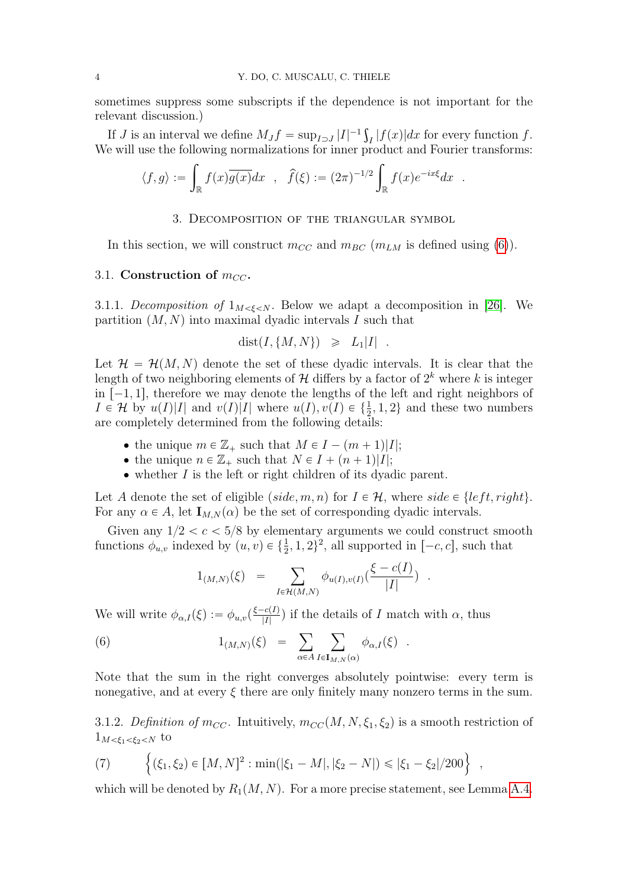sometimes suppress some subscripts if the dependence is not important for the relevant discussion.)

If *J* is an interval we define  $M_J f = \sup_{I \supset J} |I|^{-1} \int$  $\int_I |f(x)| dx$  for every function f. We will use the following normalizations for inner product and Fourier transforms:

$$
\langle f, g \rangle := \int_{\mathbb{R}} f(x) \overline{g(x)} dx
$$
,  $\widehat{f}(\xi) := (2\pi)^{-1/2} \int_{\mathbb{R}} f(x) e^{-ix\xi} dx$ .

## 3. Decomposition of the triangular symbol

<span id="page-3-0"></span>In this section, we will construct  $m_{CC}$  and  $m_{BC}$  ( $m_{LM}$  is defined using [\(6\)](#page-2-0)).

## 3.1. Construction of  $m_{CC}$ .

<span id="page-3-2"></span>3.1.1. Decomposition of  $1_{M \leq \xi \leq N}$ . Below we adapt a decomposition in [\[26\]](#page-47-3). We partition  $(M, N)$  into maximal dyadic intervals I such that

$$
dist(I, \{M, N\}) \ge L_1|I| .
$$

Let  $\mathcal{H} = \mathcal{H}(M, N)$  denote the set of these dyadic intervals. It is clear that the length of two neighboring elements of  $\mathcal{H}$  differs by a factor of  $2^k$  where k is integer in  $[-1, 1]$ , therefore we may denote the lengths of the left and right neighbors of  $I \in \mathcal{H}$  by  $u(I)|I|$  and  $v(I)|I|$  where  $u(I), v(I) \in \{\frac{1}{2}, 1, 2\}$  and these two numbers are completely determined from the following details:

- the unique  $m \in \mathbb{Z}_+$  such that  $M \in I (m + 1)|I|;$
- the unique  $n \in \mathbb{Z}_+$  such that  $N \in I + (n + 1)|I|;$
- $\bullet$  whether I is the left or right children of its dyadic parent.

Let A denote the set of eligible  $(side, m, n)$  for  $I \in \mathcal{H}$ , where side  $\in \{ left, right\}.$ For any  $\alpha \in A$ , let  $I_{M,N}(\alpha)$  be the set of corresponding dyadic intervals.

Given any  $1/2 < c < 5/8$  by elementary arguments we could construct smooth functions  $\phi_{u,v}$  indexed by  $(u, v) \in \{\frac{1}{2}, 1, 2\}^2$ , all supported in  $[-c, c]$ , such that

<span id="page-3-1"></span>
$$
1_{(M,N)}(\xi) = \sum_{I \in \mathcal{H}(M,N)} \phi_{u(I),v(I)}(\frac{\xi - c(I)}{|I|}) .
$$

We will write  $\phi_{\alpha,I}(\xi) := \phi_{u,v}(\frac{\xi - c(I)}{|I|})$  $\frac{c(I)}{|I|}$  if the details of I match with  $\alpha$ , thus

(6) 
$$
1_{(M,N)}(\xi) = \sum_{\alpha \in A} \sum_{I \in I_{M,N}(\alpha)} \phi_{\alpha,I}(\xi) .
$$

Note that the sum in the right converges absolutely pointwise: every term is nonegative, and at every  $\xi$  there are only finitely many nonzero terms in the sum.

3.1.2. Definition of  $m_{CC}$ . Intuitively,  $m_{CC}(M, N, \xi_1, \xi_2)$  is a smooth restriction of  $1_{M<\xi_1<\xi_2 to$ 

<span id="page-3-3"></span>(7) 
$$
\left\{ (\xi_1, \xi_2) \in [M, N]^2 : \min(|\xi_1 - M|, |\xi_2 - N|) \le |\xi_1 - \xi_2|/200 \right\} ,
$$

which will be denoted by  $R_1(M, N)$ . For a more precise statement, see Lemma [A.4.](#page-40-0)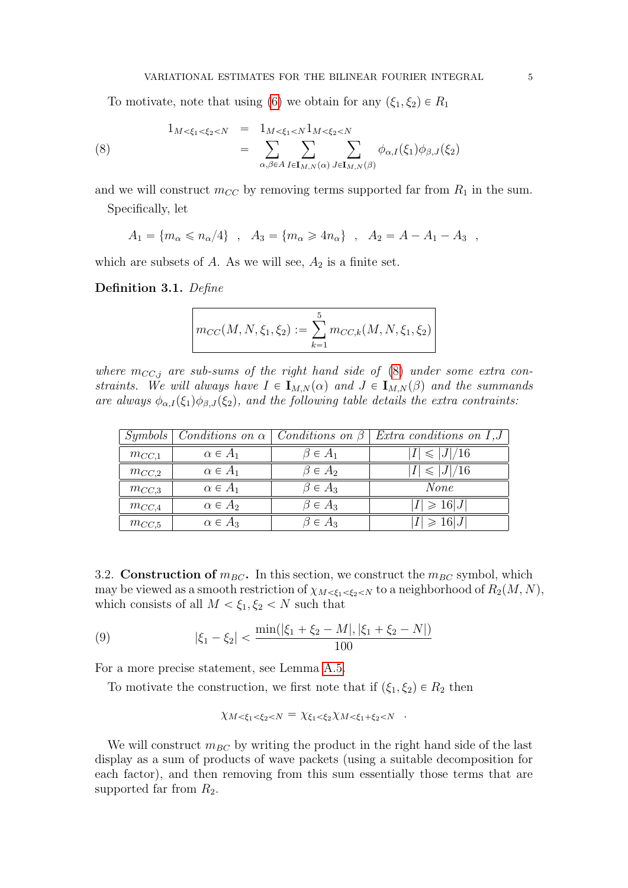<span id="page-4-0"></span>To motivate, note that using [\(6\)](#page-3-1) we obtain for any  $(\xi_1, \xi_2) \in R_1$ 

(8) 
$$
1_{M < \xi_1 < \xi_2 < N} = 1_{M < \xi_1 < N} 1_{M < \xi_2 < N}
$$
  
= 
$$
\sum_{\alpha, \beta \in A} \sum_{I \in I_{M,N}(\alpha)} \sum_{J \in I_{M,N}(\beta)} \phi_{\alpha,I}(\xi_1) \phi_{\beta,J}(\xi_2)
$$

and we will construct  $m_{CC}$  by removing terms supported far from  $R_1$  in the sum.

Specifically, let

 $A_1 = \{m_\alpha \leqslant n_\alpha/4\}$ ,  $A_3 = \{m_\alpha \geqslant 4n_\alpha\}$ ,  $A_2 = A - A_1 - A_3$ ,

which are subsets of  $A$ . As we will see,  $A_2$  is a finite set.

Definition 3.1. Define

$$
m_{CC}(M, N, \xi_1, \xi_2) := \sum_{k=1}^{5} m_{CC,k}(M, N, \xi_1, \xi_2)
$$

where  $m_{CC,j}$  are sub-sums of the right hand side of [\(8\)](#page-4-0) under some extra constraints. We will always have  $I \in I_{M,N}(\alpha)$  and  $J \in I_{M,N}(\beta)$  and the summands are always  $\phi_{\alpha J}(\xi_1)\phi_{\beta J}(\xi_2)$ , and the following table details the extra contraints:

|            | $Symbols \mid Conditions \text{ } on \alpha \mid Conditions \text{ } on \beta \mid$ |                 | Extra conditions on $I,J$ |
|------------|-------------------------------------------------------------------------------------|-----------------|---------------------------|
| $m_{CC,1}$ | $\alpha \in A_1$                                                                    | $\beta \in A_1$ | $\leqslant$  J /16        |
| $m_{CC,2}$ | $\alpha \in A_1$                                                                    | $\beta \in A_2$ | $\leqslant$  J /16        |
| $m_{CC,3}$ | $\alpha \in A_1$                                                                    | $\beta \in A_3$ | None                      |
| $m_{CC,4}$ | $\alpha \in A_2$                                                                    | $\beta \in A_3$ | $ I  \geqslant 16 J $     |
| $m_{CC,5}$ | $\alpha \in A_3$                                                                    | $\beta \in A_3$ | $ \geqslant 16 J $        |

3.2. Construction of  $m_{BC}$ . In this section, we construct the  $m_{BC}$  symbol, which may be viewed as a smooth restriction of  $\chi_{M \leq \xi_1 \leq \xi_2 \leq N}$  to a neighborhood of  $R_2(M, N)$ , which consists of all  $M < \xi_1, \xi_2 < N$  such that

(9) 
$$
|\xi_1 - \xi_2| < \frac{\min(|\xi_1 + \xi_2 - M|, |\xi_1 + \xi_2 - N|)}{100}
$$

For a more precise statement, see Lemma [A.5.](#page-41-0)

To motivate the construction, we first note that if  $(\xi_1, \xi_2) \in R_2$  then

<span id="page-4-1"></span>
$$
\chi_{M < \xi_1 < \xi_2 < N} = \chi_{\xi_1 < \xi_2} \chi_{M < \xi_1 + \xi_2 < N} .
$$

We will construct  $m_{BC}$  by writing the product in the right hand side of the last display as a sum of products of wave packets (using a suitable decomposition for each factor), and then removing from this sum essentially those terms that are supported far from  $R_2$ .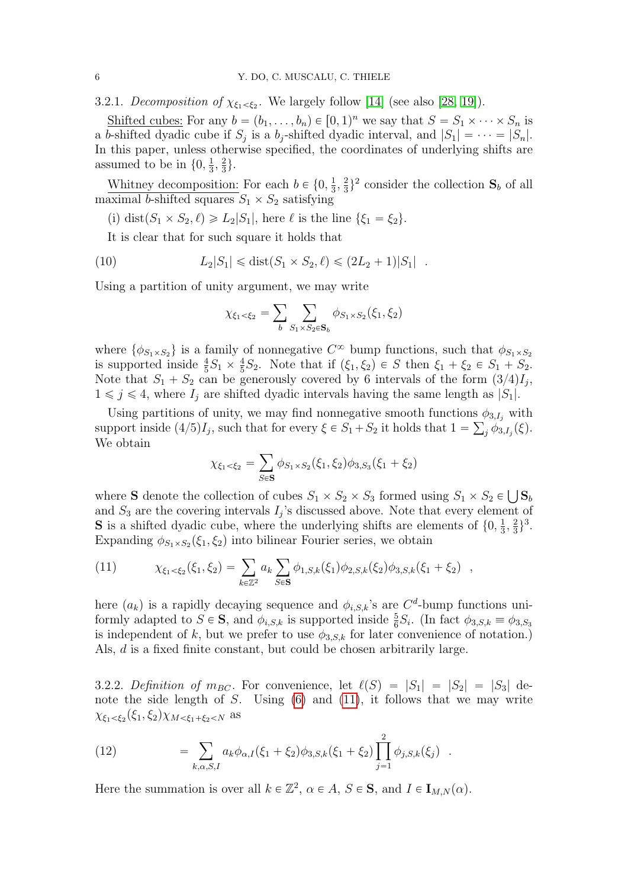3.2.1. Decomposition of  $\chi_{\xi_1 < \xi_2}$ . We largely follow [\[14\]](#page-47-1) (see also [\[28,](#page-47-8) [19\]](#page-47-9)).

Shifted cubes: For any  $b = (b_1, \ldots, b_n) \in [0, 1)^n$  we say that  $S = S_1 \times \cdots \times S_n$  is a b-shifted dyadic cube if  $S_j$  is a b<sub>j</sub>-shifted dyadic interval, and  $|S_1| = \cdots = |S_n|$ . In this paper, unless otherwise specified, the coordinates of underlying shifts are assumed to be in  $\{0, \frac{1}{3}\}$  $\frac{1}{3}, \frac{2}{3}$  $\frac{2}{3}$ .

Whitney decomposition: For each  $b \in \{0, \frac{1}{3}\}$  $\frac{1}{3}, \frac{2}{3}$  $\frac{2}{3}$ <sup>2</sup> consider the collection  $S_b$  of all maximal b-shifted squares  $S_1 \times S_2$  satisfying

(i) dist $(S_1 \times S_2, \ell) \geq L_2|S_1|$ , here  $\ell$  is the line  $\{\xi_1 = \xi_2\}.$ 

It is clear that for such square it holds that

(10) 
$$
L_2|S_1| \le \text{dist}(S_1 \times S_2, \ell) \le (2L_2 + 1)|S_1|.
$$

Using a partition of unity argument, we may write

<span id="page-5-1"></span>
$$
\chi_{\xi_1 < \xi_2} = \sum_b \sum_{S_1 \times S_2 \in \mathbf{S}_b} \phi_{S_1 \times S_2}(\xi_1, \xi_2)
$$

where  $\{\phi_{S_1\times S_2}\}\$ is a family of nonnegative  $C^\infty$  bump functions, such that  $\phi_{S_1\times S_2}$ is supported inside  $\frac{4}{5}S_1 \times \frac{4}{5}$  $\frac{4}{5}S_2$ . Note that if  $(\xi_1, \xi_2) \in S$  then  $\xi_1 + \xi_2 \in S_1 + S_2$ . Note that  $S_1 + S_2$  can be generously covered by 6 intervals of the form  $(3/4)I_j$ ,  $1 \leq j \leq 4$ , where  $I_j$  are shifted dyadic intervals having the same length as  $|S_1|$ .

Using partitions of unity, we may find nonnegative smooth functions  $\phi_{3,I_j}$  with support inside  $(4/5)I_j$ , such that for every  $\xi \in S_1 + S_2$  it holds that  $1 = \sum_j \phi_{3,I_j}(\xi)$ . We obtain

$$
\chi_{\xi_1 < \xi_2} = \sum_{S \in \mathbf{S}} \phi_{S_1 \times S_2}(\xi_1, \xi_2) \phi_{3, S_3}(\xi_1 + \xi_2)
$$

where **S** denote the collection of cubes  $S_1 \times S_2 \times S_3$  formed using  $S_1 \times S_2 \in \bigcup \mathbf{S}_t$ and  $S_3$  are the covering intervals  $I_j$ 's discussed above. Note that every element of **S** is a shifted dyadic cube, where the underlying shifts are elements of  $\{0, \frac{1}{3}\}$  $\frac{1}{3}, \frac{2}{3}$  $\frac{2}{3}\}^{3}.$ Expanding  $\phi_{S_1 \times S_2}(\xi_1, \xi_2)$  into bilinear Fourier series, we obtain

<span id="page-5-0"></span>(11) 
$$
\chi_{\xi_1 < \xi_2}(\xi_1, \xi_2) = \sum_{k \in \mathbb{Z}^2} a_k \sum_{S \in \mathbf{S}} \phi_{1,S,k}(\xi_1) \phi_{2,S,k}(\xi_2) \phi_{3,S,k}(\xi_1 + \xi_2) ,
$$

here  $(a_k)$  is a rapidly decaying sequence and  $\phi_{i,S,k}$ 's are  $C^d$ -bump functions uniformly adapted to  $S \in \mathbf{S}$ , and  $\phi_{i,S,k}$  is supported inside  $\frac{5}{6}S_i$ . (In fact  $\phi_{3,S,k} \equiv \phi_{3,S_3}$ is independent of k, but we prefer to use  $\phi_{3,S,k}$  for later convenience of notation.) Als, d is a fixed finite constant, but could be chosen arbitrarily large.

3.2.2. Definition of  $m_{BC}$ . For convenience, let  $\ell(S) = |S_1| = |S_2| = |S_3|$  denote the side length of  $S$ . Using  $(6)$  and  $(11)$ , it follows that we may write  $\chi_{\xi_1<\xi_2}(\xi_1,\xi_2)\chi_{M<\xi_1+\xi_2\leq N}$  as

<span id="page-5-2"></span>(12) 
$$
= \sum_{k,\alpha,S,I} a_k \phi_{\alpha,I}(\xi_1 + \xi_2) \phi_{3,S,k}(\xi_1 + \xi_2) \prod_{j=1}^2 \phi_{j,S,k}(\xi_j) .
$$

Here the summation is over all  $k \in \mathbb{Z}^2$ ,  $\alpha \in A$ ,  $S \in \mathbf{S}$ , and  $I \in \mathbf{I}_{M,N}(\alpha)$ .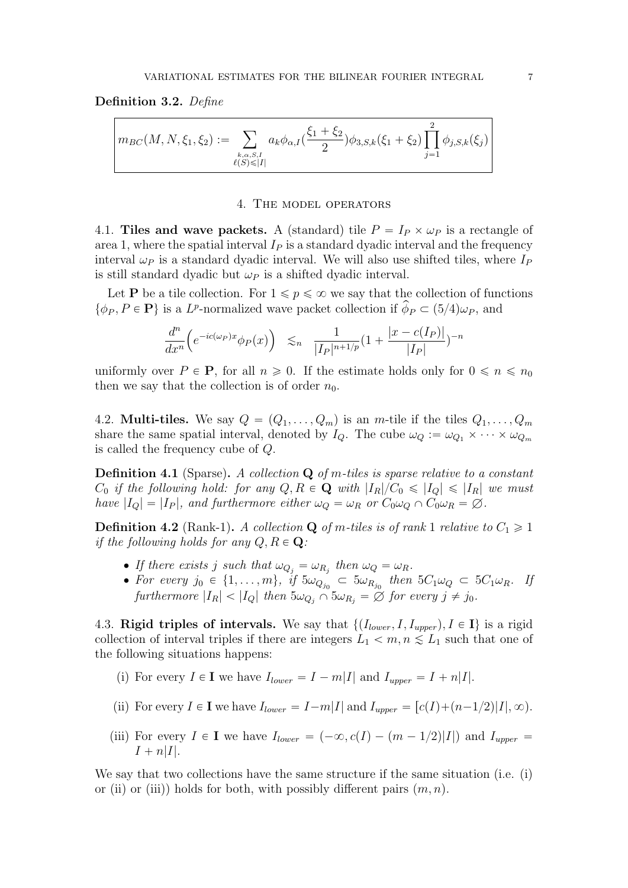#### <span id="page-6-1"></span>Definition 3.2. Define

$$
m_{BC}(M, N, \xi_1, \xi_2) := \sum_{\substack{k, \alpha, S, I \\ \ell(S) \leq |I|}} a_k \phi_{\alpha, I}(\frac{\xi_1 + \xi_2}{2}) \phi_{3, S, k}(\xi_1 + \xi_2) \prod_{j=1}^2 \phi_{j, S, k}(\xi_j)
$$

### 4. The model operators

<span id="page-6-0"></span>4.1. Tiles and wave packets. A (standard) tile  $P = I_P \times \omega_P$  is a rectangle of area 1, where the spatial interval  $I_P$  is a standard dyadic interval and the frequency interval  $\omega_P$  is a standard dyadic interval. We will also use shifted tiles, where  $I_P$ is still standard dyadic but  $\omega_P$  is a shifted dyadic interval.

Let **P** be a tile collection. For  $1 \leq p \leq \infty$  we say that the collection of functions  $\{\phi_P, P \in \mathbf{P}\}\$  is a L<sup>p</sup>-normalized wave packet collection if  $\phi_P \subset (5/4)\omega_P$ , and

$$
\frac{d^n}{dx^n} \Big( e^{-ic(\omega_P)x} \phi_P(x) \Big) \lesssim_n \frac{1}{|I_P|^{n+1/p}} (1 + \frac{|x - c(I_P)|}{|I_P|})^{-n}
$$

uniformly over  $P \in \mathbf{P}$ , for all  $n \geq 0$ . If the estimate holds only for  $0 \leq n \leq n_0$ then we say that the collection is of order  $n_0$ .

4.2. Multi-tiles. We say  $Q = (Q_1, \ldots, Q_m)$  is an m-tile if the tiles  $Q_1, \ldots, Q_m$ share the same spatial interval, denoted by  $I_Q$ . The cube  $\omega_Q := \omega_{Q_1} \times \cdots \times \omega_{Q_m}$ is called the frequency cube of Q.

**Definition 4.1** (Sparse). A collection  $Q$  of m-tiles is sparse relative to a constant  $C_0$  if the following hold: for any  $Q, R \in \mathbf{Q}$  with  $|I_R|/C_0 \leq |I_Q| \leq |I_R|$  we must have  $|I_Q| = |I_P|$ , and furthermore either  $\omega_Q = \omega_R$  or  $C_0 \omega_Q \cap C_0 \omega_R = \emptyset$ .

**Definition 4.2** (Rank-1). A collection **Q** of m-tiles is of rank 1 relative to  $C_1 \geq 1$ if the following holds for any  $Q, R \in \mathbf{Q}$ :

- If there exists j such that  $\omega_{Q_j} = \omega_{R_j}$  then  $\omega_Q = \omega_R$ .
- For every  $j_0 \in \{1, ..., m\}$ , if  $5\omega_{Q_{j_0}} \subset 5\omega_{R_{j_0}}$  then  $5C_1\omega_Q \subset 5C_1\omega_R$ . If furthermore  $|I_R| < |I_Q|$  then  $5\omega_{Q_j} \cap 5\omega_{R_j} = \emptyset$  for every  $j \neq j_0$ .

4.3. Rigid triples of intervals. We say that  $\{(I_{lower}, I, I_{upper}), I \in I\}$  is a rigid collection of interval triples if there are integers  $L_1 < m, n \leq L_1$  such that one of the following situations happens:

- (i) For every  $I \in \mathbf{I}$  we have  $I_{lower} = I m|I|$  and  $I_{upper} = I + n|I|$ .
- (ii) For every  $I \in \mathbf{I}$  we have  $I_{lower} = I m|I|$  and  $I_{upper} = [c(I) + (n-1/2)|I|, \infty)$ .
- (iii) For every  $I \in I$  we have  $I_{lower} = (-\infty, c(I) (m 1/2)|I|)$  and  $I_{upper} =$  $I + n|I|.$

We say that two collections have the same structure if the same situation (i.e. (i) or (ii) or (iii)) holds for both, with possibly different pairs  $(m, n)$ .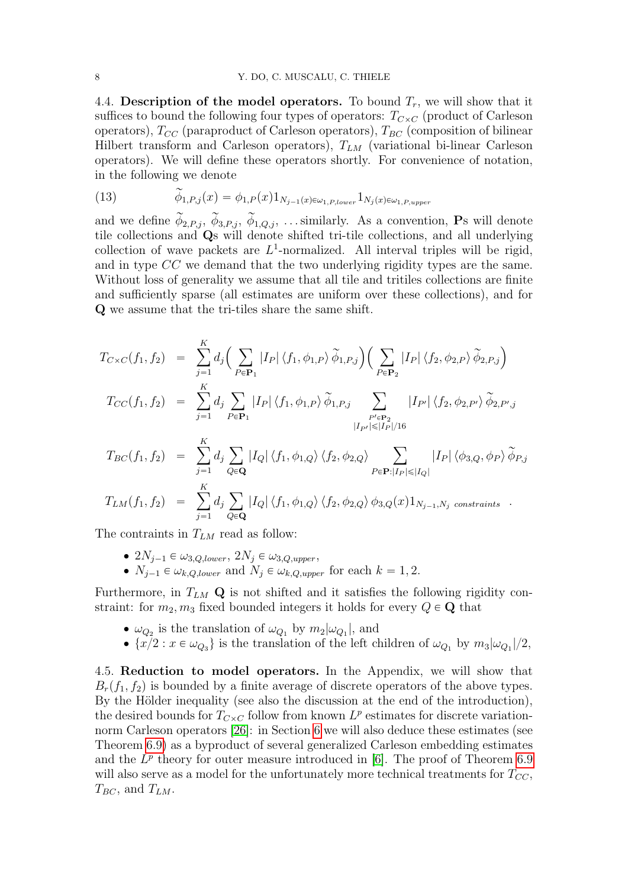4.4. Description of the model operators. To bound  $T_r$ , we will show that it suffices to bound the following four types of operators:  $T_{C\times C}$  (product of Carleson operators),  $T_{CC}$  (paraproduct of Carleson operators),  $T_{BC}$  (composition of bilinear Hilbert transform and Carleson operators),  $T_{LM}$  (variational bi-linear Carleson operators). We will define these operators shortly. For convenience of notation, in the following we denote

<span id="page-7-0"></span>(13) 
$$
\widetilde{\phi}_{1,P,j}(x) = \phi_{1,P}(x) 1_{N_{j-1}(x) \in \omega_{1,P, lower}} 1_{N_j(x) \in \omega_{1,P,upper}}
$$

and we define  $\widetilde{\phi}_{2,P,j}$ ,  $\widetilde{\phi}_{3,P,j}$ ,  $\widetilde{\phi}_{1,Q,j}$ , ... similarly. As a convention, Ps will denote tile collections and Qs will denote shifted tri-tile collections, and all underlying collection of wave packets are  $L^1$ -normalized. All interval triples will be rigid, and in type CC we demand that the two underlying rigidity types are the same. Without loss of generality we assume that all tile and tritiles collections are finite and sufficiently sparse (all estimates are uniform over these collections), and for Q we assume that the tri-tiles share the same shift.

$$
T_{C \times C}(f_1, f_2) = \sum_{j=1}^{K} d_j \Big( \sum_{P \in \mathbf{P}_1} |I_P| \langle f_1, \phi_{1,P} \rangle \widetilde{\phi}_{1,P,j} \Big) \Big( \sum_{P \in \mathbf{P}_2} |I_P| \langle f_2, \phi_{2,P} \rangle \widetilde{\phi}_{2,P,j} \Big)
$$
  

$$
T_{CC}(f_1, f_2) = \sum_{j=1}^{K} d_j \sum_{P \in \mathbf{P}_1} |I_P| \langle f_1, \phi_{1,P} \rangle \widetilde{\phi}_{1,P,j} \sum_{P' \in \mathbf{P}_2} |I_{P'}| \langle f_2, \phi_{2,P'} \rangle \widetilde{\phi}_{2,P',j}
$$
  

$$
|I_{P'}| \leq |I_P|/16
$$
  

$$
T_{BC}(f_1, f_2) = \sum_{P \in \mathbf{P}_1} |I_Q| \langle f_1, \phi_{1,Q} \rangle \langle f_2, \phi_{2,Q} \rangle \sum_{P' \in \mathbf{P}_2} |I_P| \langle \phi_{3,Q}, \phi_P \rangle \widetilde{\phi}_{P,j}
$$

$$
T_{BC}(f_1, f_2) = \sum_{j=1} d_j \sum_{Q \in \mathbf{Q}} |I_Q| \langle f_1, \phi_{1,Q} \rangle \langle f_2, \phi_{2,Q} \rangle \sum_{P \in \mathbf{P}: |I_P| \leq |I_Q|} |I_P| \langle \phi_{3,Q}, \phi_P \rangle \phi_{P,j}
$$
  

$$
T_{LM}(f_1, f_2) = \sum_{j=1}^K d_j \sum_{Q \in \mathbf{Q}} |I_Q| \langle f_1, \phi_{1,Q} \rangle \langle f_2, \phi_{2,Q} \rangle \phi_{3,Q}(x) 1_{N_{j-1}, N_j \text{ constraints}}.
$$

$$
I_{LM}(J_1, J_2) = \sum_{j=1} d_j \sum_{Q \in \mathbf{Q}} |I_Q| \langle J_1, \varphi_{1,Q} \rangle \langle J_2, \varphi_{2,Q} \rangle \varphi_{3,Q}(x) 1_{N_{j-1}, N_j \text{ cons}}
$$

The contraints in  $T_{LM}$  read as follow:

- $\bullet$   $2N_{j-1} \in \omega_{3,Q,lower}, 2N_j \in \omega_{3,Q,upper},$
- $\bullet$   $N_{i-1} \in \omega_{k,Q,lower}$  and  $N_i \in \omega_{k,Q,upper}$  for each  $k = 1, 2$ .

Furthermore, in  $T_{LM}$  Q is not shifted and it satisfies the following rigidity constraint: for  $m_2, m_3$  fixed bounded integers it holds for every  $Q \in \mathbf{Q}$  that

- $\omega_{Q_2}$  is the translation of  $\omega_{Q_1}$  by  $m_2|\omega_{Q_1}|$ , and
- $\{x/2 : x \in \omega_{Q_3}\}\$ is the translation of the left children of  $\omega_{Q_1}$  by  $m_3|\omega_{Q_1}|/2$ ,

4.5. Reduction to model operators. In the Appendix, we will show that  $B_r(f_1, f_2)$  is bounded by a finite average of discrete operators of the above types. By the Hölder inequality (see also the discussion at the end of the introduction). the desired bounds for  $T_{C\times C}$  follow from known  $L^p$  estimates for discrete variationnorm Carleson operators [\[26\]](#page-47-3): in Section [6](#page-12-0) we will also deduce these estimates (see Theorem [6.9\)](#page-17-0) as a byproduct of several generalized Carleson embedding estimates and the  $L^p$  theory for outer measure introduced in [\[6\]](#page-46-3). The proof of Theorem [6.9](#page-17-0) will also serve as a model for the unfortunately more technical treatments for  $T_{CC}$ ,  $T_{BC}$ , and  $T_{LM}$ .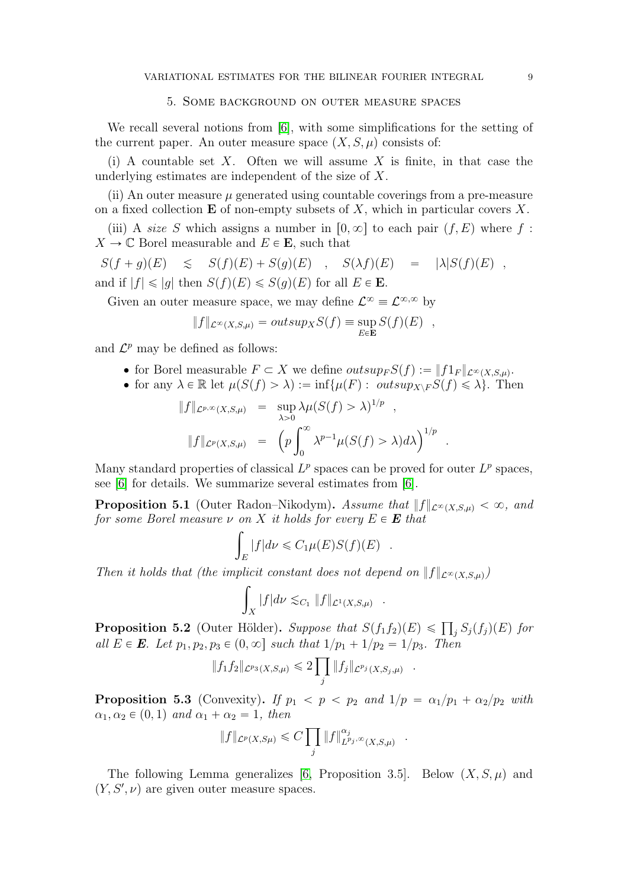## 5. Some background on outer measure spaces

We recall several notions from [\[6\]](#page-46-3), with some simplifications for the setting of the current paper. An outer measure space  $(X, S, \mu)$  consists of:

(i) A countable set X. Often we will assume X is finite, in that case the underlying estimates are independent of the size of X.

(ii) An outer measure  $\mu$  generated using countable coverings from a pre-measure on a fixed collection **E** of non-empty subsets of X, which in particular covers X.

(iii) A size S which assigns a number in  $[0, \infty]$  to each pair  $(f, E)$  where f:  $X \to \mathbb{C}$  Borel measurable and  $E \in \mathbf{E}$ , such that

 $S(f + g)(E) \leq S(f)(E) + S(g)(E)$ ,  $S(\lambda f)(E) = |\lambda|S(f)(E)$ , and if  $|f| \leqslant |g|$  then  $S(f)(E) \leqslant S(g)(E)$  for all  $E \in \mathbf{E}$ .

Given an outer measure space, we may define  $\mathcal{L}^{\infty} \equiv \mathcal{L}^{\infty, \infty}$  by

$$
||f||_{\mathcal{L}^{\infty}(X,S,\mu)} = outsup_X S(f) \equiv \sup_{E \in \mathbf{E}} S(f)(E) ,
$$

and  $\mathcal{L}^p$  may be defined as follows:

- for Borel measurable  $F \subset X$  we define  $outsup_F S(f) := ||f1_F||_{\mathcal{L}^{\infty}(X,S,\mu)}$ .
- for any  $\lambda \in \mathbb{R}$  let  $\mu(S(f) > \lambda) := \inf \{ \mu(F) : \overline{outsip_{X \setminus F}S(f)} \leq \lambda \}.$  Then

.

.

.

$$
||f||_{\mathcal{L}^{p,\infty}(X,S,\mu)} = \sup_{\lambda>0} \lambda \mu(S(f) > \lambda)^{1/p} ,
$$
  

$$
||f||_{\mathcal{L}^p(X,S,\mu)} = \left(p \int_0^\infty \lambda^{p-1} \mu(S(f) > \lambda) d\lambda\right)^{1/p}
$$

Many standard properties of classical  $L^p$  spaces can be proved for outer  $L^p$  spaces, see [\[6\]](#page-46-3) for details. We summarize several estimates from [\[6\]](#page-46-3).

**Proposition 5.1** (Outer Radon–Nikodym). Assume that  $||f||_{\mathcal{L}^{\infty}(X,S,u)} < \infty$ , and for some Borel measure  $\nu$  on X it holds for every  $E \in \mathbf{E}$  that

$$
\int_E |f|d\nu \leqslant C_1 \mu(E)S(f)(E) .
$$

Then it holds that (the implicit constant does not depend on  $||f||_{\mathcal{L}^{\infty}(X,S,\mu)}$ )

$$
\int_X |f| d\nu \lesssim_{C_1} \|f\|_{\mathcal{L}^1(X,S,\mu)} \quad .
$$

**Proposition 5.2** (Outer Hölder). Suppose that  $S(f_1 f_2)(E) \leq \prod_j S_j(f_j)(E)$  for all  $E \in \mathbf{E}$ . Let  $p_1, p_2, p_3 \in (0, \infty]$  such that  $1/p_1 + 1/p_2 = 1/p_3$ . Then

$$
||f_1 f_2||_{\mathcal{L}^{p_3}(X,S,\mu)} \leq 2 \prod_j ||f_j||_{\mathcal{L}^{p_j}(X,S_j,\mu)}
$$

**Proposition 5.3** (Convexity). If  $p_1 < p < p_2$  and  $1/p = \alpha_1/p_1 + \alpha_2/p_2$  with  $\alpha_1, \alpha_2 \in (0, 1)$  and  $\alpha_1 + \alpha_2 = 1$ , then

$$
||f||_{\mathcal{L}^p(X,S\mu)} \leq C \prod_j ||f||_{L^{p_j,\infty}(X,S,\mu)}^{\alpha_j}
$$

The following Lemma generalizes [\[6,](#page-46-3) Proposition 3.5]. Below  $(X, S, \mu)$  and  $(Y, S', \nu)$  are given outer measure spaces.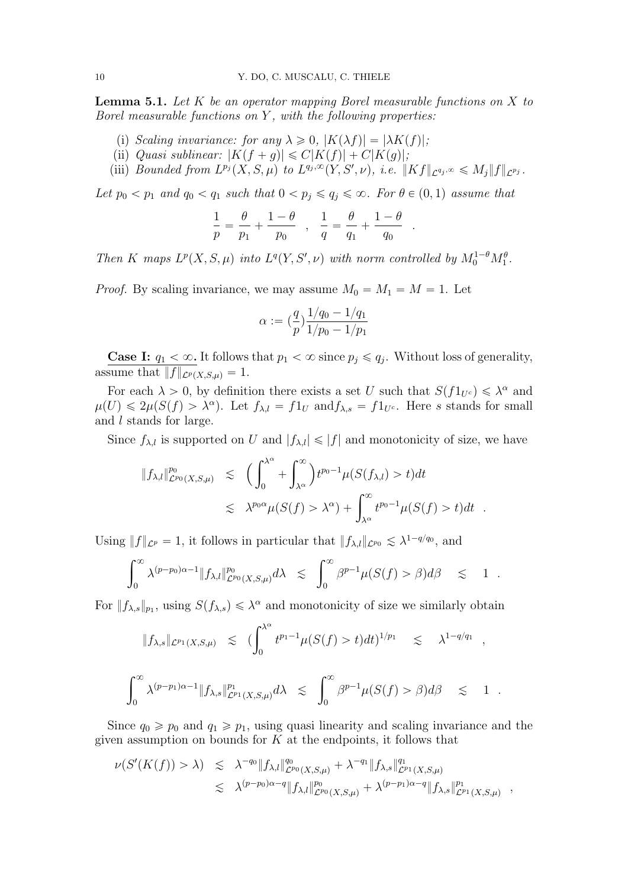<span id="page-9-0"></span>**Lemma 5.1.** Let  $K$  be an operator mapping Borel measurable functions on  $X$  to Borel measurable functions on  $Y$ , with the following properties:

- (i) Scaling invariance: for any  $\lambda \geq 0$ ,  $|K(\lambda f)| = |\lambda K(f)|$ ;
- (ii) Quasi sublinear:  $|K(f + g)| \leq C|K(f)| + C|K(g)|;$
- (iii) Bounded from  $L^{p_j}(X, S, \mu)$  to  $L^{q_j, \infty}(Y, S', \nu)$ , i.e.  $||Kf||_{\mathcal{L}^{q_j, \infty}} \leq M_j||f||_{\mathcal{L}^{p_j}}$ .

Let  $p_0 < p_1$  and  $q_0 < q_1$  such that  $0 < p_j \leqslant q_j \leqslant \infty$ . For  $\theta \in (0, 1)$  assume that

$$
\frac{1}{p} = \frac{\theta}{p_1} + \frac{1-\theta}{p_0} \quad , \quad \frac{1}{q} = \frac{\theta}{q_1} + \frac{1-\theta}{q_0} \, .
$$

.

Then K maps  $L^p(X, S, \mu)$  into  $L^q(Y, S', \nu)$  with norm controlled by  $M_0^{1-\theta}M_1^{\theta}$ .

*Proof.* By scaling invariance, we may assume  $M_0 = M_1 = M = 1$ . Let

$$
\alpha := \left(\frac{q}{p}\right) \frac{1/q_0 - 1/q_1}{1/p_0 - 1/p_1}
$$

**Case I:**  $q_1 < \infty$ . It follows that  $p_1 < \infty$  since  $p_j \leqslant q_j$ . Without loss of generality, assume that  $||f||_{\mathcal{L}^p(X,\mathcal{S},\mu)} = 1.$ 

For each  $\lambda > 0$ , by definition there exists a set U such that  $S(f1_{U^c}) \leq \lambda^{\alpha}$  and  $\mu(U) \leq 2\mu(S(f) > \lambda^{\alpha})$ . Let  $f_{\lambda,l} = f1_U$  and  $f_{\lambda,s} = f1_{U^c}$ . Here s stands for small and l stands for large.

Since  $f_{\lambda,l}$  is supported on U and  $|f_{\lambda,l}| \leq |f|$  and monotonicity of size, we have

$$
||f_{\lambda,l}||_{\mathcal{L}^{p_0}(X,S,\mu)}^{p_0} \leq (\int_0^{\lambda^{\alpha}} + \int_{\lambda^{\alpha}}^{\infty}) t^{p_0-1} \mu(S(f_{\lambda,l}) > t) dt
$$
  

$$
\leq \lambda^{p_0 \alpha} \mu(S(f) > \lambda^{\alpha}) + \int_{\lambda^{\alpha}}^{\infty} t^{p_0-1} \mu(S(f) > t) dt.
$$

Using  $|| f ||_{\mathcal{L}^p} = 1$ , it follows in particular that  $|| f_{\lambda,l} ||_{\mathcal{L}^{p_0}} \lesssim \lambda^{1-q/q_0}$ , and

$$
\int_0^\infty \lambda^{(p-p_0)\alpha-1} \|f_{\lambda,l}\|_{\mathcal{L}^{p_0}(X,S,\mu)}^{p_0} d\lambda \leq \int_0^\infty \beta^{p-1} \mu(S(f) > \beta) d\beta \leq 1.
$$

For  $|| f_{\lambda,s} ||_{p_1}$ , using  $S(f_{\lambda,s}) \leq \lambda^{\alpha}$  and monotonicity of size we similarly obtain

$$
||f_{\lambda,s}||_{\mathcal{L}^{p_1}(X,S,\mu)} \leq (\int_0^{\lambda^{\alpha}} t^{p_1-1} \mu(S(f) > t) dt)^{1/p_1} \leq \lambda^{1-q/q_1},
$$
  

$$
\int_0^{\infty} \lambda^{(p-p_1)\alpha-1} ||f_{\lambda,s}||_{\mathcal{L}^{p_1}(X,S,\mu)}^{p_1} d\lambda \leq \int_0^{\infty} \beta^{p-1} \mu(S(f) > \beta) d\beta \leq 1.
$$

Since  $q_0 \geq p_0$  and  $q_1 \geq p_1$ , using quasi linearity and scaling invariance and the given assumption on bounds for  $K$  at the endpoints, it follows that

$$
\nu(S'(K(f)) > \lambda) \leq \lambda^{-q_0} \|f_{\lambda,l}\|_{\mathcal{L}^{p_0}(X,S,\mu)}^{q_0} + \lambda^{-q_1} \|f_{\lambda,s}\|_{\mathcal{L}^{p_1}(X,S,\mu)}^{q_1}
$$
  

$$
\leq \lambda^{(p-p_0)\alpha-q} \|f_{\lambda,l}\|_{\mathcal{L}^{p_0}(X,S,\mu)}^{p_0} + \lambda^{(p-p_1)\alpha-q} \|f_{\lambda,s}\|_{\mathcal{L}^{p_1}(X,S,\mu)}^{p_1} ,
$$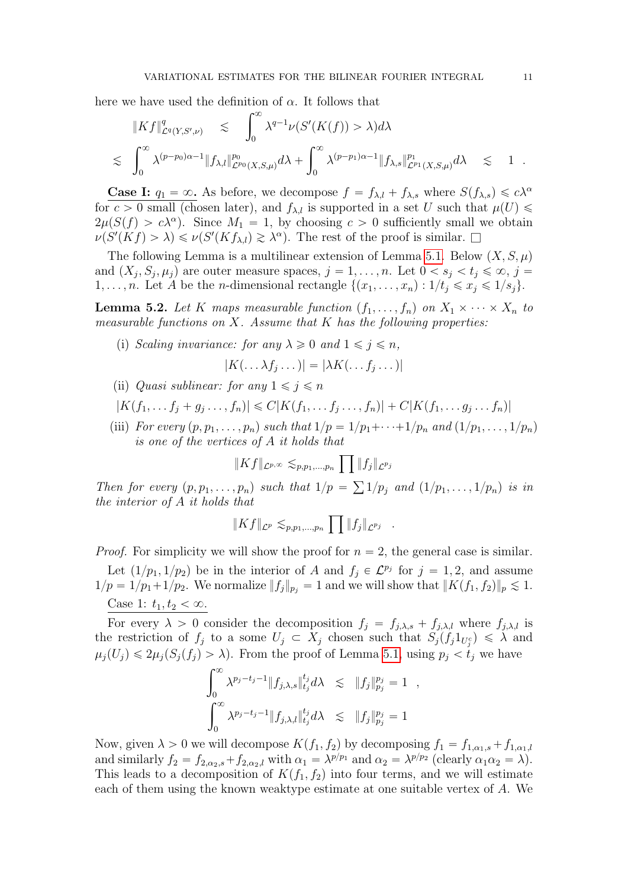here we have used the definition of  $\alpha$ . It follows that

$$
\|Kf\|_{\mathcal{L}^q(Y,S',\nu)}^q \lesssim \int_0^\infty \lambda^{q-1} \nu(S'(K(f)) > \lambda) d\lambda
$$
  
\$\lesssim \int\_0^\infty \lambda^{(p-p\_0)\alpha-1} \|f\_{\lambda,l}\|\_{\mathcal{L}^{p\_0}(X,S,\mu)}^{p\_0} d\lambda + \int\_0^\infty \lambda^{(p-p\_1)\alpha-1} \|f\_{\lambda,s}\|\_{\mathcal{L}^{p\_1}(X,S,\mu)}^{p\_1} d\lambda \lesssim 1.

**Case I:**  $q_1 = \infty$ . As before, we decompose  $f = f_{\lambda,l} + f_{\lambda,s}$  where  $S(f_{\lambda,s}) \leq c\lambda^{\alpha}$ for  $c > 0$  small (chosen later), and  $f_{\lambda,l}$  is supported in a set U such that  $\mu(U) \leq$  $2\mu(S(f) > c\lambda^{\alpha})$ . Since  $M_1 = 1$ , by choosing  $c > 0$  sufficiently small we obtain  $\nu(S'(Kf) > \lambda) \leq \nu(S'(Kf_{\lambda,l}) \geq \lambda^{\alpha})$ . The rest of the proof is similar.  $\square$ 

The following Lemma is a multilinear extension of Lemma [5.1.](#page-9-0) Below  $(X, S, \mu)$ and  $(X_j, S_j, \mu_j)$  are outer measure spaces,  $j = 1, \ldots, n$ . Let  $0 < s_j < t_j \leq \infty$ ,  $j =$ 1, ..., *n*. Let A be the *n*-dimensional rectangle  $\{(x_1, \ldots, x_n) : 1/t_i \leq x_i \leq 1/s_i\}.$ 

<span id="page-10-0"></span>**Lemma 5.2.** Let K maps measurable function  $(f_1, \ldots, f_n)$  on  $X_1 \times \cdots \times X_n$  to measurable functions on  $X$ . Assume that  $K$  has the following properties:

(i) Scaling invariance: for any  $\lambda \geqslant 0$  and  $1 \leqslant j \leqslant n$ ,

$$
|K(\ldots \lambda f_j \ldots)| = |\lambda K(\ldots f_j \ldots)|
$$

- (ii) Quasi sublinear: for any  $1 \leq j \leq n$
- $|K(f_1, ..., f_j + g_j, ..., f_n)| \leq C|K(f_1, ..., f_j, ..., f_n)| + C|K(f_1, ..., g_j, ..., f_n)|$
- (iii) For every  $(p, p_1, \ldots, p_n)$  such that  $1/p = 1/p_1 + \cdots + 1/p_n$  and  $(1/p_1, \ldots, 1/p_n)$ is one of the vertices of  $A$  it holds that

$$
||Kf||_{\mathcal{L}^{p,\infty}} \lesssim_{p,p_1,\ldots,p_n} \prod ||f_j||_{\mathcal{L}^{p_j}}
$$

Then for every  $(p, p_1, \ldots, p_n)$  such that  $1/p =$  $1/p_j$  and  $(1/p_1, \ldots, 1/p_n)$  is in the interior of A it holds that

$$
||Kf||_{\mathcal{L}^p} \lesssim_{p,p_1,\ldots,p_n} \prod ||f_j||_{\mathcal{L}^{p_j}}.
$$

*Proof.* For simplicity we will show the proof for  $n = 2$ , the general case is similar.

Let  $(1/p_1, 1/p_2)$  be in the interior of A and  $f_j \in \mathcal{L}^{p_j}$  for  $j = 1, 2$ , and assume  $1/p = 1/p_1 + 1/p_2$ . We normalize  $||f_j||_{p_j} = 1$  and we will show that  $||K(f_1, f_2)||_p \leq 1$ . Case 1:  $t_1, t_2 < \infty$ .

For every  $\lambda > 0$  consider the decomposition  $f_j = f_{j,\lambda,s} + f_{j,\lambda,l}$  where  $f_{j,\lambda,l}$  is the restriction of  $f_j$  to a some  $U_j \subset X_j$  chosen such that  $S_j(f_j 1_{U_j^c}) \leq \lambda$  and  $\mu_j(U_j) \leq 2\mu_j(S_j(f_j) > \lambda)$ . From the proof of Lemma [5.1,](#page-9-0) using  $p_j < t_j$  we have

$$
\int_0^\infty \lambda^{p_j - t_j - 1} \|f_{j,\lambda,s}\|_{t_j}^{t_j} d\lambda \le \|f_j\|_{p_j}^{p_j} = 1,
$$
  

$$
\int_0^\infty \lambda^{p_j - t_j - 1} \|f_{j,\lambda,l}\|_{t_j}^{t_j} d\lambda \le \|f_j\|_{p_j}^{p_j} = 1
$$

Now, given  $\lambda > 0$  we will decompose  $K(f_1, f_2)$  by decomposing  $f_1 = f_{1,\alpha_1,s} + f_{1,\alpha_1,l}$ and similarly  $f_2 = f_{2,\alpha_2,s} + f_{2,\alpha_2,l}$  with  $\alpha_1 = \lambda^{p/p_1}$  and  $\alpha_2 = \lambda^{p/p_2}$  (clearly  $\alpha_1 \alpha_2 = \lambda$ ). This leads to a decomposition of  $K(f_1, f_2)$  into four terms, and we will estimate each of them using the known weaktype estimate at one suitable vertex of A. We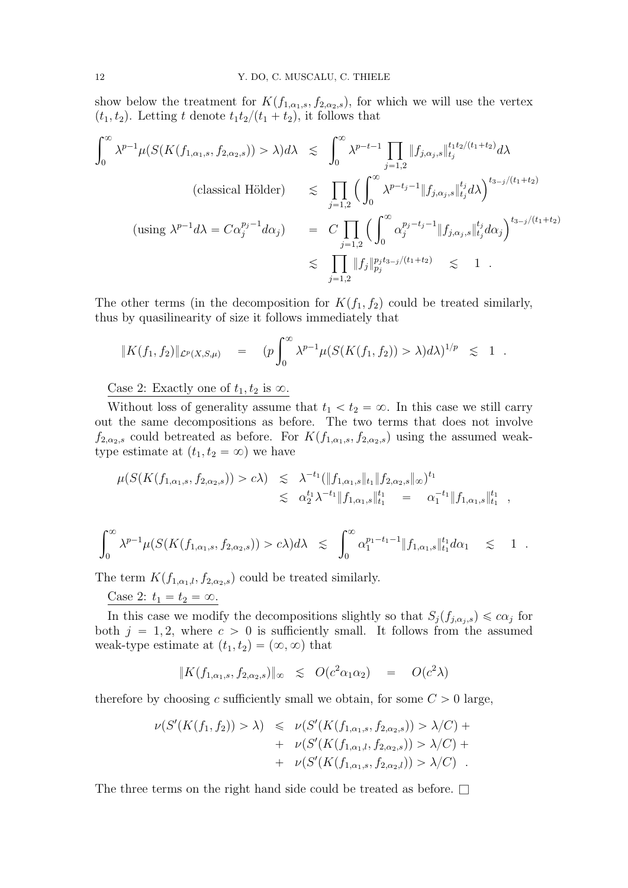show below the treatment for  $K(f_{1,\alpha_1,s}, f_{2,\alpha_2,s})$ , for which we will use the vertex  $(t_1, t_2)$ . Letting t denote  $t_1t_2/(t_1 + t_2)$ , it follows that

$$
\int_0^\infty \lambda^{p-1} \mu(S(K(f_{1,\alpha_1,s}, f_{2,\alpha_2,s})) > \lambda) d\lambda \leq \int_0^\infty \lambda^{p-t-1} \prod_{j=1,2} \|f_{j,\alpha_j,s}\|_{t_j}^{t_1 t_2/(t_1+t_2)} d\lambda
$$
\n(classical Hölder)

\n
$$
\leq \prod_{j=1,2} \left( \int_0^\infty \lambda^{p-t-1} \|f_{j,\alpha_j,s}\|_{t_j}^{t_j} d\lambda \right)^{t_{3-j}/(t_1+t_2)}
$$
\n(using

\n
$$
\lambda^{p-1} d\lambda = C\alpha_j^{p_j-1} d\alpha_j
$$
\n
$$
\leq C \prod_{j=1,2} \left( \int_0^\infty \alpha_j^{p_j-t_j-1} \|f_{j,\alpha_j,s}\|_{t_j}^{t_j} d\alpha_j \right)^{t_{3-j}/(t_1+t_2)}
$$
\n
$$
\leq \prod_{j=1,2} \|f_j\|_{p_j}^{p_j t_{3-j}/(t_1+t_2)} \leq 1
$$

The other terms (in the decomposition for  $K(f_1, f_2)$  could be treated similarly, thus by quasilinearity of size it follows immediately that

$$
||K(f_1, f_2)||_{\mathcal{L}^p(X, S, \mu)} = (p \int_0^\infty \lambda^{p-1} \mu(S(K(f_1, f_2)) > \lambda) d\lambda)^{1/p} \leq 1.
$$

Case 2: Exactly one of  $t_1, t_2$  is  $\infty$ .

Without loss of generality assume that  $t_1 < t_2 = \infty$ . In this case we still carry out the same decompositions as before. The two terms that does not involve  $f_{2,\alpha_2,s}$  could betreated as before. For  $K(f_{1,\alpha_1,s}, f_{2,\alpha_2,s})$  using the assumed weaktype estimate at  $(t_1, t_2 = \infty)$  we have

$$
\mu(S(K(f_{1,\alpha_1,s},f_{2,\alpha_2,s})) > c\lambda) \leq \lambda^{-t_1} (\|f_{1,\alpha_1,s}\|_{t_1}\|f_{2,\alpha_2,s}\|_{\infty})^{t_1}
$$
  

$$
\leq \alpha_2^{t_1} \lambda^{-t_1} \|f_{1,\alpha_1,s}\|_{t_1}^{t_1} = \alpha_1^{-t_1} \|f_{1,\alpha_1,s}\|_{t_1}^{t_1} ,
$$

$$
\int_0^\infty \lambda^{p-1} \mu(S(K(f_{1,\alpha_1,s}, f_{2,\alpha_2,s})) > c\lambda) d\lambda \leq \int_0^\infty \alpha_1^{p_1-t_1-1} \|f_{1,\alpha_1,s}\|_{t_1}^{t_1} d\alpha_1 \leq 1.
$$

The term  $K(f_{1,\alpha_1,l}, f_{2,\alpha_2,s})$  could be treated similarly.

Case 2:  $t_1 = t_2 = \infty$ .

In this case we modify the decompositions slightly so that  $S_j(f_{j,\alpha_j,s}) \leq c\alpha_j$  for both  $j = 1, 2$ , where  $c > 0$  is sufficiently small. It follows from the assumed weak-type estimate at  $(t_1, t_2) = (\infty, \infty)$  that

$$
|| K(f_{1,\alpha_1,s}, f_{2,\alpha_2,s}) ||_{\infty} \leqslant O(c^2 \alpha_1 \alpha_2) = O(c^2 \lambda)
$$

therefore by choosing c sufficiently small we obtain, for some  $C > 0$  large,

$$
\nu(S'(K(f_1, f_2)) > \lambda) \leq \nu(S'(K(f_{1,\alpha_1,s}, f_{2,\alpha_2,s})) > \lambda/C) + \n+ \nu(S'(K(f_{1,\alpha_1,l}, f_{2,\alpha_2,s})) > \lambda/C) + \n+ \nu(S'(K(f_{1,\alpha_1,s}, f_{2,\alpha_2,l})) > \lambda/C).
$$

The three terms on the right hand side could be treated as before.  $\Box$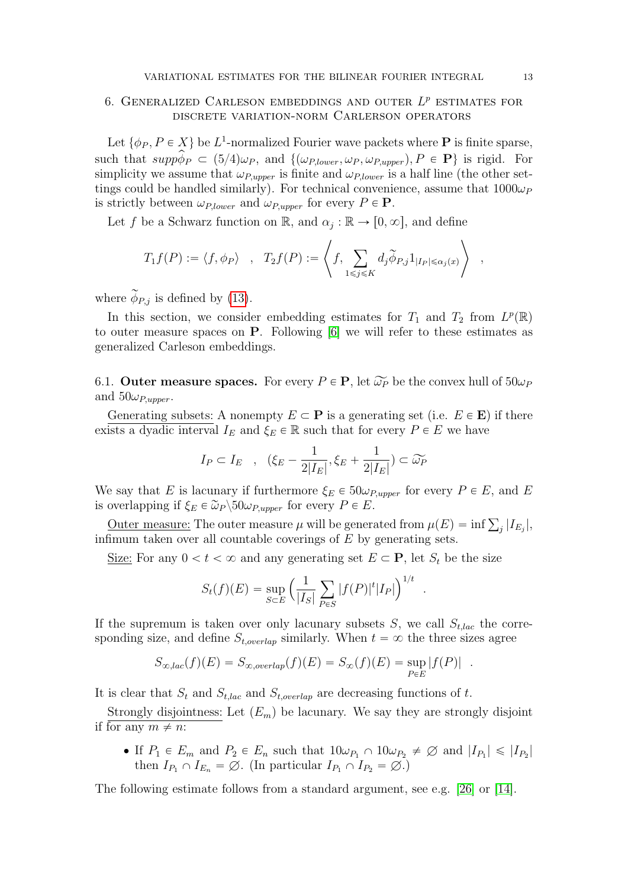# <span id="page-12-0"></span>6. GENERALIZED CARLESON EMBEDDINGS AND OUTER  $L^p$  estimates for discrete variation-norm Carlerson operators

Let  $\{\phi_P, P \in X\}$  be  $L^1$ -normalized Fourier wave packets where **P** is finite sparse, such that  $supp\widehat{\phi}_P \subset (5/4)\omega_P$ , and  $\{(\omega_{P,lower}, \omega_P, \omega_{P,upper}), P \in \mathbf{P}\}\$ is rigid. For simplicity we assume that  $\omega_{P,upper}$  is finite and  $\omega_{P,lower}$  is a half line (the other settings could be handled similarly). For technical convenience, assume that  $1000\omega_P$ is strictly between  $\omega_{P,lower}$  and  $\omega_{P,upper}$  for every  $P \in \mathbf{P}$ .

Let f be a Schwarz function on  $\mathbb{R}$ , and  $\alpha_j : \mathbb{R} \to [0, \infty]$ , and define

$$
T_1 f(P) := \langle f, \phi_P \rangle \quad , \quad T_2 f(P) := \left\langle f, \sum_{1 \leq j \leq K} d_j \widetilde{\phi}_{P,j} 1_{|I_P| \leq \alpha_j(x)} \right\rangle \quad ,
$$

where  $\widetilde{\phi}_{P,j}$  is defined by [\(13\)](#page-7-0).

In this section, we consider embedding estimates for  $T_1$  and  $T_2$  from  $L^p(\mathbb{R})$ to outer measure spaces on P. Following [\[6\]](#page-46-3) we will refer to these estimates as generalized Carleson embeddings.

<span id="page-12-1"></span>6.1. Outer measure spaces. For every  $P \in \mathbf{P}$ , let  $\widetilde{\omega_P}$  be the convex hull of  $50\omega_P$ and  $50\omega_{P,upper}$ .

Generating subsets: A nonempty  $E \subset \mathbf{P}$  is a generating set (i.e.  $E \in \mathbf{E}$ ) if there exists a dyadic interval  $I_E$  and  $\xi_E \in \mathbb{R}$  such that for every  $P \in E$  we have

$$
I_P \subset I_E \quad , \quad (\xi_E - \frac{1}{2|I_E|}, \xi_E + \frac{1}{2|I_E|}) \subset \widetilde{\omega_P}
$$

We say that E is lacunary if furthermore  $\xi_E \in 50 \omega_{P,upper}$  for every  $P \in E$ , and E is overlapping if  $\xi_E \in \widetilde{\omega}_P \backslash 50 \omega_{P,upper}$  for every  $P \in E$ .

Outer measure: The outer measure  $\mu$  will be generated from  $\mu(E) = \inf \sum_j |I_{E_j}|$ , infimum taken over all countable coverings of  $E$  by generating sets.

Size: For any  $0 < t < \infty$  and any generating set  $E \subset \mathbf{P}$ , let  $S_t$  be the size

$$
S_t(f)(E) = \sup_{S \subset E} \left( \frac{1}{|I_S|} \sum_{P \in S} |f(P)|^t |I_P| \right)^{1/t}
$$

.

If the supremum is taken over only lacunary subsets  $S$ , we call  $S_{t,lac}$  the corresponding size, and define  $S_{t,overlap}$  similarly. When  $t = \infty$  the three sizes agree

$$
S_{\infty,lac}(f)(E) = S_{\infty,overlap}(f)(E) = S_{\infty}(f)(E) = \sup_{P \in E} |f(P)|.
$$

It is clear that  $S_t$  and  $S_{t,loc}$  and  $S_{t,overlap}$  are decreasing functions of t.

Strongly disjointness: Let  $(E_m)$  be lacunary. We say they are strongly disjoint if for any  $m \neq n$ :

• If  $P_1 \in E_m$  and  $P_2 \in E_n$  such that  $10\omega_{P_1} \cap 10\omega_{P_2} \neq \emptyset$  and  $|I_{P_1}| \leq |I_{P_2}|$ then  $I_{P_1} \cap I_{E_n} = \emptyset$ . (In particular  $I_{P_1} \cap I_{P_2} = \emptyset$ .)

The following estimate follows from a standard argument, see e.g. [\[26\]](#page-47-3) or [\[14\]](#page-47-1).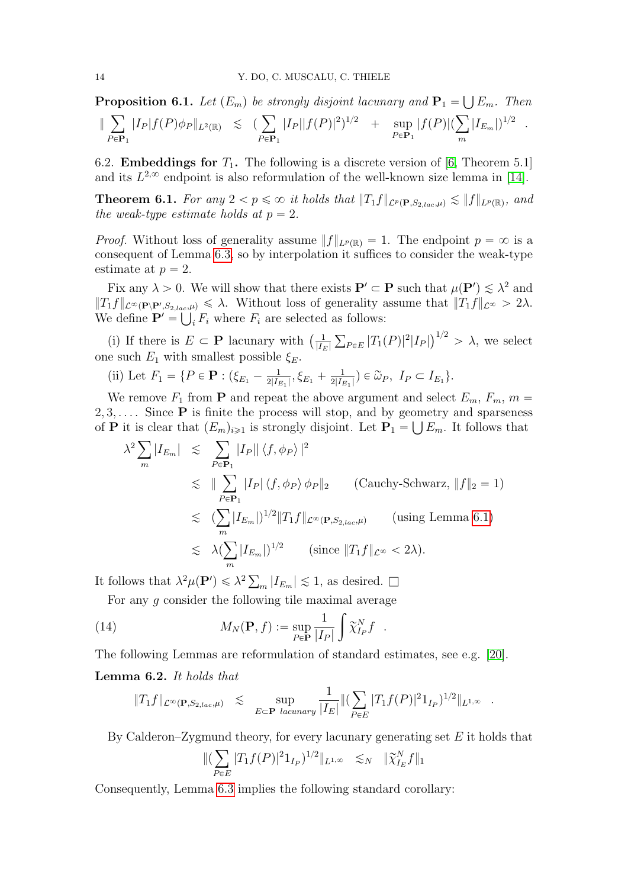Ť

<span id="page-13-0"></span>**Proposition 6.1.** Let  $(E_m)$  be strongly disjoint lacunary and  $P_1 = \bigcup E_m$ . Then  $\parallel$  $P \in P_1$  $||I_P|f(P)\phi_P||_{L^2(\mathbb{R})} \leq (\sum_{i=1}^{\infty}$  $P \in P_1$  $|I_P||f(P)|^2$ <sup>1/2</sup> + sup  $P \in P_1$  $\frac{m\mathbf{r}_1-\mathbf{r}_2}{|f(P)|(\sum_{i=1}^n p_i)}$ m  $|I_{E_m}|$  $)^{1/2}$  .

6.2. **Embeddings for**  $T_1$ . The following is a discrete version of [\[6,](#page-46-3) Theorem 5.1] and its  $L^{2,\infty}$  endpoint is also reformulation of the well-known size lemma in [\[14\]](#page-47-1).

<span id="page-13-2"></span>**Theorem 6.1.** For any  $2 < p \leq \infty$  it holds that  $||T_1f||_{\mathcal{L}^p(\mathbf{P},S_{2,lac},\mu)} \lesssim ||f||_{L^p(\mathbb{R})}$ , and the weak-type estimate holds at  $p = 2$ .

*Proof.* Without loss of generality assume  $||f||_{L^p(\mathbb{R})} = 1$ . The endpoint  $p = \infty$  is a consequent of Lemma [6.3,](#page-14-0) so by interpolation it suffices to consider the weak-type estimate at  $p = 2$ .

Fix any  $\lambda > 0$ . We will show that there exists  $P' \subset P$  such that  $\mu(P') \lesssim \lambda^2$  and  $||T_1f||_{\mathcal{L}^{\infty}(\mathbf{P}\setminus\mathbf{P}', S_{2,lac},\mu)} \leq \lambda$ . Without loss of generality assume that  $||T_1f||_{\mathcal{L}^{\infty}} > 2\lambda$ . We define  $\mathbf{P}' = \bigcup_i F_i$  where  $F_i$  are selected as follows:

(i) If there is  $E \subset \mathbf{P}$  lacunary with  $\left(\frac{1}{|I_i|}\right)$  $|I_E|$  $_{P\in E}$  |T<sub>1</sub>(P)|<sup>2</sup>|I<sub>P</sub>|  $\sqrt{1/2}$  $> \lambda$ , we select one such  $E_1$  with smallest possible  $\xi_E$ .

(ii) Let  $F_1 = \{ P \in \mathbf{P} : (\xi_{E_1} - \frac{1}{2|I_i|})$  $\frac{1}{2|I_{E_1}|}, \xi_{E_1} + \frac{1}{2|I_{E}}$  $\frac{1}{2|I_{E_1}|}$ )  $\in \widetilde{\omega}_P$ ,  $I_P \subset I_{E_1}$ .

We remove  $F_1$  from **P** and repeat the above argument and select  $E_m$ ,  $F_m$ ,  $m =$  $2, 3, \ldots$  Since **P** is finite the process will stop, and by geometry and sparseness

of **P** it is clear that 
$$
(E_m)_{i\geq 1}
$$
 is strongly disjoint. Let  $\mathbf{P}_1 = \bigcup E_m$ . It follows that  
\n
$$
\lambda^2 \sum_m |I_{E_m}| \leq \sum_{P \in \mathbf{P}_1} |I_P| |\langle f, \phi_P \rangle|^2
$$
\n
$$
\leq \|\sum_{P \in \mathbf{P}_1} |I_P| |\langle f, \phi_P \rangle \phi_P\|_2 \qquad \text{(Cauchy-Schwarz, } \|f\|_2 = 1)
$$
\n
$$
\leq (\sum_m |I_{E_m}|)^{1/2} \|T_1 f\|_{\mathcal{L}^\infty(\mathbf{P}, S_{2,lac}, \mu)} \qquad \text{(using Lemma 6.1)}
$$
\n
$$
\leq \lambda (\sum_m |I_{E_m}|)^{1/2} \qquad \text{(since } \|T_1 f\|_{\mathcal{L}^\infty} < 2\lambda).
$$

It follows that  $\lambda^2 \mu(\mathbf{P}') \leq \lambda^2 \sum_m |I_{E_m}| \lesssim 1$ , as desired.  $\square$ 

For any  $g$  consider the following tile maximal average

(14) 
$$
M_N(\mathbf{P}, f) := \sup_{P \in \mathbf{P}} \frac{1}{|I_P|} \int \widetilde{\chi}_{I_P}^N f.
$$

The following Lemmas are reformulation of standard estimates, see e.g. [\[20\]](#page-47-10).

## <span id="page-13-1"></span>Lemma 6.2. It holds that

<span id="page-13-3"></span>
$$
||T_1 f||_{\mathcal{L}^{\infty}(\mathbf{P}, S_{2,lac}, \mu)} \leq \sup_{E \subset \mathbf{P} \text{ lacunary}} \frac{1}{|I_E|} ||(\sum_{P \in E} |T_1 f(P)|^2 1_{I_P})^{1/2} ||_{L^{1,\infty}}.
$$

By Calderon–Zygmund theory, for every lacunary generating set E it holds that<br> $\|(\sum |T_1 f(P)|^2 1_{I_P})^{1/2}\|_{L^{1,\infty}} \leq N \|\widetilde{\chi}_{I_E}^N f\|_1$ 

$$
\|(\sum_{P\in E}|T_1f(P)|^21_{I_P})^{1/2}\|_{L^{1,\infty}} \leq N \|\widetilde{\chi}_{I_E}^Nf\|_1
$$

Consequently, Lemma [6.3](#page-14-0) implies the following standard corollary: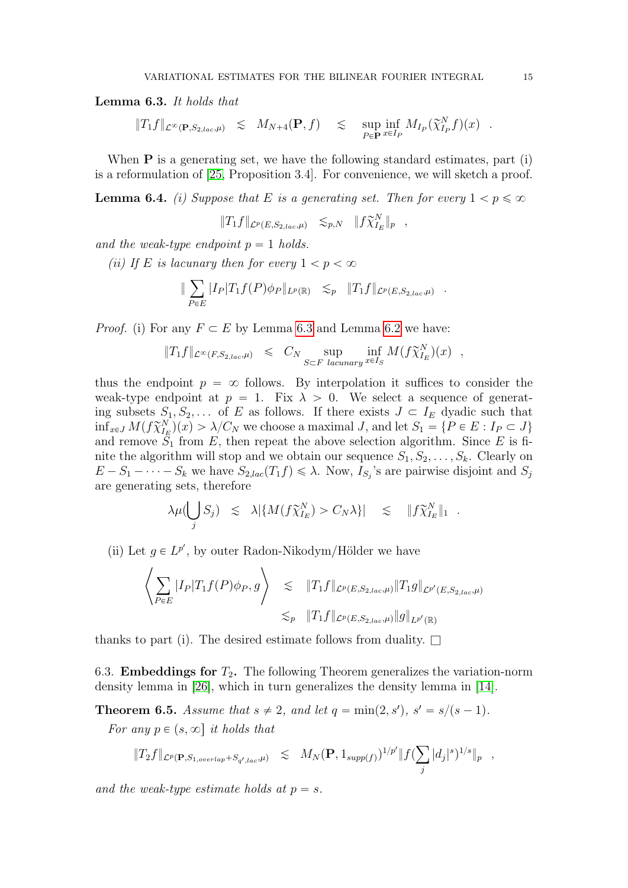<span id="page-14-0"></span>Lemma 6.3. It holds that

$$
||T_1f||_{\mathcal{L}^{\infty}(\mathbf{P},S_{2,lac},\mu)} \leq M_{N+4}(\mathbf{P},f) \leq \sup_{P \in \mathbf{P}} \inf_{x \in I_P} M_{I_P}(\widetilde{\chi}_{I_P}^N f)(x) .
$$

When  $P$  is a generating set, we have the following standard estimates, part (i) is a reformulation of [\[25,](#page-47-11) Proposition 3.4]. For convenience, we will sketch a proof.

<span id="page-14-2"></span>**Lemma 6.4.** (i) Suppose that E is a generating set. Then for every  $1 < p \leq \infty$ 

$$
||T_1 f||_{\mathcal{L}^p(E, S_{2,lac}, \mu)} \leq_{p,N} ||f \widetilde{\chi}_{I_E}^N||_p ,
$$

and the weak-type endpoint  $p = 1$  holds.

(ii) If E is lacunary then for every  $1 < p < \infty$ 

$$
\|\sum_{P\in E}|I_P|T_1f(P)\phi_P\|_{L^p(\mathbb{R})}\leq_p \|T_1f\|_{\mathcal{L}^p(E,S_{2,lac},\mu)}.
$$

*Proof.* (i) For any  $F \subset E$  by Lemma [6.3](#page-14-0) and Lemma [6.2](#page-13-1) we have:

$$
||T_1 f||_{\mathcal{L}^{\infty}(F, S_{2,loc}, \mu)} \leq C_N \sup_{S \subset F} \inf_{lacunary} \inf_{x \in I_S} M(f \widetilde{\chi}_{I_E}^N)(x) ,
$$

thus the endpoint  $p = \infty$  follows. By interpolation it suffices to consider the weak-type endpoint at  $p = 1$ . Fix  $\lambda > 0$ . We select a sequence of generating subsets  $S_1, S_2, \ldots$  of E as follows. If there exists  $J \subset I_E$  dyadic such that  $\inf_{x \in J} M(f \widetilde{\chi}_{I_E}^N)(x) > \lambda/C_N$  we choose a maximal J, and let  $S_1 = \{P \in E : I_P \subset J\}$ and remove  $S_1$  from E, then repeat the above selection algorithm. Since E is finite the algorithm will stop and we obtain our sequence  $S_1, S_2, \ldots, S_k$ . Clearly on  $E - S_1 - \cdots - S_k$  we have  $S_{2,lac}(T_1 f) \leq \lambda$ . Now,  $I_{S_j}$ 's are pairwise disjoint and  $S_j$ are generating sets, therefore ď

$$
\lambda \mu(\bigcup_j S_j) \leq \lambda |\{M(f\widetilde{\chi}_{I_E}^N) > C_N \lambda\}| \leq \|f\widetilde{\chi}_{I_E}^N\|_1.
$$

(ii) Let  $g \in L^{p'}$ , by outer Radon-Nikodym/Hölder we have

$$
\left\langle \sum_{P \in E} |I_P| T_1 f(P) \phi_P, g \right\rangle \leq \|T_1 f\|_{\mathcal{L}^p(E, S_{2,lac}, \mu)} \|T_1 g\|_{\mathcal{L}^{p'}(E, S_{2,lac}, \mu)}
$$
  

$$
\lesssim_p \|T_1 f\|_{\mathcal{L}^p(E, S_{2,lac}, \mu)} \|g\|_{L^{p'}(\mathbb{R})}
$$

thanks to part (i). The desired estimate follows from duality.  $\square$ 

6.3. **Embeddings for**  $T_2$ . The following Theorem generalizes the variation-norm density lemma in [\[26\]](#page-47-3), which in turn generalizes the density lemma in [\[14\]](#page-47-1).

<span id="page-14-1"></span>**Theorem 6.5.** Assume that  $s \neq 2$ , and let  $q = \min(2, s')$ ,  $s' = s/(s-1)$ .

For any  $p \in (s, \infty]$  it holds that

$$
\|T_2f\|_{\mathcal{L}^p(\mathbf{P}, S_{1, overlap} + S_{q',lac}, \mu)} \leq M_N(\mathbf{P}, 1_{supp(f)})^{1/p'} \|f(\sum_j |d_j|^s)^{1/s}\|_p ,
$$

and the weak-type estimate holds at  $p = s$ .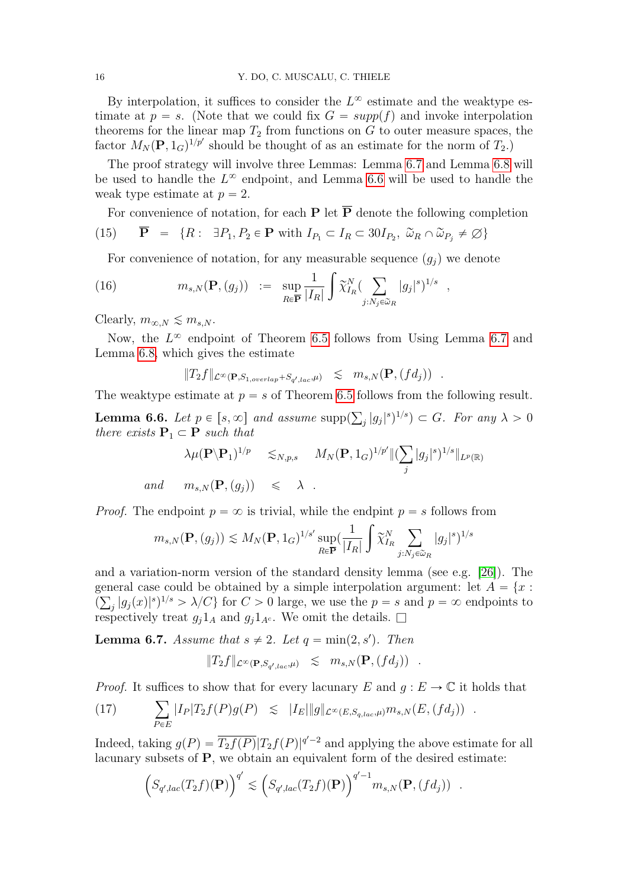By interpolation, it suffices to consider the  $L^{\infty}$  estimate and the weaktype estimate at  $p = s$ . (Note that we could fix  $G = supp(f)$  and invoke interpolation theorems for the linear map  $T_2$  from functions on  $G$  to outer measure spaces, the factor  $M_N(\mathbf{P}, 1_G)^{1/p'}$  should be thought of as an estimate for the norm of  $T_2$ .)

The proof strategy will involve three Lemmas: Lemma [6.7](#page-15-0) and Lemma [6.8](#page-17-1) will be used to handle the  $L^{\infty}$  endpoint, and Lemma [6.6](#page-15-1) will be used to handle the weak type estimate at  $p = 2$ .

For convenience of notation, for each **P** let  $\overline{P}$  denote the following completion

(15) 
$$
\overline{\mathbf{P}} = \{R: \exists P_1, P_2 \in \mathbf{P} \text{ with } I_{P_1} \subset I_R \subset 30I_{P_2}, \ \tilde{\omega}_R \cap \tilde{\omega}_{P_j} \neq \emptyset\}
$$

For convenience of notation, for any measurable sequence  $(g_j)$  we denote

(16) 
$$
m_{s,N}(\mathbf{P}, (g_j)) := \sup_{R \in \overline{\mathbf{P}}} \frac{1}{|I_R|} \int \widetilde{\chi}_{I_R}^N (\sum_{j: N_j \in \widetilde{\omega}_R} |g_j|^s)^{1/s} ,
$$

Clearly,  $m_{\infty,N} \lesssim m_{s,N}$ .

Now, the  $L^{\infty}$  endpoint of Theorem [6.5](#page-14-1) follows from Using Lemma [6.7](#page-15-0) and Lemma [6.8,](#page-17-1) which gives the estimate

$$
||T_2f||_{\mathcal{L}^{\infty}(\mathbf{P},S_1, \text{overlap}+S_{q',lac},\mu)} \leq m_{s,N}(\mathbf{P}, (fd_j)) .
$$

The weaktype estimate at  $p = s$  of Theorem [6.5](#page-14-1) follows from the following result.

<span id="page-15-1"></span>**Lemma 6.6.** Let  $p \in [s, \infty]$  and assume supp(  $|g_j|^s)^{1/s}$   $\subset$   $G$ . For any  $\lambda > 0$ there exists  $P_1 \subset P$  such that

$$
\lambda \mu(\mathbf{P} \setminus \mathbf{P}_1)^{1/p} \leq N, p, s \quad M_N(\mathbf{P}, 1_G)^{1/p'} \| (\sum_j |g_j|^s)^{1/s} \|_{L^p(\mathbb{R})}
$$
  
and  $m_{s,N}(\mathbf{P}, (g_j)) \leq \lambda$ .

*Proof.* The endpoint  $p = \infty$  is trivial, while the endpint  $p = s$  follows from

$$
m_{s,N}(\mathbf{P}, (g_j)) \lesssim M_N(\mathbf{P}, 1_G)^{1/s'} \sup_{R \in \overline{\mathbf{P}}} \left( \frac{1}{|I_R|} \int \widetilde{\chi}_{I_R}^N \sum_{j: N_j \in \widetilde{\omega}_R} |g_j|^s \right)^{1/s}
$$

and a variation-norm version of the standard density lemma (see e.g. [\[26\]](#page-47-3)). The general case could be obtained by a simple interpolation argument: let  $A = \{x :$  $\left(\sum_{j} |g_j(x)|^s\right)^{1/s} > \lambda/C$  for  $C > 0$  large, we use the  $p = s$  and  $p = \infty$  endpoints to respectively treat  $g_j 1_A$  and  $g_j 1_{A^c}$ . We omit the details.  $\Box$ 

<span id="page-15-0"></span>**Lemma 6.7.** Assume that  $s \neq 2$ . Let  $q = \min(2, s')$ . Then

$$
||T_2f||_{\mathcal{L}^{\infty}(\mathbf{P}, S_{q',lac},\mu)} \leq m_{s,N}(\mathbf{P}, (fd_j)) .
$$

*Proof.* It suffices to show that for every lacunary  $E$  and  $g : E \to \mathbb{C}$  it holds that

(17) 
$$
\sum_{P \in E} |I_P| T_2 f(P) g(P) \leq |I_E| \|g\|_{\mathcal{L}^{\infty}(E, S_{q,lac}, \mu)} m_{s,N}(E, (fd_j)) .
$$

Indeed, taking  $g(P) = \overline{T_2f(P)}|T_2f(P)|^{q'-2}$  and applying the above estimate for all lacunary subsets of P, we obtain an equivalent form of the desired estimate:

<span id="page-15-2"></span>
$$
\left(S_{q',lac}(T_2f)(\mathbf{P})\right)^{q'} \lesssim \left(S_{q',lac}(T_2f)(\mathbf{P})\right)^{q'-1} m_{s,N}(\mathbf{P},(fd_j)) .
$$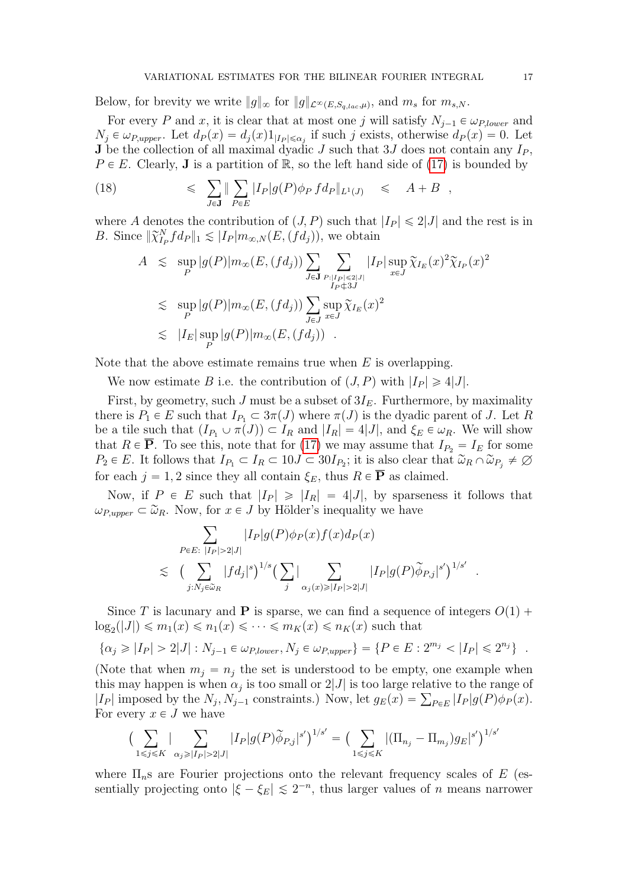Below, for brevity we write  $||g||_{\infty}$  for  $||g||_{\mathcal{L}^{\infty}(E,S_{q,lac},\mu)}$ , and  $m_s$  for  $m_{s,N}$ .

For every P and x, it is clear that at most one j will satisfy  $N_{j-1} \in \omega_{P,lower}$  and  $N_j \in \omega_{P,upper}$ . Let  $d_P(x) = d_j(x)1_{|I_P| \leq \alpha_j}$  if such j exists, otherwise  $d_P(x) = 0$ . Let **J** be the collection of all maximal dyadic J such that 3J does not contain any  $I_P$ ,  $P \in E$ . Clearly, **J** is a partition of  $\mathbb{R}$ , so the left hand side of [\(17\)](#page-15-2) is bounded by

(18) 
$$
\leqslant \sum_{J\in\mathbf{J}} \|\sum_{P\in E} |I_P| g(P) \phi_P f d_P \|_{L^1(J)} \leqslant A + B ,
$$

where A denotes the contribution of  $(J, P)$  such that  $|I_P| \leq 2|J|$  and the rest is in B. Since  $\|\widetilde{\chi}_{I_P}^N f d_P\|_1 \lesssim |I_P| m_{\infty,N}(E, (\widetilde{f} d_j))$ , we obtain ÿ

<span id="page-16-0"></span>
$$
A \leq \sup_{P} |g(P)| m_{\infty}(E, (fd_j)) \sum_{J \in \mathbf{J}} \sum_{\substack{P:|I_P| \leq 2|J| \\ I_P \notin 3J'}} |I_P| \sup_{x \in J} \tilde{\chi}_{I_E}(x)^2 \tilde{\chi}_{I_P}(x)^2
$$
  

$$
\leq \sup_{P} |g(P)| m_{\infty}(E, (fd_j)) \sum_{J \in J} \sup_{x \in J} \tilde{\chi}_{I_E}(x)^2
$$
  

$$
\leq |I_E| \sup_{P} |g(P)| m_{\infty}(E, (fd_j)) .
$$

Note that the above estimate remains true when  $E$  is overlapping.

We now estimate B i.e. the contribution of  $(J, P)$  with  $|I_P| \geq 4|J|$ .

First, by geometry, such J must be a subset of  $3I<sub>E</sub>$ . Furthermore, by maximality there is  $P_1 \in E$  such that  $I_{P_1} \subset 3\pi(J)$  where  $\pi(J)$  is the dyadic parent of J. Let R be a tile such that  $(I_{P_1} \cup \pi(J)) \subset I_R$  and  $|I_R| = 4|J|$ , and  $\xi_E \in \omega_R$ . We will show that  $R \in \overline{P}$ . To see this, note that for [\(17\)](#page-15-2) we may assume that  $I_{P_2} = I_E$  for some  $P_2 \in E$ . It follows that  $I_{P_1} \subset I_R \subset 10J \subset 30I_{P_2}$ ; it is also clear that  $\widetilde{\omega}_R \cap \widetilde{\omega}_{P_j} \neq \emptyset$ for each  $j = 1, 2$  since they all contain  $\xi_E$ , thus  $R \in \overline{P}$  as claimed.

Now, if  $P \in E$  such that  $|I_P| \geq |I_R| = 4|J|$ , by sparseness it follows that  $\omega_{P,upper} \subset \widetilde{\omega}_R$ . Now, for  $x \in J$  by Hölder's inequality we have

$$
\sum_{P \in E: \ |I_P| > 2|J|} |I_P|g(P)\phi_P(x)f(x)d_P(x) \n\lesssim \left( \sum_{j:N_j \in \tilde{\omega}_R} |fd_j|^s \right)^{1/s} \left( \sum_j \Big| \sum_{\alpha_j(x) \geq |I_P| > 2|J|} |I_P|g(P)\tilde{\phi}_{P,j}|^{s'} \right)^{1/s'}
$$

Since T is lacunary and **P** is sparse, we can find a sequence of integers  $O(1)$  +  $\log_2(|J|) \leq m_1(x) \leq n_1(x) \leq \cdots \leq m_K(x) \leq n_K(x)$  such that

$$
\{\alpha_j \geq |I_P| > 2|J| : N_{j-1} \in \omega_{P, lower}, N_j \in \omega_{P,upper}\} = \{P \in E : 2^{m_j} < |I_P| \leq 2^{n_j}\} .
$$

(Note that when  $m_j = n_j$  the set is understood to be empty, one example when this may happen is when  $\alpha_j$  is too small or  $2|J|$  is too large relative to the range of this may happen is when  $\alpha_j$  is too small or  $2|J|$  is too large relative to the range of  $|I_P|$  imposed by the  $N_j$ ,  $N_{j-1}$  constraints.) Now, let  $g_E(x) = \sum_{P \in E} |I_P| g(P) \phi_P(x)$ . For every  $x \in J$  we have

$$
\left(\sum_{1 \leq j \leq K} |\sum_{\alpha_j \geq |I_P| > 2|J|} |I_P| g(P) \widetilde{\phi}_{P,j}|^{s'}\right)^{1/s'} = \left(\sum_{1 \leq j \leq K} |(\Pi_{n_j} - \Pi_{m_j}) g_E|^{s'}\right)^{1/s'}
$$

where  $\Pi_{n}$ s are Fourier projections onto the relevant frequency scales of E (essentially projecting onto  $|\xi - \xi_E| \leq 2^{-n}$ , thus larger values of n means narrower

.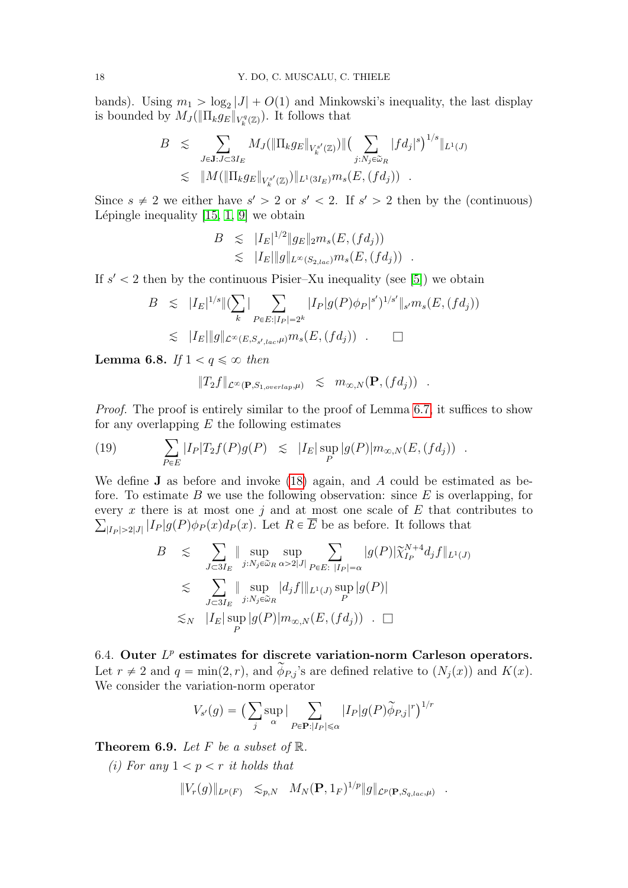bands). Using  $m_1 > \log_2 |J| + O(1)$  and Minkowski's inequality, the last display is bounded by  $M_J(\|\Pi_k g_E\|_{V^q_k(\mathbb{Z})})$ . It follows that

$$
B \leq \sum_{J \in \mathbf{J}: J \subset 3I_E} M_J(\|\Pi_k g_E\|_{V^{s'}_k(\mathbb{Z})}) \| \left( \sum_{j:N_j \in \widetilde{\omega}_R} |f d_j|^s \right)^{1/s} \|_{L^1(J)}
$$
  

$$
\leq \|M(\|\Pi_k g_E\|_{V^{s'}_k(\mathbb{Z})}) \|_{L^1(3I_E)} m_s(E, (fd_j)) .
$$

Since  $s \neq 2$  we either have  $s' > 2$  or  $s' < 2$ . If  $s' > 2$  then by the (continuous) Lépingle inequality  $[15, 1, 9]$  $[15, 1, 9]$  $[15, 1, 9]$  we obtain

$$
B \leq |I_E|^{1/2} \|g_E\|_2 m_s(E, (fd_j))
$$
  

$$
\leq |I_E| \|g\|_{L^{\infty}(S_{2,lac})} m_s(E, (fd_j)) .
$$

If  $s' < 2$  then by the continuous Pisier–Xu inequality (see [\[5\]](#page-46-6)) we obtain

$$
B \leq |I_E|^{1/s} \| (\sum_k |\sum_{P \in E: |I_P| = 2^k} |I_P| g(P) \phi_P|^{s'})^{1/s'} \|_{s'} m_s(E, (fd_j))
$$
  

$$
\leq |I_E| \| g \|_{\mathcal{L}^{\infty}(E, S_{s',loc}, \mu)} m_s(E, (fd_j)) \quad \Box
$$

<span id="page-17-1"></span>**Lemma 6.8.** If  $1 < q \leq \infty$  then

$$
||T_2f||_{\mathcal{L}^{\infty}(\mathbf{P},S_{1,overlap},\mu)} \leq m_{\infty,N}(\mathbf{P},(fd_j)) .
$$

Proof. The proof is entirely similar to the proof of Lemma [6.7,](#page-15-0) it suffices to show for any overlapping  $E$  the following estimates  $\mathbf{r}_{\mathbf{r}}$ 

(19) 
$$
\sum_{P \in E} |I_P| T_2 f(P) g(P) \leq |I_E| \sup_P |g(P)| m_{\infty, N}(E, (fd_j)) .
$$

We define  $J$  as before and invoke [\(18\)](#page-16-0) again, and  $A$  could be estimated as before. To estimate  $B$  we use the following observation: since  $E$  is overlapping, for every x there is at most one j and at most one scale of  $E$  that contributes to  $|I_P| > 2|J| |I_P| g(P) \phi_P(x) d_P(x)$ . Let  $R \in E$  be as before. It follows that ÿ ÿ

$$
B \leq \sum_{J \subset 3I_E} \|\sup_{j:N_j \in \widetilde{\omega}_R} \sup_{\alpha > 2|J|} \sum_{P \in E: |I_P| = \alpha} |g(P)| \widetilde{\chi}_{I_P}^{N+4} d_j f\|_{L^1(J)}
$$
  

$$
\leq \sum_{J \subset 3I_E} \|\sup_{j:N_j \in \widetilde{\omega}_R} |d_j f\|_{L^1(J)} \sup_P |g(P)|
$$
  

$$
\leq N \|I_E| \sup_P |g(P)| m_{\infty,N}(E, (fd_j)) \quad \Box
$$

6.4. Outer  $L^p$  estimates for discrete variation-norm Carleson operators. Let  $r \neq 2$  and  $q = \min(2, r)$ , and  $\widetilde{\phi}_{P,j}$ 's are defined relative to  $(N_j(x))$  and  $K(x)$ . We consider the variation-norm operator

$$
V_{s'}(g) = \left(\sum_{j} \sup_{\alpha} |\sum_{P \in \mathbf{P}:|I_P| \leq \alpha} |I_P| g(P) \widetilde{\phi}_{P,j}|^r\right)^{1/r}
$$

<span id="page-17-0"></span>Theorem 6.9. Let F be a subset of  $\mathbb{R}$ .

(i) For any  $1 < p < r$  it holds that

$$
||V_r(g)||_{L^p(F)} \leq_{p,N} M_N(\mathbf{P}, 1_F)^{1/p} ||g||_{\mathcal{L}^p(\mathbf{P}, S_{q,lac}, \mu)} .
$$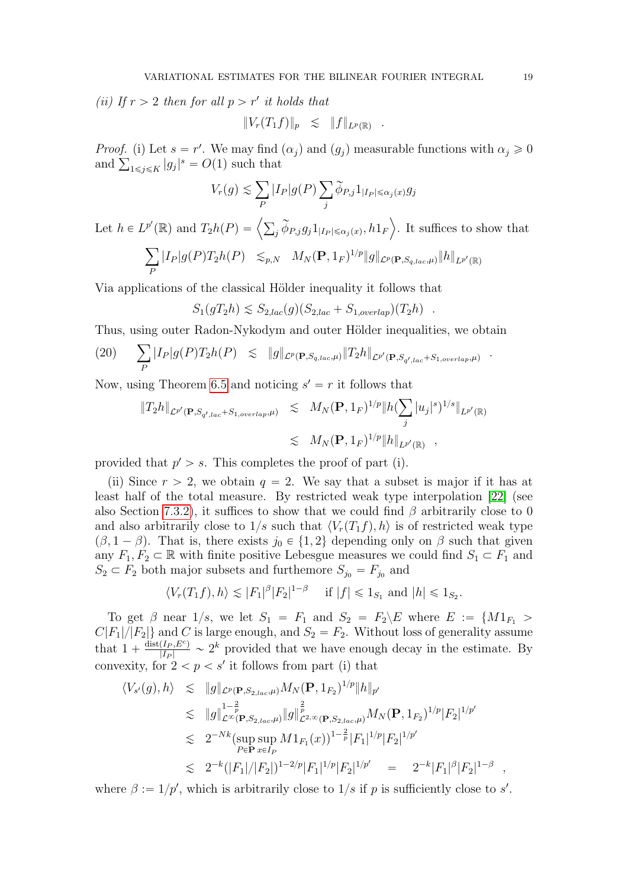(ii) If  $r > 2$  then for all  $p > r'$  it holds that

$$
||V_r(T_1f)||_p \leq ||f||_{L^p(\mathbb{R})} .
$$

*Proof.* (i) Let  $s = r'$ . We may find  $(\alpha_j)$  and  $(g_j)$  measurable functions with  $\alpha_j \geq 0$ *Proof.* (i) Let  $s = r'$ . We may find and  $\sum_{1 \leq j \leq K} |g_j|^s = O(1)$  such that ÿ

$$
V_r(g) \lesssim \sum_P |I_P| g(P) \sum_j \widetilde{\phi}_{P,j} 1_{|I_P| \leq \alpha_j(x)} g_j
$$

Let  $h \in L^{p'}$ (R) and  $T_2h(P) = \left\langle \sum_j \widetilde{\phi}_{P,j}g_j 1_{|I_P| \leq \alpha_j(x)}, h1_F \right\rangle$ . It suffices to show that

$$
\sum_{P} |I_P| g(P) T_2 h(P) \leq_{p,N} M_N(\mathbf{P}, 1_F)^{1/p} ||g||_{\mathcal{L}^p(\mathbf{P}, S_{q,lac}, \mu)} ||h||_{L^{p'}(\mathbb{R})}
$$

Via applications of the classical Hölder inequality it follows that

$$
S_1(gT_2h) \lesssim S_{2,lac}(g)(S_{2,lac} + S_{1,overlap})(T_2h) .
$$

Thus, using outer Radon-Nykodym and outer Hölder inequalities, we obtain

$$
(20) \qquad \sum_{P} |I_P| g(P) T_2 h(P) \leq \|g\|_{\mathcal{L}^p(\mathbf{P}, S_{q,lac}, \mu)} \|T_2 h\|_{\mathcal{L}^{p'}(\mathbf{P}, S_{q',lac} + S_{1,overlap}, \mu)}.
$$

Now, using Theorem [6.5](#page-14-1) and noticing  $s' = r$  it follows that

$$
||T_2h||_{\mathcal{L}^{p'}(\mathbf{P},S_{q',lac}+S_{1,overlap},\mu)} \leq M_N(\mathbf{P},1_F)^{1/p} ||h(\sum_j |u_j|^s)^{1/s}||_{L^{p'}(\mathbb{R})}
$$
  

$$
\leq M_N(\mathbf{P},1_F)^{1/p} ||h||_{L^{p'}(\mathbb{R})},
$$

provided that  $p' > s$ . This completes the proof of part (i).

(ii) Since  $r > 2$ , we obtain  $q = 2$ . We say that a subset is major if it has at least half of the total measure. By restricted weak type interpolation [\[22\]](#page-47-13) (see also Section [7.3.2\)](#page-26-0), it suffices to show that we could find  $\beta$  arbitrarily close to 0 and also arbitrarily close to  $1/s$  such that  $\langle V_r(T_1f), h \rangle$  is of restricted weak type  $(\beta, 1 - \beta)$ . That is, there exists  $j_0 \in \{1, 2\}$  depending only on  $\beta$  such that given any  $F_1, F_2 \subset \mathbb{R}$  with finite positive Lebesgue measures we could find  $S_1 \subset F_1$  and  $S_2 \subset F_2$  both major subsets and furthemore  $S_{j_0} = F_{j_0}$  and

$$
\langle V_r(T_1f), h \rangle \lesssim |F_1|^{\beta} |F_2|^{1-\beta} \quad \text{if } |f| \leq 1_{S_1} \text{ and } |h| \leq 1_{S_2}.
$$

To get  $\beta$  near  $1/s$ , we let  $S_1 = F_1$  and  $S_2 = F_2 \backslash E$  where  $E := \{M1_{F_1} >$  $C|F_1|/|F_2|$  and C is large enough, and  $S_2 = F_2$ . Without loss of generality assume that  $1 + \frac{\text{dist}(I_P, E^c)}{|I_P|} \sim 2^k$  provided that we have enough decay in the estimate. By convexity, for  $2 < p < s'$  it follows from part (i) that

$$
\langle V_{s'}(g), h \rangle \leq \|g\|_{\mathcal{L}^p(\mathbf{P}, S_{2,lac}, \mu)} M_N(\mathbf{P}, 1_{F_2})^{1/p} \|h\|_{p'}
$$
  
\n
$$
\leq \|g\|_{\mathcal{L}^\infty(\mathbf{P}, S_{2,lac}, \mu)}^{1-\frac{2}{p}} \|g\|_{\mathcal{L}^{2,\infty}(\mathbf{P}, S_{2,lac}, \mu)}^{\frac{2}{p}} M_N(\mathbf{P}, 1_{F_2})^{1/p} |F_2|^{1/p'}
$$
  
\n
$$
\leq 2^{-Nk} (\sup_{P \in \mathbf{P}} \sup_{x \in I_P} M 1_{F_1}(x))^{1-\frac{2}{p}} |F_1|^{1/p} |F_2|^{1/p'}
$$
  
\n
$$
\leq 2^{-k} (|F_1|/|F_2|)^{1-2/p} |F_1|^{1/p} |F_2|^{1/p'} = 2^{-k} |F_1|^{\beta} |F_2|^{1-\beta} ,
$$

where  $\beta := 1/p'$ , which is arbitrarily close to  $1/s$  if p is sufficiently close to s'.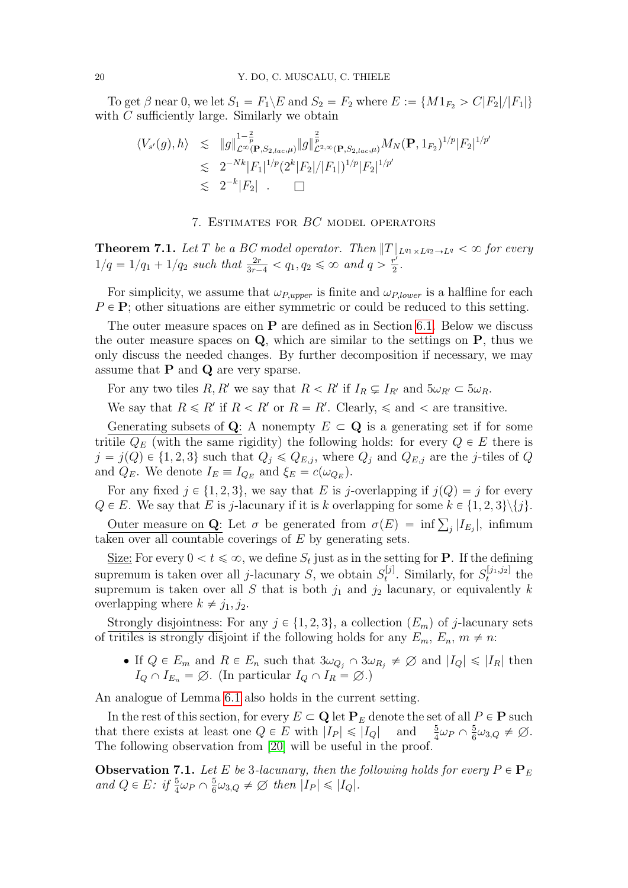To get  $\beta$  near 0, we let  $S_1 = F_1 \backslash E$  and  $S_2 = F_2$  where  $E := \{M1_{F_2} > C|F_2|/|F_1|\}$ with C sufficiently large. Similarly we obtain

$$
\langle V_{s'}(g), h \rangle \leq \|g\|_{\mathcal{L}^{\infty}(\mathbf{P}, S_{2,lac}, \mu)}^{1-\frac{2}{p}} \|g\|_{\mathcal{L}^{2,\infty}(\mathbf{P}, S_{2,lac}, \mu)}^{\frac{2}{p}} M_{N}(\mathbf{P}, 1_{F_2})^{1/p} |F_2|^{1/p'}
$$
  

$$
\lesssim 2^{-Nk} |F_1|^{1/p} (2^k |F_2|/|F_1|)^{1/p} |F_2|^{1/p'}
$$
  

$$
\lesssim 2^{-k} |F_2| \qquad \Box
$$

## 7. Estimates for BC model operators

<span id="page-19-1"></span>**Theorem 7.1.** Let T be a BC model operator. Then  $||T||_{L^{q_1}\times L^{q_2}\to L^q}<\infty$  for every  $1/q = 1/q_1 + 1/q_2$  such that  $\frac{2r}{3r-4} < q_1, q_2 \le \infty$  and  $q > \frac{r^2}{2}$  $rac{r'}{2}$ .

For simplicity, we assume that  $\omega_{P,upper}$  is finite and  $\omega_{P,lower}$  is a halfline for each  $P \in \mathbf{P}$ ; other situations are either symmetric or could be reduced to this setting.

The outer measure spaces on  $P$  are defined as in Section [6.1.](#page-12-1) Below we discuss the outer measure spaces on  $Q$ , which are similar to the settings on  $P$ , thus we only discuss the needed changes. By further decomposition if necessary, we may assume that  $P$  and  $Q$  are very sparse.

For any two tiles R, R' we say that  $R < R'$  if  $I_R \subsetneq I_{R'}$  and  $5\omega_{R'} \subset 5\omega_R$ .

We say that  $R \le R'$  if  $R < R'$  or  $R = R'$ . Clearly,  $\le$  and  $\lt$  are transitive.

Generating subsets of Q: A nonempty  $E \subset \mathbf{Q}$  is a generating set if for some tritile  $Q_E$  (with the same rigidity) the following holds: for every  $Q \in E$  there is  $j = j(Q) \in \{1, 2, 3\}$  such that  $Q_j \leq Q_{E,j}$ , where  $Q_j$  and  $Q_{E,j}$  are the j-tiles of Q and  $Q_E$ . We denote  $I_E \equiv I_{Q_E}$  and  $\xi_E = c(\omega_{Q_E})$ .

For any fixed  $j \in \{1, 2, 3\}$ , we say that E is j-overlapping if  $j(Q) = j$  for every  $Q \in E$ . We say that E is j-lacunary if it is k overlapping for some  $k \in \{1, 2, 3\} \setminus \{j\}.$ 

E E: We say that E is f-latter if it is k overlapping for some  $k \in \{1, 2, 3f\}\$ .<br>Outer measure on Q: Let σ be generated from  $\sigma(E) = \inf \sum_j |I_{E_j}|$ , infimum taken over all countable coverings of  $E$  by generating sets.

Size: For every  $0 < t \le \infty$ , we define  $S_t$  just as in the setting for **P**. If the defining supremum is taken over all *j*-lacunary *S*, we obtain  $S_t^{[j]}$  $S_t^{[j]}$ . Similarly, for  $S_t^{[j_1,j_2]}$  $t^{[J_1,J_2]}$  the supremum is taken over all S that is both  $j_1$  and  $j_2$  lacunary, or equivalently k overlapping where  $k \neq j_1, j_2$ .

Strongly disjointness: For any  $j \in \{1, 2, 3\}$ , a collection  $(E_m)$  of j-lacunary sets of tritiles is strongly disjoint if the following holds for any  $E_m$ ,  $E_n$ ,  $m \neq n$ :

• If  $Q \in E_m$  and  $R \in E_n$  such that  $3\omega_{Q_i} \cap 3\omega_{R_i} \neq \emptyset$  and  $|I_Q| \leq |I_R|$  then  $I_Q \cap I_{E_n} = \emptyset$ . (In particular  $I_Q \cap I_R = \emptyset$ .)

An analogue of Lemma [6.1](#page-13-0) also holds in the current setting.

In the rest of this section, for every  $E \subset \mathbf{Q}$  let  $\mathbf{P}_E$  denote the set of all  $P \in \mathbf{P}$  such that there exists at least one  $Q \in E$  with  $|I_P| \leq |I_Q|$  and  $\frac{5}{4}\omega_P \cap \frac{5}{6}$  $\frac{5}{6}\omega_{3,Q} \neq \emptyset.$ The following observation from [\[20\]](#page-47-10) will be useful in the proof.

<span id="page-19-0"></span>**Observation 7.1.** Let E be 3-lacunary, then the following holds for every  $P \in \mathbf{P}_E$ and  $Q \in E$ : if  $\frac{5}{4}\omega_P \cap \frac{5}{6}$  $\frac{5}{6}\omega_{3,Q} \neq \emptyset$  then  $|I_P| \leq |I_Q|$ .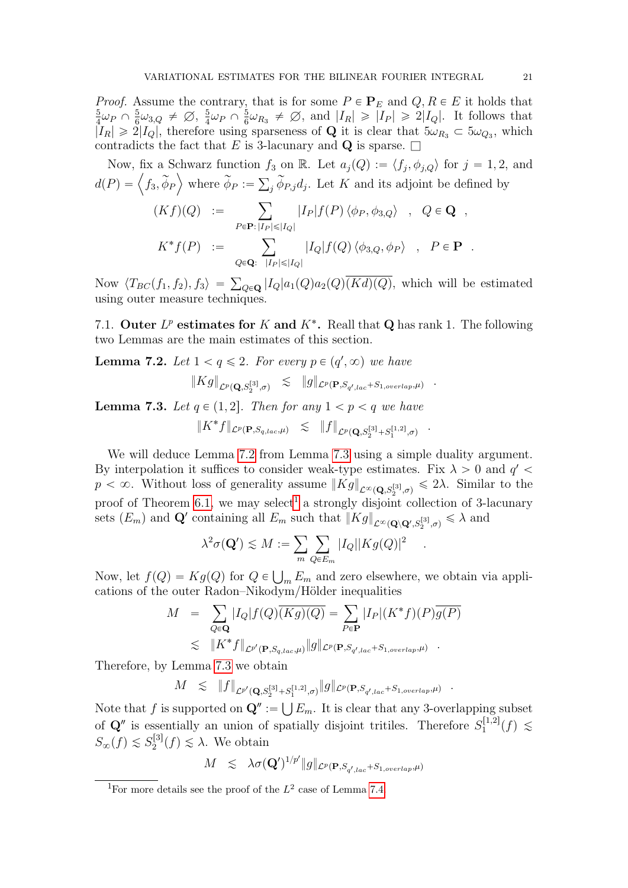*Proof.* Assume the contrary, that is for some  $P \in \mathbf{P}_E$  and  $Q, R \in E$  it holds that 5  $\frac{5}{4}\omega_P \cap \frac{5}{6}$  $\frac{5}{6}\omega_{3,Q} \neq \emptyset, \frac{5}{4}$  $\frac{5}{4}\omega_P \cap \frac{5}{6}$  $\frac{5}{6}\omega_{R_3} \neq \emptyset$ , and  $|I_R| \geq |I_P| \geq 2|I_Q|$ . It follows that  $|I_R| \geq 2|I_Q|$ , therefore using sparseness of **Q** it is clear that  $5\omega_{R_3} \subset 5\omega_{Q_3}$ , which contradicts the fact that E is 3-lacunary and Q is sparse.  $\square$ 

Now, fix a Schwarz function  $f_3$  on R. Let  $a_j(Q) := \langle f_j, \phi_{j,Q} \rangle$  for  $j = 1, 2$ , and  $d(P) = \langle f_3, \widetilde{\phi}_P \rangle$  where  $\widetilde{\phi}_P := \sum_j \widetilde{\phi}_{P,j} d_j$ . Let K and its adjoint be defined by  $\overline{\phantom{0}}$ 

$$
(Kf)(Q) := \sum_{P \in \mathbf{P}: |I_P| \leq |I_Q|} |I_P| f(P) \langle \phi_P, \phi_{3,Q} \rangle , Q \in \mathbf{Q} ,
$$
  

$$
K^* f(P) := \sum_{Q \in \mathbf{Q}: |I_P| \leq |I_Q|} |I_Q| f(Q) \langle \phi_{3,Q}, \phi_P \rangle , P \in \mathbf{P} .
$$

Now  $\langle T_{BC}(f_1, f_2), f_3 \rangle =$  $_{Q\in\mathbf{Q}}$   $|I_Q|a_1(Q)a_2(Q)(Kd)(Q)$ , which will be estimated using outer measure techniques.

7.1. Outer  $L^p$  estimates for K and  $K^*$ . Reall that Q has rank 1. The following two Lemmas are the main estimates of this section.

<span id="page-20-0"></span>**Lemma 7.2.** Let  $1 < q \leq 2$ . For every  $p \in (q', \infty)$  we have

$$
\|Kg\|_{\mathcal{L}^p(\mathbf{Q},S_2^{[3]},\sigma)} \leq \|g\|_{\mathcal{L}^p(\mathbf{P},S_{q',lac}+S_{1,overlap},\mu)} \quad .
$$

<span id="page-20-1"></span>**Lemma 7.3.** Let  $q \in (1, 2]$ . Then for any  $1 < p < q$  we have

$$
\|K^*f\|_{\mathcal{L}^p(\mathbf{P},S_{q,lac},\mu)} \leq \|f\|_{\mathcal{L}^p(\mathbf{Q},S_2^{[3]}+S_1^{[1,2]},\sigma)}
$$

.

.

We will deduce Lemma [7.2](#page-20-0) from Lemma [7.3](#page-20-1) using a simple duality argument. By interpolation it suffices to consider weak-type estimates. Fix  $\lambda > 0$  and  $q' <$  $p < \infty$ . Without loss of generality assume  $||Kg||_{\mathcal{L}^{\infty}(\mathbf{Q},S_2^{[3]},\sigma)} \leq 2\lambda$ . Similar to the proof of Theorem [6.1,](#page-13-2) we may select<sup>[1](#page-20-2)</sup> a strongly disjoint collection of 3-lacunary sets  $(E_m)$  and  $\mathbf{Q}'$  containing all  $E_m$  such that  $||Kg||_{\mathcal{L}^{\infty}(\mathbf{Q}\setminus\mathbf{Q}',S_2^{[3]},\sigma)} \leq \lambda$  and

$$
\lambda^2 \sigma(\mathbf{Q}') \lesssim M := \sum_{m} \sum_{Q \in E_m} |I_Q| |K g(Q)|^2
$$

Now, let  $f(Q) = Kg(Q)$  for  $Q \in$  $E_m E_m$  and zero elsewhere, we obtain via appli-

cations of the outer Radon-Nikodym/Hölder inequalities  
\n
$$
M = \sum_{Q \in \mathbf{Q}} |I_Q| f(Q) \overline{(Kg)(Q)} = \sum_{P \in \mathbf{P}} |I_P| (K^* f)(P) \overline{g(P)}
$$
\n
$$
\lesssim ||K^* f||_{\mathcal{L}^{p'}(\mathbf{P}, S_{q,lac}, \mu)} ||g||_{\mathcal{L}^p(\mathbf{P}, S_{q',lac} + S_{1,overlap}, \mu)}.
$$

Therefore, by Lemma [7.3](#page-20-1) we obtain

$$
M \leq \|f\|_{\mathcal{L}^{p'}(\mathbf{Q},S_2^{[3]}+S_1^{[1,2]},\sigma)} \|g\|_{\mathcal{L}^p(\mathbf{P},S_{q',lac}+S_{1,overlap},\mu)} \quad .
$$

Note that f is supported on  $\mathbf{Q}''$  :=  $E_m$ . It is clear that any 3-overlapping subset of  $\mathbf{Q}''$  is essentially an union of spatially disjoint tritiles. Therefore  $S_1^{[1,2]}$  $\mathcal{L}_1^{[1,2]}(f) \lesssim$  $S_{\infty}(f) \lesssim S_2^{[3]}$  $\chi_2^{[3]}(f) \lesssim \lambda$ . We obtain

$$
M \leq \lambda \sigma(\mathbf{Q}')^{1/p'} \|g\|_{\mathcal{L}^p(\mathbf{P}, S_{q',lac} + S_{1,overlap},\mu)}
$$

<span id="page-20-2"></span><sup>&</sup>lt;sup>1</sup>For more details see the proof of the  $L^2$  case of Lemma [7.4.](#page-21-0)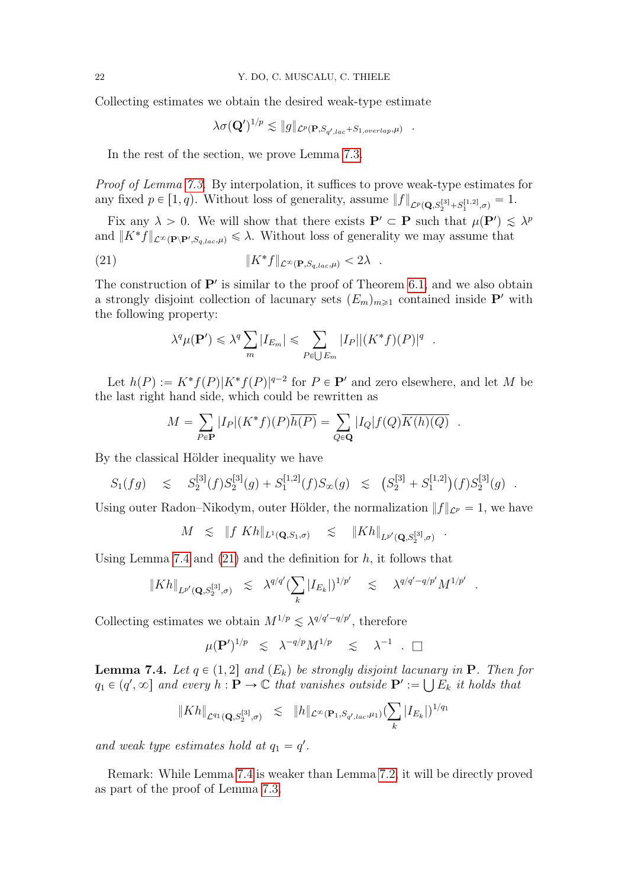Collecting estimates we obtain the desired weak-type estimate

$$
\lambda \sigma(\mathbf{Q}')^{1/p} \lesssim \|g\|_{\mathcal{L}^p(\mathbf{P},S_{\boldsymbol{q}',lac}+S_{1,overlap},\mu)}
$$

.

.

.

In the rest of the section, we prove Lemma [7.3.](#page-20-1)

Proof of Lemma [7.3.](#page-20-1) By interpolation, it suffices to prove weak-type estimates for any fixed  $p \in [1, q)$ . Without loss of generality, assume  $||f||_{\mathcal{L}^p(\mathbf{Q}, S_2^{[3]} + S_1^{[1,2]}, \sigma)} = 1$ .

Fix any  $\lambda > 0$ . We will show that there exists  $P' \subset P$  such that  $\mu(P') \leq \lambda^p$ and  $||K^*f||_{\mathcal{L}^{\infty}(\mathbf{P}\setminus\mathbf{P}',S_{q,lac},\mu)} \leq \lambda$ . Without loss of generality we may assume that

(21) 
$$
||K^*f||_{\mathcal{L}^{\infty}(\mathbf{P}, S_{q,lac},\mu)} < 2\lambda .
$$

The construction of  $\mathbf{P}'$  is similar to the proof of Theorem [6.1,](#page-13-2) and we also obtain a strongly disjoint collection of lacunary sets  $(E_m)_{m\geq 1}$  contained inside P' with the following property:

<span id="page-21-1"></span>
$$
\lambda^{q} \mu(\mathbf{P}') \leq \lambda^{q} \sum_{m} |I_{E_{m}}| \leq \sum_{P \in \bigcup E_{m}} |I_{P}| |(K^{*} f)(P)|^{q}
$$

Let  $h(P) := K^* f(P) |K^* f(P)|^{q-2}$  for  $P \in \mathbf{P}'$  and zero elsewhere, and let M be the last right hand side, which could be rewritten as

$$
M = \sum_{P \in \mathbf{P}} |I_P|(K^*f)(P)\overline{h(P)} = \sum_{Q \in \mathbf{Q}} |I_Q|f(Q)\overline{K(h)(Q)}.
$$

By the classical Hölder inequality we have

$$
S_1(fg) \leq S_2^{[3]}(f)S_2^{[3]}(g) + S_1^{[1,2]}(f)S_{\infty}(g) \leq (S_2^{[3]} + S_1^{[1,2]})(f)S_2^{[3]}(g) .
$$

Using outer Radon–Nikodym, outer Hölder, the normalization  $||f||_{\mathcal{L}^p} = 1$ , we have

$$
M \leq \|f\ K h\|_{L^1(\mathbf{Q},S_1,\sigma)} \leq \|K h\|_{L^{p'}(\mathbf{Q},S_2^{[3]},\sigma)}
$$

Using Lemma [7.4](#page-21-0) and  $(21)$  and the definition for h, it follows that

$$
\|Kh\|_{L^{p'}({\mathbf Q},S_2^{[3]}, \sigma)}\;\;\lesssim\;\; \lambda^{q/q'}(\sum_k |I_{E_k}|)^{1/p'}\quad \lesssim\quad \lambda^{q/q'-q/p'}M^{1/p'}\;\;.
$$

Collecting estimates we obtain  $M^{1/p} \lesssim \lambda^{q/q'-q/p'}$ , therefore

$$
\mu(\mathbf{P}')^{1/p} \quad \lesssim \quad \lambda^{-q/p} M^{1/p} \quad \lesssim \quad \lambda^{-1} \quad \Box
$$

<span id="page-21-0"></span>**Lemma 7.4.** Let  $q \in (1, 2]$  and  $(E_k)$  be strongly disjoint lacunary in **P**. Then for  $q_1 \in (q', \infty]$  and every  $h : \mathbf{P} \to \mathbb{C}$  that vanishes outside  $\mathbf{P}' := \bigcup E_k$  it holds that

$$
||Kh||_{\mathcal{L}^{q_1}(\mathbf{Q},S_2^{[3]},\sigma)} \leq ||h||_{\mathcal{L}^{\infty}(\mathbf{P}_1,S_{q',lac},\mu_1)}(\sum_k |I_{E_k}|)^{1/q_1}
$$

and weak type estimates hold at  $q_1 = q'$ .

Remark: While Lemma [7.4](#page-21-0) is weaker than Lemma [7.2,](#page-20-0) it will be directly proved as part of the proof of Lemma [7.3.](#page-20-1)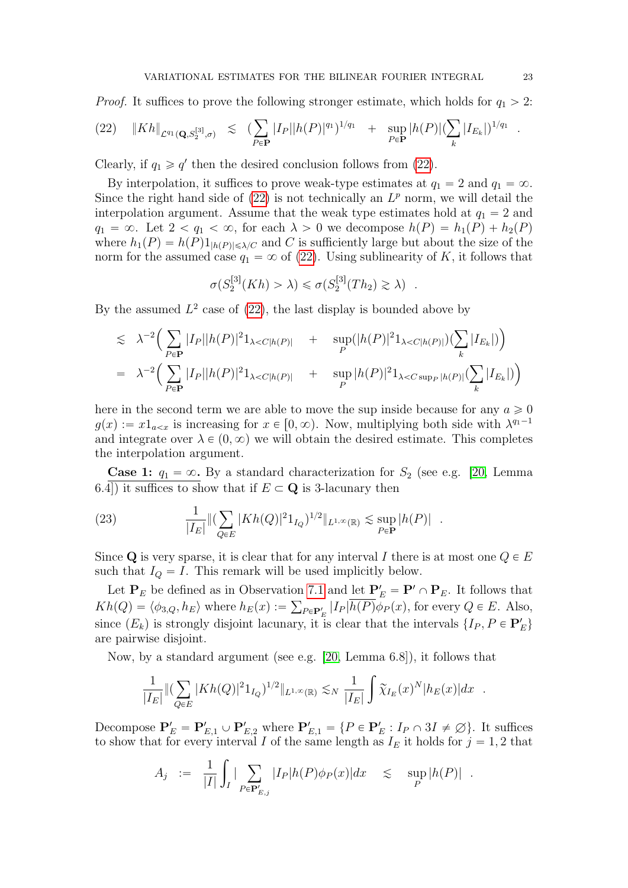*Proof.* It suffices to prove the following stronger estimate, which holds for  $q_1 > 2$ :

<span id="page-22-0"></span>
$$
(22) \t\t ||Kh||_{\mathcal{L}^{q_1}(\mathbf{Q},S_2^{[3]},\sigma)} \leq (\sum_{P\in\mathbf{P}}|I_P||h(P)|^{q_1})^{1/q_1} + \sup_{P\in\mathbf{P}}|h(P)|(\sum_{k}|I_{E_k}|)^{1/q_1}.
$$

Clearly, if  $q_1 \ge q'$  then the desired conclusion follows from [\(22\)](#page-22-0).

By interpolation, it suffices to prove weak-type estimates at  $q_1 = 2$  and  $q_1 = \infty$ . Since the right hand side of  $(22)$  is not technically an  $L^p$  norm, we will detail the interpolation argument. Assume that the weak type estimates hold at  $q_1 = 2$  and  $q_1 = \infty$ . Let  $2 < q_1 < \infty$ , for each  $\lambda > 0$  we decompose  $h(P) = h_1(P) + h_2(P)$ where  $h_1(P) = h(P)1_{\vert h(P) \vert \leq \lambda/C}$  and C is sufficiently large but about the size of the norm for the assumed case  $q_1 = \infty$  of [\(22\)](#page-22-0). Using sublinearity of K, it follows that

$$
\sigma(S_2^{[3]}(Kh) > \lambda) \leq \sigma(S_2^{[3]}(Th_2) \geq \lambda) .
$$

By the assumed  $L^2$  case of  $(22)$ , the last display is bounded above by

$$
\leq \lambda^{-2} \Big( \sum_{P \in \mathbf{P}} |I_P||h(P)|^2 1_{\lambda < C|h(P)|} + \sup_P (|h(P)|^2 1_{\lambda < C|h(P)|}) \Big( \sum_k |I_{E_k}| \Big) \Big) \n= \lambda^{-2} \Big( \sum_{P \in \mathbf{P}} |I_P||h(P)|^2 1_{\lambda < C|h(P)|} + \sup_P |h(P)|^2 1_{\lambda < C \sup_P |h(P)|} \Big( \sum_k |I_{E_k}| \Big) \Big)
$$

here in the second term we are able to move the sup inside because for any  $a \ge 0$  $g(x) := x1_{a \le x}$  is increasing for  $x \in [0, \infty)$ . Now, multiplying both side with  $\lambda^{q_1-1}$ and integrate over  $\lambda \in (0, \infty)$  we will obtain the desired estimate. This completes the interpolation argument.

**Case 1:**  $q_1 = \infty$ . By a standard characterization for  $S_2$  (see e.g. [\[20,](#page-47-10) Lemma 6.4) it suffices to show that if  $E \subset \mathbf{Q}$  is 3-lacunary then

(23) 
$$
\frac{1}{|I_E|} \| (\sum_{Q \in E} |Kh(Q)|^2 1_{I_Q})^{1/2} \|_{L^{1,\infty}(\mathbb{R})} \lesssim \sup_{P \in \mathbf{P}} |h(P)|.
$$

Since Q is very sparse, it is clear that for any interval I there is at most one  $Q \in E$ such that  $I_Q = I$ . This remark will be used implicitly below.

Let  $P_E$  be defined as in Observation [7.1](#page-19-0) and <u>let  $P'_E = P' \cap P_E$ </u>. It follows that  $Kh(Q) = \langle \phi_{3,Q}, h_E \rangle$  where  $h_E(x) := \sum_{P \in \mathbf{P}'_E} |I_P|h(P)\phi_P(x)$ , for every  $Q \in E$ . Also, since  $(E_k)$  is strongly disjoint lacunary, it is clear that the intervals  $\{I_P, P \in \mathbf{P}'_E\}$ are pairwise disjoint.

Now, by a standard argument (see e.g. [\[20,](#page-47-10) Lemma 6.8]), it follows that

$$
\frac{1}{|I_E|} \| (\sum_{Q \in E} |Kh(Q)|^2 1_{I_Q})^{1/2} \|_{L^{1,\infty}(\mathbb{R})} \lesssim_N \frac{1}{|I_E|} \int \widetilde{\chi}_{I_E}(x)^N |h_E(x)| dx \quad .
$$

Decompose  $\mathbf{P}'_E = \mathbf{P}'_{E,1} \cup \mathbf{P}'_{E,2}$  where  $\mathbf{P}'_{E,1} = \{P \in \mathbf{P}'_E : I_P \cap 3I \neq \emptyset\}$ . It suffices to show that for every interval I of the same length as  $I<sub>E</sub>$  it holds for  $j = 1, 2$  that

$$
A_j := \frac{1}{|I|} \int_I |\sum_{P \in \mathbf{P}'_{E,j}} |I_P|h(P)\phi_P(x)| dx \leq \sup_P |h(P)|.
$$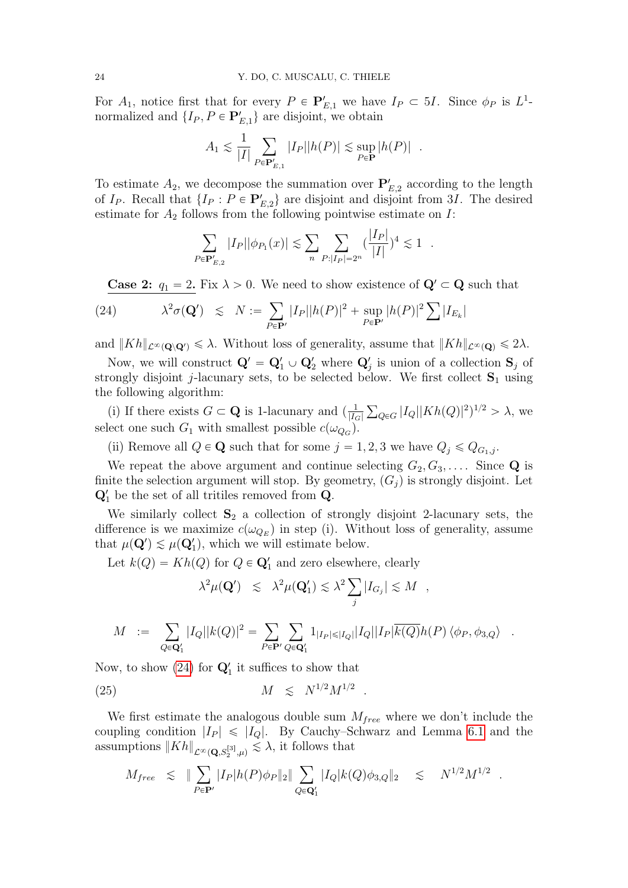For  $A_1$ , notice first that for every  $P \in \mathbf{P}'_{E,1}$  we have  $I_P \subset 5I$ . Since  $\phi_P$  is  $L^1$ normalized and  $\{I_P, P \in \mathbf{P}_{E,1}'\}$  are disjoint, we obtain

$$
A_1 \lesssim \frac{1}{|I|} \sum_{P \in \mathbf{P}'_{E,1}} |I_P||h(P)| \lesssim \sup_{P \in \mathbf{P}} |h(P)|.
$$

To estimate  $A_2$ , we decompose the summation over  $\mathbf{P}'_{E,2}$  according to the length of  $I_P$ . Recall that  $\{I_P : P \in \mathbf{P}_{E,2}'\}$  are disjoint and disjoint from 3*I*. The desired estimate for  $A_2$  follows from the following pointwise estimate on  $I$ :

$$
\sum_{P \in {\bf P}'_{E,2}} |I_P||\phi_{P_1}(x)| \lesssim \sum_n \sum_{P:|I_P| = 2^n} (\frac{|I_P|}{|I|})^4 \lesssim 1.
$$

<span id="page-23-0"></span>**Case 2:**  $q_1 = 2$ . Fix  $\lambda > 0$ . We need to show existence of  $\mathbf{Q}' \subset \mathbf{Q}$  such that

(24) 
$$
\lambda^2 \sigma(\mathbf{Q}') \leq N := \sum_{P \in \mathbf{P}'} |I_P||h(P)|^2 + \sup_{P \in \mathbf{P}'} |h(P)|^2 \sum |I_{E_k}|
$$

and  $||Kh||_{\mathcal{L}^{\infty}(\mathbf{Q}\setminus\mathbf{Q}')} \leq \lambda$ . Without loss of generality, assume that  $||Kh||_{\mathcal{L}^{\infty}(\mathbf{Q})} \leq 2\lambda$ .

Now, we will construct  $\mathbf{Q}' = \mathbf{Q}'_1 \cup \mathbf{Q}'_2$  where  $\mathbf{Q}'_j$  is union of a collection  $\mathbf{S}_j$  of strongly disjoint *j*-lacunary sets, to be selected below. We first collect  $S_1$  using the following algorithm:

(i) If there exists  $G \subset \mathbf{Q}$  is 1-lacunary and  $\left(\frac{1}{|L|}\right)$  $|I_G|$  $_{Q \in G} |I_Q||Kh(Q)|^2)^{1/2} > \lambda$ , we select one such  $G_1$  with smallest possible  $c(\omega_{Q_G})$ .

(ii) Remove all  $Q \in \mathbf{Q}$  such that for some  $j = 1, 2, 3$  we have  $Q_i \leq Q_{G_1,j}$ .

We repeat the above argument and continue selecting  $G_2, G_3, \ldots$ . Since Q is finite the selection argument will stop. By geometry,  $(G_i)$  is strongly disjoint. Let  $\mathbf{Q}'_1$  be the set of all tritiles removed from  $\mathbf{Q}$ .

We similarly collect  $S_2$  a collection of strongly disjoint 2-lacunary sets, the difference is we maximize  $c(\omega_{Q_E})$  in step (i). Without loss of generality, assume that  $\mu(\mathbf{Q}') \lesssim \mu(\mathbf{Q}'_1)$ , which we will estimate below.

Let  $k(Q) = Kh(Q)$  for  $Q \in \mathbf{Q}'_1$  and zero elsewhere, clearly

<span id="page-23-1"></span>
$$
\lambda^2 \mu(\mathbf{Q}') \leq \lambda^2 \mu(\mathbf{Q}'_1) \leq \lambda^2 \sum_j |I_{G_j}| \leq M,
$$

$$
M = \sum_{Q \in \mathbf{Q}'_1} |I_Q||k(Q)|^2 = \sum_{P \in \mathbf{P}'} \sum_{Q \in \mathbf{Q}'_1} 1_{|I_P| \leq |I_Q|} |I_Q||I_P|\overline{k(Q)}h(P) \langle \phi_P, \phi_{3,Q} \rangle .
$$

Now, to show  $(24)$  for  $\mathbf{Q}'_1$  it suffices to show that

(25) 
$$
M \leq N^{1/2} M^{1/2}
$$
.

We first estimate the analogous double sum  $M_{free}$  where we don't include the coupling condition  $|I_P| \leq |I_Q|$ . By Cauchy–Schwarz and Lemma [6.1](#page-13-0) and the assumptions  $||Kh||_{\mathcal{L}^{\infty}(\mathbf{Q},S_2^{[3]},\mu)} \lesssim \lambda$ , it follows that

$$
M_{free} \leq \|\sum_{P \in \mathbf{P}'} |I_P|h(P)\phi_P\|_2 \|\sum_{Q \in \mathbf{Q}'_1} |I_Q|k(Q)\phi_{3,Q}\|_2 \leq N^{1/2}M^{1/2}.
$$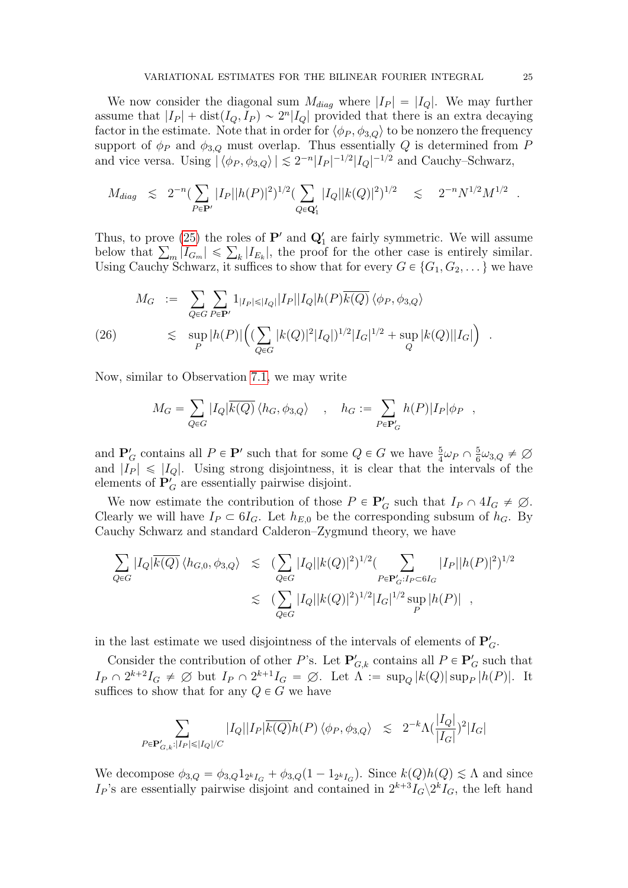We now consider the diagonal sum  $M_{diag}$  where  $|I_P| = |I_Q|$ . We may further assume that  $|I_P| + \text{dist}(I_Q, I_P) \sim 2^n |I_Q|$  provided that there is an extra decaying factor in the estimate. Note that in order for  $\langle \phi_P, \phi_{3,Q} \rangle$  to be nonzero the frequency support of  $\phi_P$  and  $\phi_{3,Q}$  must overlap. Thus essentially Q is determined from P and vice versa. Using  $|\langle \phi_P, \phi_{3,Q} \rangle| \lesssim 2^{-n} |I_P|^{-1/2} |I_Q|^{-1/2}$  and Cauchy–Schwarz,

$$
M_{diag} \leq 2^{-n} (\sum_{P \in \mathbf{P}'} |I_P| |h(P)|^2)^{1/2} (\sum_{Q \in \mathbf{Q}'_1} |I_Q| |k(Q)|^2)^{1/2} \leq 2^{-n} N^{1/2} M^{1/2}.
$$

Thus, to prove [\(25\)](#page-23-1) the roles of  $\mathbf{P}'$  and  $\mathbf{Q}'_1$  are fairly symmetric. We will assume Thus, to prove (25) the roles of **P'** and  $\mathbf{Q}'_1$  are fairly symmetric. We will assume below that  $\sum_m |I_{G_m}| \leq \sum_k |I_{E_k}|$ , the proof for the other case is entirely similar. Using Cauchy Schwarz, it suffices to show that for every  $G \in \{G_1, G_2, \dots\}$  we have

$$
M_G := \sum_{Q \in G} \sum_{P \in \mathbf{P}'} 1_{|I_P| \le |I_Q|} |I_P||I_Q|h(P)\overline{k(Q)} \langle \phi_P, \phi_{3,Q} \rangle
$$
  
(26)  

$$
\lesssim \sup_P |h(P)| \Big( (\sum_{Q \in G} |k(Q)|^2 |I_Q|)^{1/2} |I_G|^{1/2} + \sup_Q |k(Q)||I_G| \Big) .
$$

Now, similar to Observation [7.1,](#page-19-0) we may write

$$
M_G = \sum_{Q \in G} |I_Q| \overline{k(Q)} \langle h_G, \phi_{3,Q} \rangle \quad , \quad h_G := \sum_{P \in \mathbf{P}'_G} h(P)|I_P|\phi_P \quad ,
$$

and  $\mathbf{P}_G'$  contains all  $P \in \mathbf{P}'$  such that for some  $Q \in G$  we have  $\frac{5}{4}\omega_P \cap \frac{5}{6}$  $\frac{5}{6}\omega_{3,Q} \neq \varnothing$ and  $|I_P| \leq |I_Q|$ . Using strong disjointness, it is clear that the intervals of the elements of  $P'_G$  are essentially pairwise disjoint.

We now estimate the contribution of those  $P \in \mathbf{P}'_G$  such that  $I_P \cap 4I_G \neq \emptyset$ . Clearly we will have  $I_P \subset \mathfrak{sl}_G$ . Let  $h_{E,0}$  be the corresponding subsum of  $h_G$ . By Cauchy Schwarz and standard Calderon–Zygmund theory, we have

$$
\sum_{Q \in G} |I_Q| \overline{k(Q)} \langle h_{G,0}, \phi_{3,Q} \rangle \leq (\sum_{Q \in G} |I_Q| |k(Q)|^2)^{1/2} (\sum_{P \in \mathbf{P}'_G: I_P \subset 6I_G} |I_P| |h(P)|^2)^{1/2}
$$
  

$$
\lesssim (\sum_{Q \in G} |I_Q| |k(Q)|^2)^{1/2} |I_G|^{1/2} \sup_P |h(P)|,
$$

in the last estimate we used disjointness of the intervals of elements of  $P'_G$ .

Consider the contribution of other P's. Let  $\mathbf{P}'_{G,k}$  contains all  $P \in \mathbf{P}'_G$  such that  $I_P \cap 2^{k+2}I_G \neq \emptyset$  but  $I_P \cap 2^{k+1}I_G = \emptyset$ . Let  $\Lambda := \sup_Q |k(Q)| \sup_P |h(P)|$ . It suffices to show that for any  $Q \in G$  we have

$$
\sum_{P\in {\bf P}_{G,k}':|I_P|\leqslant |I_Q|/C} |I_Q||I_P|\overline{k(Q)}h(P)\,\langle \phi_P,\phi_{3,Q}\rangle \;\;\lesssim\;\; 2^{-k}\Lambda(\frac{|I_Q|}{|I_G|})^2|I_G|
$$

We decompose  $\phi_{3,Q} = \phi_{3,Q} 1_{2^k I_G} + \phi_{3,Q}(1 - 1_{2^k I_G})$ . Since  $k(Q)h(Q) \leq \Lambda$  and since  $I_P$ 's are essentially pairwise disjoint and contained in  $2^{k+3}I_G\backslash 2^kI_G$ , the left hand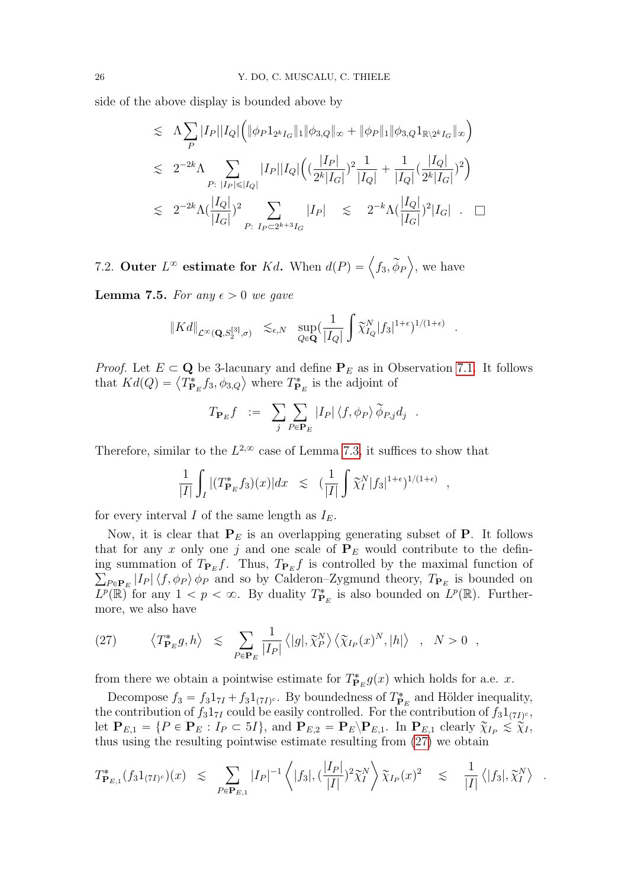side of the above display is bounded above by

$$
\leq \Lambda \sum_{P} |I_{P}||I_{Q}|\Big(\|\phi_{P}1_{2^{k}I_{G}}\|_{1}\|\phi_{3,Q}\|_{\infty} + \|\phi_{P}\|_{1}\|\phi_{3,Q}1_{\mathbb{R}\backslash2^{k}I_{G}}\|_{\infty}\Big)
$$
  
\n
$$
\leq 2^{-2k}\Lambda \sum_{P:\ |I_{P}| \leq |I_{Q}|} |I_{P}||I_{Q}|\Big((\frac{|I_{P}|}{2^{k}|I_{G}|})^{2}\frac{1}{|I_{Q}|} + \frac{1}{|I_{Q}|}(\frac{|I_{Q}|}{2^{k}|I_{G}|})^{2}\Big)
$$
  
\n
$$
\leq 2^{-2k}\Lambda (\frac{|I_{Q}|}{|I_{G}|})^{2} \sum_{P:\ I_{P} \subset 2^{k+3}I_{G}} |I_{P}| \leq 2^{-k}\Lambda (\frac{|I_{Q}|}{|I_{G}|})^{2}|I_{G}| . \quad \Box
$$

7.2. Outer  $L^{\infty}$  estimate for Kd. When  $d(P) = \langle f_3, \widetilde{\phi}_P \rangle$ , we have

<span id="page-25-1"></span>**Lemma 7.5.** For any  $\epsilon > 0$  we gave

$$
\|Kd\|_{\mathcal{L}^\infty(\mathbf{Q},S_2^{[3]},\sigma)} \quad \lesssim_{\epsilon,N} \quad \sup_{Q\in\mathbf{Q}} \left(\frac{1}{|I_Q|} \int \widetilde{\chi}_{I_Q}^N |f_3|^{1+\epsilon} \right)^{1/(1+\epsilon)}
$$

.

.

*Proof.* Let  $E \subset \mathbf{Q}$  be 3-lacunary and define  $\mathbf{P}_E$  as in Observation [7.1.](#page-19-0) It follows that  $Kd(Q) = \langle T_{\mathbf{P}_E}^* f_3, \phi_{3,Q} \rangle$  where  $T_{\mathbf{P}_E}^*$  is the adjoint of

$$
T_{\mathbf{P}_E}f = \sum_j \sum_{P \in \mathbf{P}_E} |I_P| \langle f, \phi_P \rangle \widetilde{\phi}_{P,j} d_j.
$$

Therefore, similar to the  $L^{2,\infty}$  case of Lemma [7.3,](#page-20-1) it suffices to show that

$$
\frac{1}{|I|} \int_I |(T_{\mathbf{P}_E}^* f_3)(x)| dx \leq (\frac{1}{|I|} \int \widetilde{\chi}_I^N |f_3|^{1+\epsilon})^{1/(1+\epsilon)},
$$

for every interval I of the same length as  $I<sub>E</sub>$ .

Now, it is clear that  $P_E$  is an overlapping generating subset of P. It follows that for any x only one j and one scale of  $P_E$  would contribute to the defining summation of  $T_{\mathbf{P}_E}f$ . Thus,  $T_{\mathbf{P}_E}f$  is controlled by the maximal function of  $_{P \in \mathbf{P}_E} |I_P| \langle f, \phi_P \rangle$   $\phi_P$  and so by Calderon–Zygmund theory,  $T_{\mathbf{P}_E}$  is bounded on  $\overline{L^p(\mathbb{R})}^p$  for any  $1 < p < \infty$ . By duality  $T^*_{\mathbf{P}_E}$  is also bounded on  $\overline{L^p(\mathbb{R})}$ . Furthermore, we also have

<span id="page-25-0"></span>(27) 
$$
\langle T^*_{\mathbf{P}_E} g, h \rangle \leq \sum_{P \in \mathbf{P}_E} \frac{1}{|I_P|} \langle |g|, \tilde{\chi}_P^N \rangle \langle \tilde{\chi}_{I_P}(x)^N, |h| \rangle , N > 0 ,
$$

from there we obtain a pointwise estimate for  $T^*_{\mathbf{P}_E} g(x)$  which holds for a.e. x.

Decompose  $f_3 = f_3 1_{7I} + f_3 1_{(7I)^c}$ . By boundedness of  $T^*_{\mathbf{P}_E}$  and Hölder inequality, the contribution of  $f_3 1_{7I}$  could be easily controlled. For the contribution of  $f_3 1_{(7I)^c}$ , let  $\mathbf{P}_{E,1} = \{ P \in \mathbf{P}_E : I_P \subset 5I \}$ , and  $\mathbf{P}_{E,2} = \mathbf{P}_E \backslash \mathbf{P}_{E,1}$ . In  $\mathbf{P}_{E,1}$  clearly  $\widetilde{\chi}_{I_P} \leq \widetilde{\chi}_{I}$ , thus using the resulting pointwise estimate resulting from [\(27\)](#page-25-0) we obtain

$$
T^*_{\mathbf{P}_{E,1}}(f_3 1_{(7I)^c})(x) \leq \sum_{P \in \mathbf{P}_{E,1}} |I_P|^{-1} \left\langle |f_3|, \left(\frac{|I_P|}{|I|}\right)^2 \widetilde{\chi}_I^N \right\rangle \widetilde{\chi}_{I_P}(x)^2 \leq \frac{1}{|I|} \left\langle |f_3|, \widetilde{\chi}_I^N \right\rangle
$$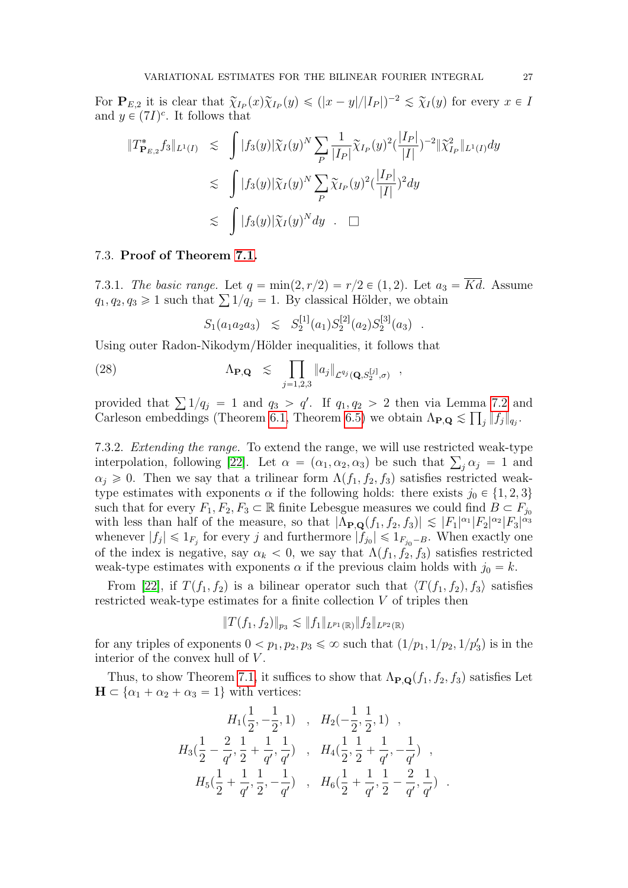For  $\mathbf{P}_{E,2}$  it is clear that  $\widetilde{\chi}_{I_P}(x)\widetilde{\chi}_{I_P}(y) \leq (|x-y|/|I_P|)^{-2} \leq \widetilde{\chi}_{I}(y)$  for every  $x \in I$ and  $y \in (7I)^c$ . It follows that  $\ddot{\phantom{0}}$ 

$$
\begin{aligned}\n\|T^*_{\mathbf{P}_{E,2}} f_3\|_{L^1(I)} &\leq \int |f_3(y)| \widetilde{\chi}_I(y)^N \sum_P \frac{1}{|I_P|} \widetilde{\chi}_{I_P}(y)^2 (\frac{|I_P|}{|I|})^{-2} \| \widetilde{\chi}_{I_P}^2 \|_{L^1(I)} dy \\
&\leq \int |f_3(y)| \widetilde{\chi}_I(y)^N \sum_P \widetilde{\chi}_{I_P}(y)^2 (\frac{|I_P|}{|I|})^2 dy \\
&\leq \int |f_3(y)| \widetilde{\chi}_I(y)^N dy \quad \Box\n\end{aligned}
$$

## 7.3. Proof of Theorem [7.1.](#page-19-1)

7.3.1. The basic range. Let  $q = \min(2, r/2) = r/2 \in (1, 2)$ . Let  $a_3 = \overline{Kd}$ . Assume 7.3.1. The basic range. Let  $q = \min(2, r/2) = r/2 \in (1, 2)$ . Let  $a_3$ <br> $q_1, q_2, q_3 \ge 1$  such that  $\sum 1/q_j = 1$ . By classical Hölder, we obtain

<span id="page-26-1"></span>
$$
S_1(a_1a_2a_3) \leq S_2^{[1]}(a_1)S_2^{[2]}(a_2)S_2^{[3]}(a_3) .
$$

Using outer Radon-Nikodym/Hölder inequalities, it follows that ź

(28) 
$$
\Lambda_{\mathbf{P},\mathbf{Q}} \leq \prod_{j=1,2,3} \|a_j\|_{\mathcal{L}^{q_j}(\mathbf{Q},S_2^{[j]},\sigma)},
$$

provided that  $\sum 1/q_j = 1$  and  $q_3 > q'$ . If  $q_1, q_2 > 2$  then via Lemma [7.2](#page-20-0) and Carleson embeddings (Theorem [6.1,](#page-13-2) Theorem [6.5\)](#page-14-1) we obtain  $\Lambda_{\mathbf{P},\mathbf{Q}} \lesssim \prod_j ||f_j||_{q_j}$ .

<span id="page-26-0"></span>7.3.2. Extending the range. To extend the range, we will use restricted weak-type 7.3.2. *Extending the range.* To extend the range, we will use restricted weak-type interpolation, following [\[22\]](#page-47-13). Let  $\alpha = (\alpha_1, \alpha_2, \alpha_3)$  be such that  $\sum_j \alpha_j = 1$  and  $\alpha_i \geq 0$ . Then we say that a trilinear form  $\Lambda(f_1, f_2, f_3)$  satisfies restricted weaktype estimates with exponents  $\alpha$  if the following holds: there exists  $j_0 \in \{1, 2, 3\}$ such that for every  $F_1, F_2, F_3 \subset \mathbb{R}$  finite Lebesgue measures we could find  $B \subset F_{j_0}$ with less than half of the measure, so that  $|\Lambda_{\mathbf{P},\mathbf{Q}}(f_1, f_2, f_3)| \lesssim |F_1|^{\alpha_1} |F_2|^{\alpha_2} |F_3|^{\alpha_3}$ whenever  $|f_j| \leq 1_{F_j}$  for every j and furthermore  $|f_{j_0}| \leq 1_{F_{j_0}-B}$ . When exactly one of the index is negative, say  $\alpha_k < 0$ , we say that  $\Lambda(f_1, f_2, f_3)$  satisfies restricted weak-type estimates with exponents  $\alpha$  if the previous claim holds with  $j_0 = k$ .

From [\[22\]](#page-47-13), if  $T(f_1, f_2)$  is a bilinear operator such that  $\langle T(f_1, f_2), f_3 \rangle$  satisfies restricted weak-type estimates for a finite collection V of triples then

$$
||T(f_1, f_2)||_{p_3} \lesssim ||f_1||_{L^{p_1}(\mathbb{R})} ||f_2||_{L^{p_2}(\mathbb{R})}
$$

for any triples of exponents  $0 < p_1, p_2, p_3 \le \infty$  such that  $(1/p_1, 1/p_2, 1/p'_3)$  is in the interior of the convex hull of  $V$ .

Thus, to show Theorem [7.1,](#page-19-1) it suffices to show that  $\Lambda_{\mathbf{P},\mathbf{Q}}(f_1, f_2, f_3)$  satisfies Let  $H \subset {\alpha_1 + \alpha_2 + \alpha_3 = 1}$  with vertices:

$$
H_1(\frac{1}{2}, -\frac{1}{2}, 1) , H_2(-\frac{1}{2}, \frac{1}{2}, 1) ,
$$
  
\n
$$
H_3(\frac{1}{2} - \frac{2}{q'}, \frac{1}{2} + \frac{1}{q'}, \frac{1}{q'}) , H_4(\frac{1}{2}, \frac{1}{2} + \frac{1}{q'}, -\frac{1}{q'}) ,
$$
  
\n
$$
H_5(\frac{1}{2} + \frac{1}{q'}, \frac{1}{2}, -\frac{1}{q'}) , H_6(\frac{1}{2} + \frac{1}{q'}, \frac{1}{2} - \frac{2}{q'}, \frac{1}{q'}) .
$$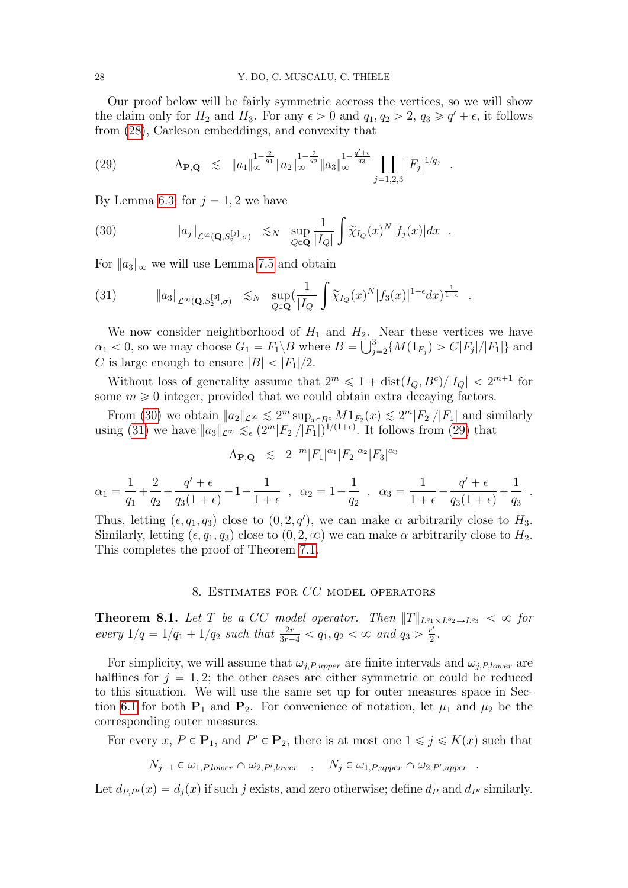Our proof below will be fairly symmetric accross the vertices, so we will show the claim only for  $H_2$  and  $H_3$ . For any  $\epsilon > 0$  and  $q_1, q_2 > 2, q_3 \geq q' + \epsilon$ , it follows from [\(28\)](#page-26-1), Carleson embeddings, and convexity that

<span id="page-27-2"></span>(29) 
$$
\Lambda_{\mathbf{P},\mathbf{Q}} \leq \|a_1\|_{\infty}^{1-\frac{2}{q_1}} \|a_2\|_{\infty}^{1-\frac{2}{q_2}} \|a_3\|_{\infty}^{1-\frac{q'+\epsilon}{q_3}} \prod_{j=1,2,3} |F_j|^{1/q_j}.
$$

By Lemma [6.3,](#page-14-0) for  $j = 1, 2$  we have

<span id="page-27-0"></span>(30) 
$$
\|a_j\|_{\mathcal{L}^\infty(\mathbf{Q},S_2^{[j]},\sigma)} \lesssim_N \sup_{Q\in\mathbf{Q}}\frac{1}{|I_Q|}\int \widetilde{\chi}_{I_Q}(x)^N|f_j(x)|dx.
$$

For  $\|a_3\|_{\infty}$  we will use Lemma [7.5](#page-25-1) and obtain

<span id="page-27-1"></span>(31) 
$$
\|a_3\|_{\mathcal{L}^{\infty}(\mathbf{Q},S_2^{[3]},\sigma)} \lesssim_{N} \sup_{Q \in \mathbf{Q}} \left(\frac{1}{|I_Q|} \int \widetilde{\chi}_{I_Q}(x)^N |f_3(x)|^{1+\epsilon} dx\right)^{\frac{1}{1+\epsilon}}.
$$

We now consider neightborhood of  $H_1$  and  $H_2$ . Near these vertices we have  $\alpha_1 < 0$ , so we may choose  $G_1 = F_1 \backslash B$  where  $B = \bigcup_{j=2}^{3} \{M(1_{F_j}) > C|F_j|/|F_1|\}$  and C is large enough to ensure  $|B| < |F_1|/2$ .

Without loss of generality assume that  $2^m \leq 1 + \text{dist}(I_Q, B^c)/|I_Q| < 2^{m+1}$  for some  $m \geq 0$  integer, provided that we could obtain extra decaying factors.

From [\(30\)](#page-27-0) we obtain  $||a_2||_{\mathcal{L}^\infty} \leq 2^m \sup_{x \in B^c} M 1_{F_2}(x) \leq 2^m |F_2|/|F_1|$  and similarly using [\(31\)](#page-27-1) we have  $||a_3||_{\mathcal{L}^\infty} \lesssim_{\epsilon} (2^m |F_2|/|F_1|)^{1/(1+\epsilon)}$ . It follows from [\(29\)](#page-27-2) that

$$
\Lambda_{\mathbf{P},\mathbf{Q}} \leq 2^{-m} |F_1|^{\alpha_1} |F_2|^{\alpha_2} |F_3|^{\alpha_3}
$$

$$
\alpha_1 = \frac{1}{q_1} + \frac{2}{q_2} + \frac{q' + \epsilon}{q_3(1+\epsilon)} - 1 - \frac{1}{1+\epsilon} , \quad \alpha_2 = 1 - \frac{1}{q_2} , \quad \alpha_3 = \frac{1}{1+\epsilon} - \frac{q' + \epsilon}{q_3(1+\epsilon)} + \frac{1}{q_3}
$$

.

Thus, letting  $(\epsilon, q_1, q_3)$  close to  $(0, 2, q')$ , we can make  $\alpha$  arbitrarily close to  $H_3$ . Similarly, letting  $(\epsilon, q_1, q_3)$  close to  $(0, 2, \infty)$  we can make  $\alpha$  arbitrarily close to  $H_2$ . This completes the proof of Theorem [7.1.](#page-19-1)

## 8. Estimates for CC model operators

<span id="page-27-3"></span>**Theorem 8.1.** Let T be a CC model operator. Then  $||T||_{L^{q_1}\times L^{q_2}\to L^{q_3}} < \infty$  for every  $1/q = 1/q_1 + 1/q_2$  such that  $\frac{2r}{3r-4} < q_1, q_2 < \infty$  and  $q_3 > \frac{r'}{2}$  $rac{r'}{2}$ .

For simplicity, we will assume that  $\omega_{j,P,upper}$  are finite intervals and  $\omega_{j,P,lower}$  are halflines for  $j = 1, 2$ ; the other cases are either symmetric or could be reduced to this situation. We will use the same set up for outer measures space in Sec-tion [6.1](#page-12-1) for both  $P_1$  and  $P_2$ . For convenience of notation, let  $\mu_1$  and  $\mu_2$  be the corresponding outer measures.

For every x,  $P \in \mathbf{P}_1$ , and  $P' \in \mathbf{P}_2$ , there is at most one  $1 \leq j \leq K(x)$  such that

$$
N_{j-1} \in \omega_{1,P,lower} \cap \omega_{2,P',lower} , \quad N_j \in \omega_{1,P,upper} \cap \omega_{2,P',upper} .
$$

Let  $d_{PP'}(x) = d_i(x)$  if such j exists, and zero otherwise; define  $d_P$  and  $d_{P'}$  similarly.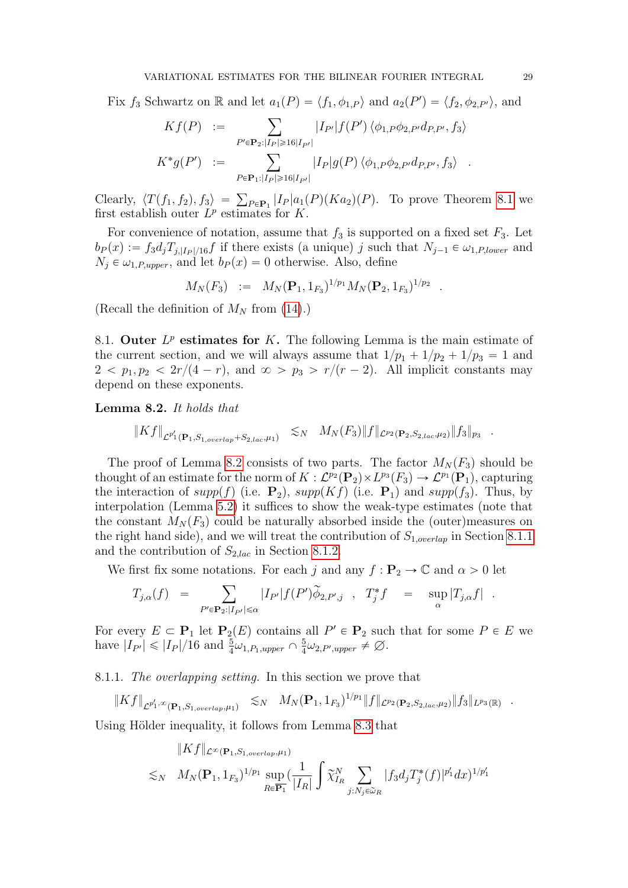Fix  $f_3$  Schwartz on R and let  $a_1(P) = \langle f_1, \phi_{1,P} \rangle$  and  $a_2(P') = \langle f_2, \phi_{2,P'} \rangle$ , and

$$
Kf(P) := \sum_{P' \in \mathbf{P}_2 : |I_P| \ge 16|I_{P'}|} |I_{P'}|f(P') \langle \phi_{1,P}\phi_{2,P'}d_{P,P'}, f_3 \rangle
$$
  

$$
K^*g(P') := \sum_{P \in \mathbf{P}_1 : |I_P| \ge 16|I_{P'}|} |I_P|g(P) \langle \phi_{1,P}\phi_{2,P'}d_{P,P'}, f_3 \rangle .
$$

Clearly,  $\langle T(f_1, f_2), f_3 \rangle =$  $_{P \in \mathbf{P}_1}$   $|I_P| a_1(P)(Ka_2)(P)$ . To prove Theorem [8.1](#page-27-3) we first establish outer  $L^p$  estimates for K.

For convenience of notation, assume that  $f_3$  is supported on a fixed set  $F_3$ . Let  $b_P(x) := f_3d_jT_{j,|I_P|/16}f$  if there exists (a unique) j such that  $N_{j-1} \in \omega_{1,P,lower}$  and  $N_j \in \omega_{1,P,upper}$ , and let  $b_P(x) = 0$  otherwise. Also, define

$$
M_N(F_3) := M_N(\mathbf{P}_1, 1_{F_3})^{1/p_1} M_N(\mathbf{P}_2, 1_{F_3})^{1/p_2} .
$$

(Recall the definition of  $M_N$  from [\(14\)](#page-13-3).)

8.1. Outer  $L^p$  estimates for K. The following Lemma is the main estimate of the current section, and we will always assume that  $1/p_1 + 1/p_2 + 1/p_3 = 1$  and  $2 < p_1, p_2 < 2r/(4 - r)$ , and  $\infty > p_3 > r/(r - 2)$ . All implicit constants may depend on these exponents.

<span id="page-28-0"></span>Lemma 8.2. It holds that

$$
\|Kf\|_{\mathcal{L}^{p_1'}(\mathbf{P}_1,S_{1,overlap}+S_{2,lac},\mu_1)} \leq_N M_N(F_3) \|f\|_{\mathcal{L}^{p_2}(\mathbf{P}_2,S_{2,lac},\mu_2)} \|f_3\|_{p_3}
$$

The proof of Lemma [8.2](#page-28-0) consists of two parts. The factor  $M_N(F_3)$  should be thought of an estimate for the norm of  $K : \mathcal{L}^{p_2}(\mathbf{P}_2) \times L^{p_3}(F_3) \to \mathcal{L}^{p_1}(\mathbf{P}_1)$ , capturing the interaction of supp(f) (i.e.  $P_2$ ), supp(Kf) (i.e.  $P_1$ ) and supp(f<sub>3</sub>). Thus, by interpolation (Lemma [5.2\)](#page-10-0) it suffices to show the weak-type estimates (note that the constant  $M_N(F_3)$  could be naturally absorbed inside the (outer)measures on the right hand side), and we will treat the contribution of  $S_{1,overlan}$  in Section [8.1.1](#page-28-1) and the contribution of  $S_{2,lac}$  in Section [8.1.2.](#page-29-0)

We first fix some notations. For each j and any  $f: \mathbf{P}_2 \to \mathbb{C}$  and  $\alpha > 0$  let

$$
T_{j,\alpha}(f) = \sum_{P' \in \mathbf{P}_2 : |I_{P'}| \leq \alpha} |I_{P'}| f(P') \widetilde{\phi}_{2,P',j} , T_j^* f = \sup_{\alpha} |T_{j,\alpha} f| .
$$

For every  $E \subset \mathbf{P}_1$  let  $\mathbf{P}_2(E)$  contains all  $P' \in \mathbf{P}_2$  such that for some  $P \in E$  we have  $|I_{P'}| \leq |I_P|/16$  and  $\frac{5}{4}\omega_{1,P_1,upper} \cap \frac{5}{4}$  $\frac{5}{4}\omega_{2,P',upper} \neq \emptyset.$ 

<span id="page-28-1"></span>8.1.1. The overlapping setting. In this section we prove that

$$
\|Kf\|_{\mathcal{L}^{p_1',\infty}(\mathbf{P}_1,S_{1,overlap},\mu_1)} \leq_N M_N(\mathbf{P}_1,1_{F_3})^{1/p_1} \|f\|_{\mathcal{L}^{p_2}(\mathbf{P}_2,S_{2,lac},\mu_2)} \|f_3\|_{L^{p_3}(\mathbb{R})} .
$$

Using Hölder inequality, it follows from Lemma [8.3](#page-29-1) that

$$
||Kf||_{\mathcal{L}^{\infty}(\mathbf{P}_1, S_{1, overlap}, \mu_1)}\lesssim_N M_N(\mathbf{P}_1, 1_{F_3})^{1/p_1} \sup_{R \in \overline{\mathbf{P}_1}} \left( \frac{1}{|I_R|} \int \widetilde{\chi}_{I_R}^N \sum_{j: N_j \in \widetilde{\omega}_R} |f_3 d_j T_j^*(f)|^{p'_1} dx \right)^{1/p'_1}
$$

.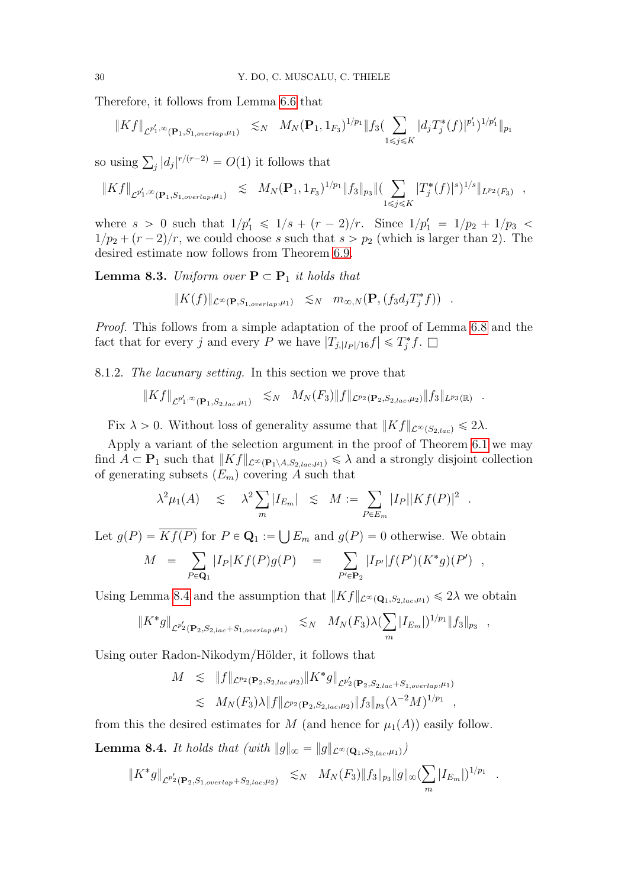Therefore, it follows from Lemma [6.6](#page-15-1) that

$$
\|Kf\|_{\mathcal{L}^{p'_1,\infty}(\mathbf{P}_1,S_{1,overlap},\mu_1)} \lesssim_N M_N(\mathbf{P}_1,1_{F_3})^{1/p_1} \|f_3(\sum_{1 \leq j \leq K} |d_jT_j^*(f)|^{p'_1})^{1/p'_1} \|_{p_1}
$$

so using  $\sum_{j} |d_j|^{r/(r-2)} = O(1)$  it follows that

$$
\|Kf\|_{\mathcal{L}^{p'_1,\infty}(\mathbf{P}_1,S_{1,overlap},\mu_1)} \leq M_N(\mathbf{P}_1,1_{F_3})^{1/p_1} \|f_3\|_{p_3} \|(\sum_{1 \leq j \leq K} |T_j^*(f)|^s)^{1/s} \|_{L^{p_2}(F_3)},
$$

where  $s > 0$  such that  $1/p'_1 \leq 1/s + (r - 2)/r$ . Since  $1/p'_1 = 1/p_2 + 1/p_3$  $1/p_2 + (r - 2)/r$ , we could choose s such that  $s > p_2$  (which is larger than 2). The desired estimate now follows from Theorem [6.9.](#page-17-0)

<span id="page-29-1"></span>**Lemma 8.3.** Uniform over  $P \subset P_1$  it holds that

$$
||K(f)||_{\mathcal{L}^{\infty}(\mathbf{P},S_{1,overlap},\mu_1)} \leq_N m_{\infty,N}(\mathbf{P},(f_3d_jT_j^*f)) .
$$

Proof. This follows from a simple adaptation of the proof of Lemma [6.8](#page-17-1) and the fact that for every j and every P we have  $|T_{j,|I_P|/16}f| \leq T_j^*f$ .  $\Box$ 

<span id="page-29-0"></span>8.1.2. The lacunary setting. In this section we prove that

$$
\|Kf\|_{\mathcal{L}^{p_1',\infty}(\mathbf{P}_1,S_{2,lac},\mu_1)} \lesssim_N M_N(F_3) \|f\|_{\mathcal{L}^{p_2}(\mathbf{P}_2,S_{2,lac},\mu_2)} \|f_3\|_{L^{p_3}(\mathbb{R})}
$$

.

.

Fix  $\lambda > 0$ . Without loss of generality assume that  $||Kf||_{\mathcal{L}^{\infty}(S_{2,loc})} \leq 2\lambda$ .

Apply a variant of the selection argument in the proof of Theorem [6.1](#page-13-2) we may find  $A \subset \mathbf{P}_1$  such that  $||Kf||_{\mathcal{L}^{\infty}(\mathbf{P}_1 \setminus A,S_{2,lac},\mu_1)} \leq \lambda$  and a strongly disjoint collection of generating subsets  $(E_m)$  covering A such that

$$
\lambda^2 \mu_1(A) \leq \lambda^2 \sum_m |I_{E_m}| \leq M := \sum_{P \in E_m} |I_P| |Kf(P)|^2.
$$

Let  $g(P) = Kf(P)$  for  $P \in \mathbf{Q}_1 :=$  $E_m$  and  $g(P) = 0$  otherwise. We obtain  $\frac{1}{\sqrt{2}}$ 

$$
M = \sum_{P \in \mathbf{Q}_1} |I_P| K f(P) g(P) = \sum_{P' \in \mathbf{P}_2} |I_{P'}| f(P') (K^* g) (P') ,
$$

Using Lemma [8.4](#page-29-2) and the assumption that  $||Kf||_{\mathcal{L}^{\infty}(\mathbf{Q}_1,S_{2,lac},\mu_1)} \leq 2\lambda$  we obtain  $\ddot{\phantom{0}}$ 

$$
\|K^*g\|_{\mathcal{L}^{p_2'}(\mathbf{P}_2, S_{2,lac}+S_{1,overlap},\mu_1)} \leq_N M_N(F_3)\lambda(\sum_m |I_{E_m}|)^{1/p_1} \|f_3\|_{p_3} ,
$$

Using outer Radon-Nikodym/Hölder, it follows that

$$
M \leq \|f\|_{\mathcal{L}^{p_2}(\mathbf{P}_2, S_{2,lac}, \mu_2)} \|K^* g\|_{\mathcal{L}^{p_2'}(\mathbf{P}_2, S_{2,lac} + S_{1,overlap}, \mu_1)}
$$
  

$$
\leq M_N(F_3) \lambda \|f\|_{\mathcal{L}^{p_2}(\mathbf{P}_2, S_{2,lac}, \mu_2)} \|f_3\|_{p_3} (\lambda^{-2} M)^{1/p_1},
$$

from this the desired estimates for M (and hence for  $\mu_1(A)$ ) easily follow.

<span id="page-29-2"></span>**Lemma 8.4.** It holds that (with  $||g||_{\infty} = ||g||_{\mathcal{L}^{\infty}(\mathbf{Q}_1,S_{2,loc},\mu_1)}$ )

$$
\|K^*g\|_{\mathcal{L}^{p_2'}(\mathbf{P}_2,S_{1,overlap}+S_{2,lac},\mu_2)} \leq N \quad M_N(F_3) \|f_3\|_{p_3} \|g\|_{\infty} (\sum_m |I_{E_m}|)^{1/p_1}
$$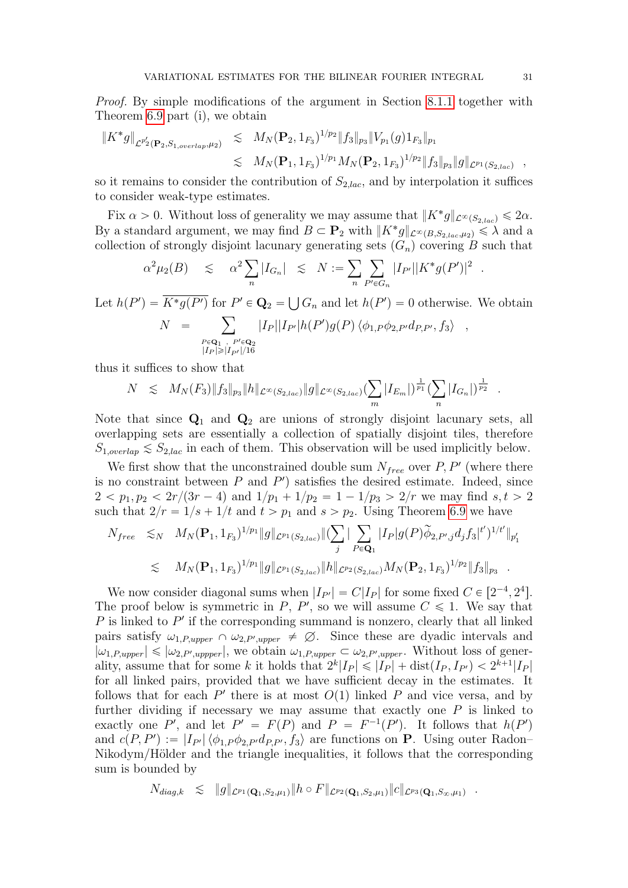Proof. By simple modifications of the argument in Section [8.1.1](#page-28-1) together with Theorem [6.9](#page-17-0) part (i), we obtain

$$
\begin{array}{rcl} \| K^* g \|_{\mathcal{L}^{p_2'}(\mathbf{P}_2, S_{1, overlap}, \mu_2)} & \lesssim & M_N(\mathbf{P}_2, 1_{F_3})^{1/p_2} \| f_3 \|_{p_3} \| V_{p_1}(g) 1_{F_3} \|_{p_1} \\ & \lesssim & M_N(\mathbf{P}_1, 1_{F_3})^{1/p_1} M_N(\mathbf{P}_2, 1_{F_3})^{1/p_2} \| f_3 \|_{p_3} \| g \|_{\mathcal{L}^{p_1}(S_{2,lac})} \end{array}
$$

so it remains to consider the contribution of  $S_{2,lac}$ , and by interpolation it suffices to consider weak-type estimates.

Fix  $\alpha > 0$ . Without loss of generality we may assume that  $||K^*g||_{\mathcal{L}^{\infty}(S_{2,lac})} \leq 2\alpha$ . By a standard argument, we may find  $B \subset \mathbf{P}_2$  with  $||K^*g||_{\mathcal{L}^{\infty}(B,S_{2,lac},\mu_2)} \leq \lambda$  and a collection of strongly disjoint lacunary generating sets  $(G_n)$  covering B such that<br> $g^2 u(R) \leq g^2 \sum |I_n| \leq N - \sum |\sum |I_n||K^* g(P')|^2$ 

$$
\alpha^2 \mu_2(B) \leq \alpha^2 \sum_n |I_{G_n}| \leq N := \sum_n \sum_{P' \in G_n} |I_{P'}||K^*g(P')|^2
$$

Let  $h(P') = K^*g(P')$  for  $P' \in \mathbf{Q}_2 =$  $G_n$  and let  $h(P') = 0$  otherwise. We obtain  $\frac{1}{\sqrt{2}}$ 

$$
N = \sum_{\substack{P \in \mathbf{Q}_1, P' \in \mathbf{Q}_2 \\ |I_P| \geq |I_{P'}|/16}} |I_P||I_{P'}| h(P') g(P) \langle \phi_{1,P} \phi_{2,P'} d_{P,P'}, f_3 \rangle ,
$$

thus it suffices to show that

$$
N \leq M_N(F_3) \|f_3\|_{p_3} \|h\|_{\mathcal{L}^{\infty}(S_{2,lac})} \|g\|_{\mathcal{L}^{\infty}(S_{2,lac})} \left(\sum_m |I_{E_m}|\right)^{\frac{1}{p_1}} \left(\sum_n |I_{G_n}|\right)^{\frac{1}{p_2}}.
$$

Note that since  $Q_1$  and  $Q_2$  are unions of strongly disjoint lacunary sets, all overlapping sets are essentially a collection of spatially disjoint tiles, therefore  $S_{1,overlap} \lesssim S_{2,lac}$  in each of them. This observation will be used implicitly below.

We first show that the unconstrained double sum  $N_{free}$  over  $P, P'$  (where there is no constraint between  $P$  and  $P'$ ) satisfies the desired estimate. Indeed, since  $2 < p_1, p_2 < 2r/(3r - 4)$  and  $1/p_1 + 1/p_2 = 1 - 1/p_3 > 2/r$  we may find  $s, t > 2$ 

such that 
$$
2/r = 1/s + 1/t
$$
 and  $t > p_1$  and  $s > p_2$ . Using Theorem 6.9 we have  
\n
$$
N_{free} \leq N \quad M_N(\mathbf{P}_1, 1_{F_3})^{1/p_1} \|g\|_{\mathcal{L}^{p_1}(S_{2,lac})} \|(\sum_j |\sum_{P \in \mathbf{Q}_1} |I_P| g(P) \widetilde{\phi}_{2,P',j} d_j f_3|^{t'})^{1/t'} \|_{p'_1}
$$
\n
$$
\leq M_N(\mathbf{P}_1, 1_{F_3})^{1/p_1} \|g\|_{\mathcal{L}^{p_1}(S_{2,lac})} \|h\|_{\mathcal{L}^{p_2}(S_{2,lac})} M_N(\mathbf{P}_2, 1_{F_3})^{1/p_2} \|f_3\|_{p_3} .
$$

We now consider diagonal sums when  $|I_{P'}| = C|I_P|$  for some fixed  $C \in [2^{-4}, 2^4]$ . The proof below is symmetric in P, P', so we will assume  $C \leq 1$ . We say that  $P$  is linked to  $P'$  if the corresponding summand is nonzero, clearly that all linked pairs satisfy  $\omega_{1,P,upper} \cap \omega_{2,P',upper} \neq \emptyset$ . Since these are dyadic intervals and  $|\omega_{1,P,upper}| \leq |\omega_{2,P',upper}|$ , we obtain  $\omega_{1,P,upper} \subset \omega_{2,P',upper}$ . Without loss of generality, assume that for some k it holds that  $2^k|I_P| \leq |I_P| + \text{dist}(I_P, I_{P'}) < 2^{k+1}|I_P|$ for all linked pairs, provided that we have sufficient decay in the estimates. It follows that for each  $P'$  there is at most  $O(1)$  linked P and vice versa, and by further dividing if necessary we may assume that exactly one  $P$  is linked to exactly one P', and let  $P' = F(P)$  and  $P = F^{-1}(P')$ . It follows that  $h(P')$ and  $c(P, P') := |I_{P'}|\langle \phi_{1,P}\phi_{2,P'}d_{P,P'}, f_3\rangle$  are functions on **P**. Using outer Radon– Nikodym/Hölder and the triangle inequalities, it follows that the corresponding sum is bounded by

$$
N_{diag,k} \leqslant \|g\|_{\mathcal{L}^{p_1}(\mathbf{Q}_1,S_2,\mu_1)} \|h \circ F\|_{\mathcal{L}^{p_2}(\mathbf{Q}_1,S_2,\mu_1)} \|c\|_{\mathcal{L}^{p_3}(\mathbf{Q}_1,S_\infty,\mu_1)} \;\; .
$$

.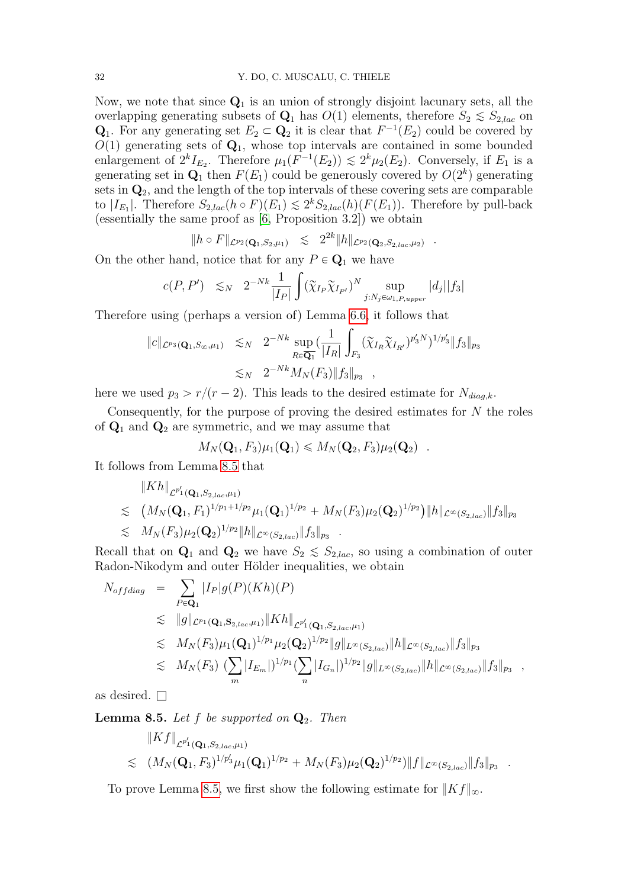Now, we note that since  $Q_1$  is an union of strongly disjoint lacunary sets, all the overlapping generating subsets of  $Q_1$  has  $O(1)$  elements, therefore  $S_2 \leq S_{2,lac}$  on  $\mathbf{Q}_1$ . For any generating set  $E_2 \subset \mathbf{Q}_2$  it is clear that  $F^{-1}(E_2)$  could be covered by  $O(1)$  generating sets of  $\mathbf{Q}_1$ , whose top intervals are contained in some bounded enlargement of  $2^k I_{E_2}$ . Therefore  $\mu_1(F^{-1}(E_2)) \lesssim 2^k \mu_2(E_2)$ . Conversely, if  $E_1$  is a generating set in  $\mathbf{Q}_1$  then  $F(E_1)$  could be generously covered by  $O(2^k)$  generating sets in  $\mathbf{Q}_2$ , and the length of the top intervals of these covering sets are comparable to  $|I_{E_1}|$ . Therefore  $S_{2,lac}(h \circ F)(E_1) \lesssim 2^k S_{2,lac}(h)(F(E_1))$ . Therefore by pull-back (essentially the same proof as [\[6,](#page-46-3) Proposition 3.2]) we obtain

$$
||h \circ F||_{\mathcal{L}^{p_2}(\mathbf{Q}_1, S_2, \mu_1)} \leq 2^{2k} ||h||_{\mathcal{L}^{p_2}(\mathbf{Q}_2, S_2, a_c, \mu_2)}.
$$

On the other hand, notice that for any  $P \in \mathbf{Q}_1$  we have

$$
c(P, P') \leq N \quad 2^{-Nk} \frac{1}{|I_P|} \int (\widetilde{\chi}_{I_P} \widetilde{\chi}_{I_{P'}})^N \sup_{j: N_j \in \omega_{1, P, upper}} |d_j||f_3|
$$

Therefore using (perhaps a version of) Lemma [6.6,](#page-15-1) it follows that ż

$$
\|c\|_{\mathcal{L}^{p_3}(\mathbf{Q}_1, S_{\infty}, \mu_1)} \lesssim_N 2^{-Nk} \sup_{R \in \overline{\mathbf{Q}_1}} \left( \frac{1}{|I_R|} \int_{F_3} (\widetilde{\chi}_{I_R} \widetilde{\chi}_{I_{R'}})^{p_3' N} \right)^{1/p_3'} \|f_3\|_{p_3} \lesssim_N 2^{-Nk} M_N(F_3) \|f_3\|_{p_3} ,
$$

here we used  $p_3 > r/(r - 2)$ . This leads to the desired estimate for  $N_{diag,k}$ .

Consequently, for the purpose of proving the desired estimates for  $N$  the roles of  $\mathbf{Q}_1$  and  $\mathbf{Q}_2$  are symmetric, and we may assume that

$$
M_N(\mathbf{Q}_1, F_3)\mu_1(\mathbf{Q}_1) \leq M_N(\mathbf{Q}_2, F_3)\mu_2(\mathbf{Q}_2)
$$
.

It follows from Lemma [8.5](#page-31-0) that

$$
\|Kh\|_{\mathcal{L}^{p_1'}(\mathbf{Q}_1, S_{2,lac},\mu_1)}\n\lesssim (M_N(\mathbf{Q}_1, F_1)^{1/p_1+1/p_2}\mu_1(\mathbf{Q}_1)^{1/p_2} + M_N(F_3)\mu_2(\mathbf{Q}_2)^{1/p_2})\|h\|_{\mathcal{L}^{\infty}(S_{2,lac})}\|f_3\|_{p_3}\n\lesssim M_N(F_3)\mu_2(\mathbf{Q}_2)^{1/p_2}\|h\|_{\mathcal{L}^{\infty}(S_{2,lac})}\|f_3\|_{p_3}.
$$

Recall that on  $\mathbf{Q}_1$  and  $\mathbf{Q}_2$  we have  $S_2 \leq S_{2,lac}$ , so using a combination of outer Radon-Nikodym and outer Hölder inequalities, we obtain

$$
N_{offdiag} = \sum_{P \in \mathbf{Q}_1} |I_P|g(P)(Kh)(P)
$$
  
\n
$$
\leq ||g||_{\mathcal{L}^{p_1}(\mathbf{Q}_1, \mathbf{S}_{2,loc}, \mu_1)} ||Kh||_{\mathcal{L}^{p'_1}(\mathbf{Q}_1, S_{2,loc}, \mu_1)}
$$
  
\n
$$
\leq M_N(F_3)\mu_1(\mathbf{Q}_1)^{1/p_1}\mu_2(\mathbf{Q}_2)^{1/p_2}||g||_{L^{\infty}(S_{2,loc})} ||h||_{\mathcal{L}^{\infty}(S_{2,loc})} ||f_3||_{p_3}
$$
  
\n
$$
\leq M_N(F_3) \left( \sum_m |I_{E_m}| \right)^{1/p_1} \left( \sum_n |I_{G_n}| \right)^{1/p_2} ||g||_{L^{\infty}(S_{2,loc})} ||h||_{\mathcal{L}^{\infty}(S_{2,loc})} ||f_3||_{p_3} ,
$$

as desired.  $\square$ 

<span id="page-31-0"></span>**Lemma 8.5.** Let  $f$  be supported on  $\mathbf{Q}_2$ . Then

$$
\|Kf\|_{\mathcal{L}^{p_1'}(\mathbf{Q}_1,S_{2,lac},\mu_1)} \n\lesssim (M_N(\mathbf{Q}_1,F_3)^{1/p_3'}\mu_1(\mathbf{Q}_1)^{1/p_2} + M_N(F_3)\mu_2(\mathbf{Q}_2)^{1/p_2}) \|f\|_{\mathcal{L}^{\infty}(S_{2,lac})} \|f_3\|_{p_3}.
$$

To prove Lemma [8.5,](#page-31-0) we first show the following estimate for  $||Kf||_{\infty}$ .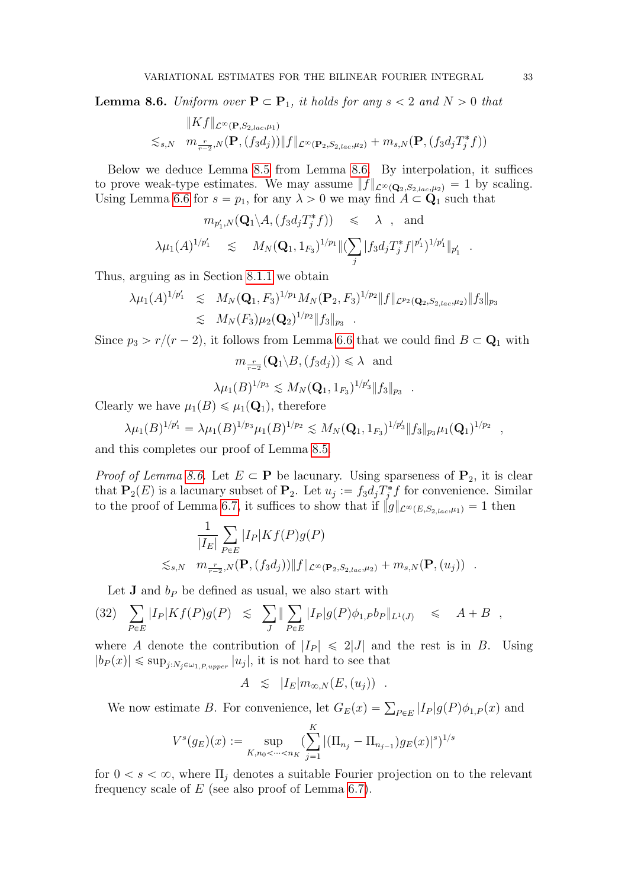<span id="page-32-0"></span>**Lemma 8.6.** Uniform over  $P \subset P_1$ , it holds for any  $s < 2$  and  $N > 0$  that

$$
||Kf||_{\mathcal{L}^{\infty}(\mathbf{P},S_{2,lac},\mu_1)}
$$
  
\$\lesssim\_{s,N}\$  $m_{\frac{r}{r-2},N}(\mathbf{P},(f_3d_j))||f||_{\mathcal{L}^{\infty}(\mathbf{P}_2,S_{2,lac},\mu_2)} + m_{s,N}(\mathbf{P},(f_3d_jT_j^*f))$ 

Below we deduce Lemma [8.5](#page-31-0) from Lemma [8.6.](#page-32-0) By interpolation, it suffices to prove weak-type estimates. We may assume  $||f||_{\mathcal{L}^{\infty}(\mathbf{Q}_2,S_{2,lac},\mu_2)} = 1$  by scaling. Using Lemma [6.6](#page-15-1) for  $s = p_1$ , for any  $\lambda > 0$  we may find  $A \subset \mathbf{Q}_1$  such that

$$
m_{p'_1,N}(\mathbf{Q}_1 \backslash A, (f_3 d_j T_j^* f)) \leq \lambda \text{ , and}
$$
  

$$
\lambda \mu_1(A)^{1/p'_1} \leq M_N(\mathbf{Q}_1, 1_{F_3})^{1/p_1} \| (\sum_j |f_3 d_j T_j^* f|^{p'_1})^{1/p'_1} \|_{p'_1}
$$

Thus, arguing as in Section [8.1.1](#page-28-1) we obtain

$$
\lambda \mu_1(A)^{1/p'_1} \leq M_N(\mathbf{Q}_1, F_3)^{1/p_1} M_N(\mathbf{P}_2, F_3)^{1/p_2} \|f\|_{\mathcal{L}^{p_2}(\mathbf{Q}_2, S_{2,loc}, \mu_2)} \|f_3\|_{p_3} \leq M_N(F_3) \mu_2(\mathbf{Q}_2)^{1/p_2} \|f_3\|_{p_3} .
$$

Since  $p_3 > r/(r - 2)$ , it follows from Lemma [6.6](#page-15-1) that we could find  $B \subset \mathbf{Q}_1$  with

$$
m_{\frac{r}{r-2}}(\mathbf{Q}_1 \setminus B, (f_3d_j)) \leq \lambda
$$
 and

$$
\lambda \mu_1(B)^{1/p_3} \lesssim M_N(\mathbf{Q}_1, 1_{F_3})^{1/p_3'} \|f_3\|_{p_3}
$$

Clearly we have  $\mu_1(B) \leq \mu_1(\mathbf{Q}_1)$ , therefore

$$
\lambda \mu_1(B)^{1/p'_1} = \lambda \mu_1(B)^{1/p_3} \mu_1(B)^{1/p_2} \lesssim M_N(\mathbf{Q}_1, 1_{F_3})^{1/p'_3} \|f_3\|_{p_3} \mu_1(\mathbf{Q}_1)^{1/p_2} ,
$$

and this completes our proof of Lemma [8.5.](#page-31-0)

*Proof of Lemma [8.6.](#page-32-0)* Let  $E \subset \mathbf{P}$  be lacunary. Using sparseness of  $\mathbf{P}_2$ , it is clear that  $\mathbf{P}_2(E)$  is a lacunary subset of  $\mathbf{P}_2$ . Let  $u_j := f_3 d_j T_j^* f$  for convenience. Similar to the proof of Lemma [6.7,](#page-15-0) it suffices to show that if  $||g||_{\mathcal{L}^{\infty}(E,S_{2,lac},\mu_1)} = 1$  then

$$
\frac{1}{|I_E|} \sum_{P \in E} |I_P| K f(P) g(P)
$$
  

$$
\lesssim_{s,N} m_{\frac{r}{r-2},N}(\mathbf{P}, (f_3 d_j)) \|f\|_{\mathcal{L}^{\infty}(\mathbf{P}_2, S_{2,lac}, \mu_2)} + m_{s,N}(\mathbf{P}, (u_j)) .
$$

Let **J** and 
$$
b_P
$$
 be defined as usual, we also start with  
\n(32) 
$$
\sum_{P \in E} |I_P| K f(P) g(P) \leq \sum_{J} \|\sum_{P \in E} |I_P| g(P) \phi_{1,P} b_P\|_{L^1(J)} \leq A + B,
$$

where A denote the contribution of  $|I_P| \le 2|J|$  and the rest is in B. Using  $|b_P(x)| \leq \sup_{j:N_j \in \omega_{1,P,upper}} |u_j|$ , it is not hard to see that

$$
A \leq |I_E| m_{\infty,N}(E,(u_j)) .
$$

We now estimate B. For convenience, let  $G_E(x) = \sum_{P \in E} |I_P| g(P) \phi_{1,P}(x)$  and

$$
V^{s}(g_E)(x) := \sup_{K,n_0 < \dots < n_K} \left( \sum_{j=1}^K |(\Pi_{n_j} - \Pi_{n_{j-1}}) g_E(x)|^s \right)^{1/s}
$$

for  $0 < s < \infty$ , where  $\Pi_i$  denotes a suitable Fourier projection on to the relevant frequency scale of  $E$  (see also proof of Lemma [6.7\)](#page-15-0).

.

.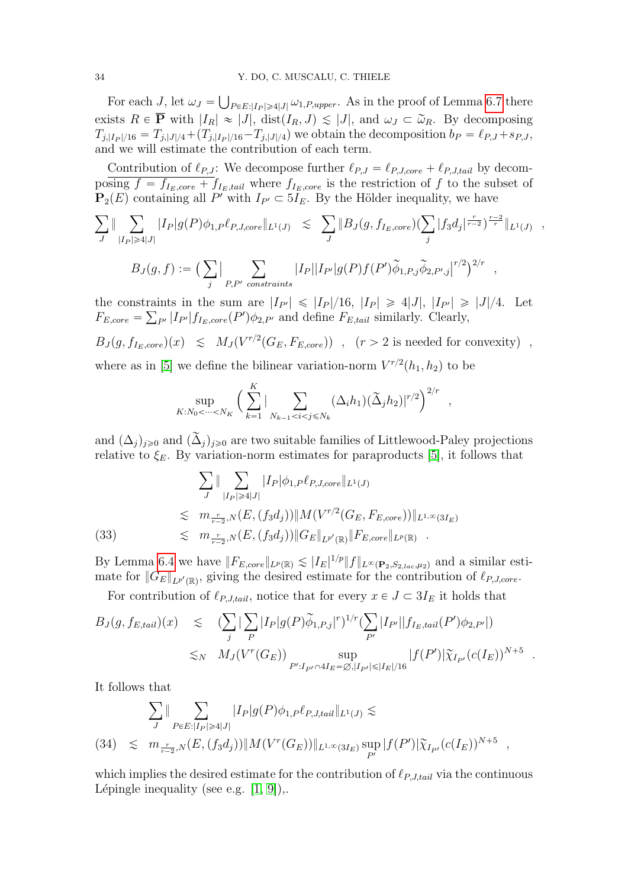For each J, let  $\omega_J = \bigcup_{P \in E: |I_P| \geq 4|J|} \omega_{1,P,upper}$ . As in the proof of Lemma [6.7](#page-15-0) there Ť exists  $R \in \overline{P}$  with  $|I_R| \approx |J|$ ,  $dist(I_R, J) \leq |J|$ , and  $\omega_J \subset \tilde{\omega}_R$ . By decomposing  $T_{j,|I_P|/16} = T_{j,|J|/4} + (T_{j,|I_P|/16} - T_{j,|J|/4})$  we obtain the decomposition  $b_P = \ell_{P,J} + s_{P,J}$ , and we will estimate the contribution of each term.

Contribution of  $\ell_{P,J}$ : We decompose further  $\ell_{P,J} = \ell_{P,J,core} + \ell_{P,J,tail}$  by decomposing  $f = f_{I_E,core} + f_{I_E,tail}$  where  $f_{I_E,core}$  is the restriction of f to the subset of  $\mathbf{P}_2(E)$  containing all P' with  $I_{P'} \subset 5I_E$ . By the Hölder inequality, we have  $j$  is  $j$  is  $j$ 

$$
\sum_{J} \|\sum_{|I_P|\geq 4|J|} |I_P|g(P)\phi_{1,P}\ell_{P,J,core}\|_{L^1(J)} \leq \sum_{J} \|B_J(g, f_{I_E,core})(\sum_j |f_3d_j|^{\frac{r}{r-2}})^{\frac{r-2}{r}}\|_{L^1(J)},
$$

$$
B_J(g, f) := \left(\sum_j |\sum_{P, P' \text{ constraints}} |I_P||I_{P'}| g(P) f(P') \widetilde{\phi}_{1, P, j} \widetilde{\phi}_{2, P', j}|^{r/2}\right)^{2/r} ,
$$

the constraints in the sum are  $|I_{P'}| \leq |I_P|/16$ ,  $|I_P| \geq 4|J|$ ,  $|I_{P'}| \geq |J|/4$ . Let  $F_{E,core} = \sum_{P'} |I_{P'}| f_{I_E,core}(P') \phi_{2,P'}$  and define  $F_{E,tail}$  similarly. Clearly,

$$
B_J(g, f_{I_E, core})(x) \leq M_J(V^{r/2}(G_E, F_{E, core})) \quad , \quad (r > 2 \text{ is needed for convexity}) \quad ,
$$

where as in [\[5\]](#page-46-6) we define the bilinear variation-norm  $V^{r/2}(h_1, h_2)$  to be

$$
\sup_{K: N_0 < \dots < N_K} \left( \sum_{k=1}^K |\sum_{N_{k-1} < i < j \le N_k} (\Delta_i h_1)(\tilde{\Delta}_j h_2)|^{r/2} \right)^{2/r}
$$

,

and  $(\Delta_j)_{j\geq0}$  and  $(\widetilde{\Delta}_j)_{j\geq0}$  are two suitable families of Littlewood-Paley projections relative to  $\xi_E$ . By variation-norm estimates for paraproducts [\[5\]](#page-46-6), it follows that

$$
\sum_{J} \|\sum_{|I_{P}| \geq 4|J|} |I_{P}|\phi_{1,P}\ell_{P,J,core}\|_{L^{1}(J)}
$$
\n
$$
\leq m_{\frac{r}{r-2},N}(E,(f_{3}d_{j}))\|M(V^{r/2}(G_{E},F_{E,core}))\|_{L^{1,\infty}(3I_{E})}
$$
\n
$$
\leq m_{\frac{r}{r-2},N}(E,(f_{3}d_{j}))\|G_{E}\|_{L^{p'}(\mathbb{R})}\|F_{E,core}\|_{L^{p}(\mathbb{R})}.
$$

By Lemma [6.4](#page-14-2) we have  $||F_{E,core}||_{L^p(\mathbb{R})} \lesssim |I_E|^{1/p} ||f||_{L^{\infty}(\mathbf{P}_2,S_{2,lac},\mu_2)}$  and a similar estimate for  $||G_E||_{L^{p'}(\mathbb{R})}$ , giving the desired estimate for the contribution of  $\ell_{P,J,core}$ .

For contribution of  $\ell_{P,J,tail}$ , notice that for every  $x \in J \subset 3I_E$  it holds that  $j$ 

$$
B_{J}(g, f_{E, tail})(x) \leq (\sum_{j} |\sum_{P} |I_{P}| g(P) \widetilde{\phi}_{1, P, j}|^{r})^{1/r} (\sum_{P'} |I_{P'}||f_{I_{E}, tail}(P') \phi_{2, P'}|)
$$
  

$$
\lesssim_{N} M_{J}(V^{r}(G_{E})) \sup_{P': I_{P'} \cap 4I_{E} = \emptyset, |I_{P'}| \leq |I_{E}|/16} |f(P')| \widetilde{\chi}_{I_{P'}}(c(I_{E}))^{N+5} .
$$

It follows that  $\ddot{\ }$ 

$$
\sum_{J} \|\sum_{P\in E:|I_P|\geq 4|J|} |I_P|g(P)\phi_{1,P}\ell_{P,J,tail}\|_{L^1(J)} \lesssim
$$
\n
$$
(34) \lesssim m_{\frac{r}{r-2},N}(E,(f_3d_j))\|M(V^r(G_E))\|_{L^{1,\infty}(3I_E)} \sup_{P'} |f(P')|\widetilde{\chi}_{I_{P'}}(c(I_E))^{N+5} ,
$$

which implies the desired estimate for the contribution of  $\ell_{P,J,tail}$  via the continuous Lépingle inequality (see e.g.  $[1, 9]$  $[1, 9]$ ),.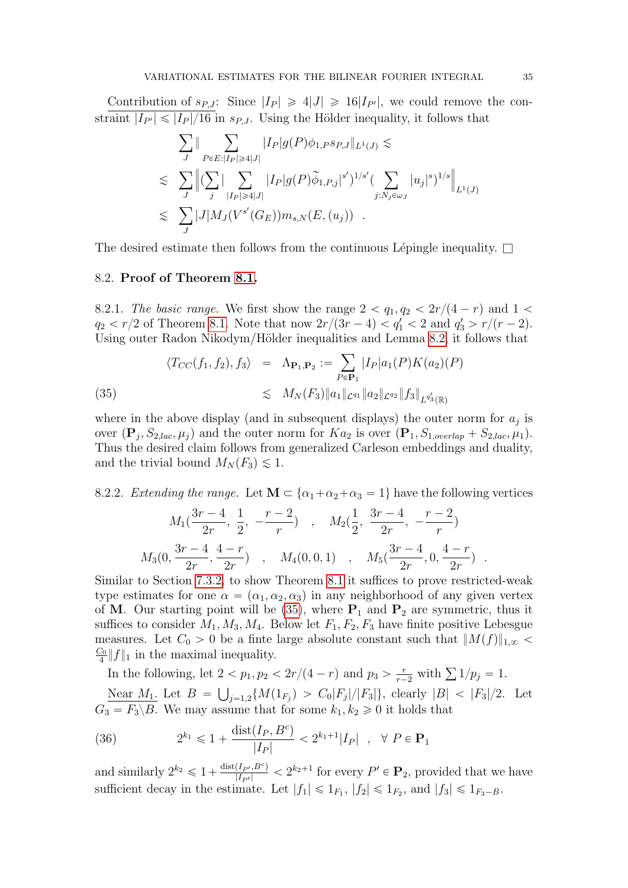Contribution of  $s_{P,J}$ : Since  $|I_P| \geq 4|J| \geq 16|I_{P'}|$ , we could remove the constraint  $|I_{P'}| \leq |I_P|/16$  in  $s_{P,J}$ . Using the Hölder inequality, it follows that  $\frac{1}{2}$   $\frac{1}{2}$   $\frac{1}{2}$   $\frac{1}{2}$   $\frac{1}{2}$   $\frac{1}{2}$   $\frac{1}{2}$   $\frac{1}{2}$   $\frac{1}{2}$   $\frac{1}{2}$   $\frac{1}{2}$   $\frac{1}{2}$   $\frac{1}{2}$   $\frac{1}{2}$   $\frac{1}{2}$   $\frac{1}{2}$   $\frac{1}{2}$   $\frac{1}{2}$   $\frac{1}{2}$   $\frac{1}{2}$   $\frac{1}{2}$   $\frac{1}{2}$ 

$$
\sum_{J} \|\sum_{P\in E:|I_P|\geq 4|J|} |I_P|g(P)\phi_{1,P}s_{P,J}\|_{L^1(J)} \lesssim
$$
\n
$$
\leq \sum_{J} \left\| (\sum_j |\sum_{|I_P|\geq 4|J|} |I_P|g(P)\widetilde{\phi}_{1,P,j}|^{s'})^{1/s'} (\sum_{j: N_j \in \omega_J} |u_j|^{s})^{1/s} \right\|_{L^1(J)}
$$
\n
$$
\leq \sum_{J} |J|M_J(V^{s'}(G_E))m_{s,N}(E,(u_j)).
$$

The desired estimate then follows from the continuous Lépingle inequality.  $\Box$ 

#### 8.2. Proof of Theorem [8.1.](#page-27-3)

8.2.1. The basic range. We first show the range  $2 < q_1, q_2 < 2r/(4 - r)$  and  $1 <$  $q_2 < r/2$  of Theorem [8.1.](#page-27-3) Note that now  $2r/(3r - 4) < q_1' < 2$  and  $q_3' > r/(r - 2)$ . Using outer Radon Nikodym/Hölder inequalities and Lemma [8.2,](#page-28-0) it follows that  $\ddot{\ }$ 

<span id="page-34-0"></span>(35) 
$$
\langle T_{CC}(f_1, f_2), f_3 \rangle = \Lambda_{\mathbf{P}_1, \mathbf{P}_2} := \sum_{P \in \mathbf{P}_1} |I_P| a_1(P) K(a_2)(P)
$$

$$
\lesssim M_N(F_3) \|a_1\|_{\mathcal{L}^{q_1}} \|a_2\|_{\mathcal{L}^{q_2}} \|f_3\|_{\mathcal{L}^{q'_3}(\mathbb{R})}
$$

where in the above display (and in subsequent displays) the outer norm for  $a_j$  is over  $(\mathbf{P}_j, S_{2,lac}, \mu_j)$  and the outer norm for  $Ka_2$  is over  $(\mathbf{P}_1, S_{1,overlap} + S_{2,lac}, \mu_1)$ . Thus the desired claim follows from generalized Carleson embeddings and duality, and the trivial bound  $M_N(F_3) \lesssim 1$ .

8.2.2. Extending the range. Let  $\mathbf{M} \subset \{ \alpha_1 + \alpha_2 + \alpha_3 = 1 \}$  have the following vertices

$$
M_1(\frac{3r-4}{2r}, \frac{1}{2}, -\frac{r-2}{r}) , M_2(\frac{1}{2}, \frac{3r-4}{2r}, -\frac{r-2}{r})
$$
  

$$
M_3(0, \frac{3r-4}{2r}, \frac{4-r}{2r}) , M_4(0, 0, 1) , M_5(\frac{3r-4}{2r}, 0, \frac{4-r}{2r}) .
$$

Similar to Section [7.3.2,](#page-26-0) to show Theorem [8.1](#page-27-3) it suffices to prove restricted-weak type estimates for one  $\alpha = (\alpha_1, \alpha_2, \alpha_3)$  in any neighborhood of any given vertex of M. Our starting point will be  $(35)$ , where  $P_1$  and  $P_2$  are symmetric, thus it suffices to consider  $M_1, M_3, M_4$ . Below let  $F_1, F_2, F_3$  have finite positive Lebesgue measures. Let  $C_0 > 0$  be a finte large absolute constant such that  $||M(f)||_{1,\infty}$  $C_0$  $\frac{\partial}{4}||f||_1$  in the maximal inequality.

In the following, let  $2 < p_1, p_2 < 2r/(4 - r)$  and  $p_3 > \frac{r}{r-2}$  $2 < p_1, p_2 < 2r/(4-r)$  and  $p_3 > \frac{r}{r-2}$  with  $\sum 1/p_j = 1$ .

Near  $M_1$ . Let  $B = \bigcup_{j=1,2} \{M(1_{F_j}) > C_0|F_j|/|F_3|\}$ , clearly  $|B| < |F_3|/2$ . Let  $G_3 = F_3 \backslash B$ . We may assume that for some  $k_1, k_2 \geq 0$  it holds that

(36) 
$$
2^{k_1} \leq 1 + \frac{\text{dist}(I_P, B^c)}{|I_P|} < 2^{k_1 + 1}|I_P| \quad , \quad \forall \ P \in \mathbf{P}_1
$$

<span id="page-34-1"></span>and similarly  $2^{k_2} \leq 1+\frac{\text{dist}(I_{P'},B^c)}{|I_{P'}|} < 2^{k_2+1}$  for every  $P' \in \mathbf{P}_2$ , provided that we have sufficient decay in the estimate. Let  $|f_1| \leq 1_{F_1}$ ,  $|f_2| \leq 1_{F_2}$ , and  $|f_3| \leq 1_{F_3-B}$ .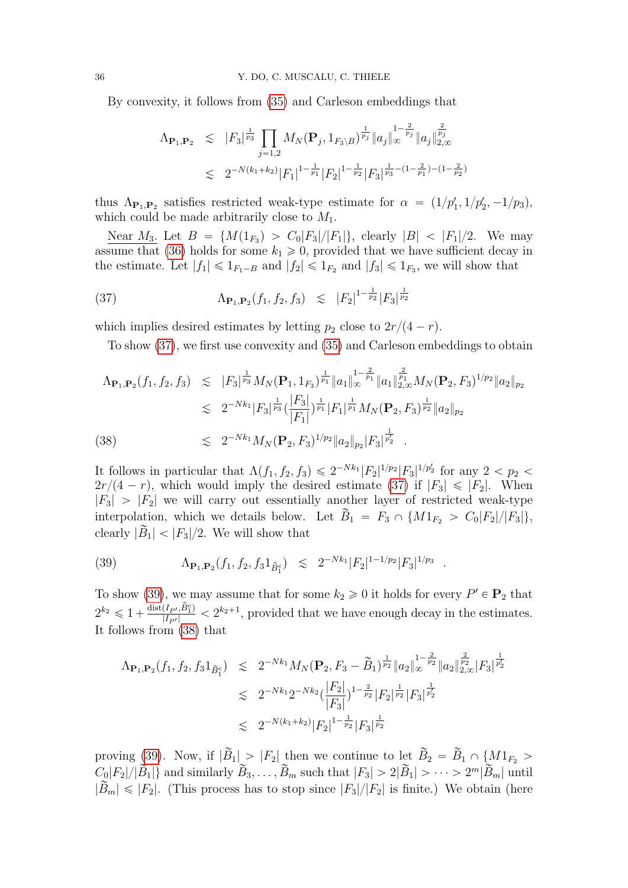By convexity, it follows from [\(35\)](#page-34-0) and Carleson embeddings that

$$
\Lambda_{\mathbf{P}_1, \mathbf{P}_2} \leq |F_3|^{\frac{1}{p_3}} \prod_{j=1,2} M_N(\mathbf{P}_j, 1_{F_3 \setminus B})^{\frac{1}{p_j}} \|a_j\|_{\infty}^{1-\frac{2}{p_j}} \|a_j\|_{2,\infty}^{\frac{2}{p_j}}
$$
  

$$
\lesssim 2^{-N(k_1+k_2)} |F_1|^{1-\frac{1}{p_1}} |F_2|^{1-\frac{1}{p_2}} |F_3|^{\frac{1}{p_3}-(1-\frac{2}{p_1})-(1-\frac{2}{p_2})}
$$

thus  $\Lambda_{\mathbf{P}_1,\mathbf{P}_2}$  satisfies restricted weak-type estimate for  $\alpha = (1/p'_1, 1/p'_2, -1/p_3)$ , which could be made arbitrarily close to  $M_1$ .

Near  $M_3$ . Let  $B = \{M(1_{F_3}) > C_0|F_3|/|F_1|\}$ , clearly  $|B| < |F_1|/2$ . We may assume that [\(36\)](#page-34-1) holds for some  $k_1 \geq 0$ , provided that we have sufficient decay in the estimate. Let  $|f_1| \leq 1_{F_1-B}$  and  $|f_2| \leq 1_{F_2}$  and  $|f_3| \leq 1_{F_3}$ , we will show that

(37) 
$$
\Lambda_{\mathbf{P}_1,\mathbf{P}_2}(f_1,f_2,f_3) \leq |F_2|^{1-\frac{1}{p_2}}|F_3|^{\frac{1}{p_2}}
$$

which implies desired estimates by letting  $p_2$  close to  $2r/(4 - r)$ .

<span id="page-35-0"></span>To show [\(37\)](#page-35-0), we first use convexity and [\(35\)](#page-34-0) and Carleson embeddings to obtain

<span id="page-35-2"></span>
$$
\Lambda_{\mathbf{P}_1,\mathbf{P}_2}(f_1, f_2, f_3) \leq |F_3|^{\frac{1}{p_3}} M_N(\mathbf{P}_1, 1_{F_3})^{\frac{1}{p_1}} \|a_1\|_{\infty}^{\frac{2}{p_1}} \|a_1\|_{2,\infty}^{\frac{2}{p_1}} M_N(\mathbf{P}_2, F_3)^{1/p_2} \|a_2\|_{p_2}
$$
  
\n
$$
\leq 2^{-Nk_1} |F_3|^{\frac{1}{p_3}} (\frac{|F_3|}{|F_1|})^{\frac{1}{p_1}} |F_1|^{\frac{1}{p_1}} M_N(\mathbf{P}_2, F_3)^{\frac{1}{p_2}} \|a_2\|_{p_2}
$$
  
\n(38) 
$$
\leq 2^{-Nk_1} M_N(\mathbf{P}_2, F_3)^{1/p_2} \|a_2\|_{p_2} |F_3|^{\frac{1}{p_2}}.
$$

It follows in particular that  $\Lambda(f_1, f_2, f_3) \leq 2^{-Nk_1} |F_2|^{1/p_2} |F_3|^{1/p_2}$  for any  $2 < p_2 <$  $2r/(4 - r)$ , which would imply the desired estimate [\(37\)](#page-35-0) if  $|F_3| \leq |F_2|$ . When  $|F_3| > |F_2|$  we will carry out essentially another layer of restricted weak-type interpolation, which we details below. Let  $\tilde{B}_1 = F_3 \cap \{M1_{F_2} > C_0|F_2|/|F_3|\},$ clearly  $|\widetilde{B}_1| < |F_3|/2$ . We will show that

<span id="page-35-1"></span>(39) 
$$
\Lambda_{\mathbf{P}_1,\mathbf{P}_2}(f_1,f_2,f_31_{\tilde{B}_1^c}) \leq 2^{-Nk_1}|F_2|^{1-1/p_2}|F_3|^{1/p_3}.
$$

To show [\(39\)](#page-35-1), we may assume that for some  $k_2 \geq 0$  it holds for every  $P' \in \mathbf{P}_2$  that  $2^{k_2} \leq 1 + \frac{\text{dist}(I_{P'}, \tilde{B}_1^c)}{|I_{P'}|} < 2^{k_2+1}$ , provided that we have enough decay in the estimates. It follows from [\(38\)](#page-35-2) that

$$
\Lambda_{\mathbf{P}_1, \mathbf{P}_2}(f_1, f_2, f_3 1_{\widetilde{B}_1^c}) \leq 2^{-Nk_1} M_N(\mathbf{P}_2, F_3 - \widetilde{B}_1)^{\frac{1}{p_2}} \|a_2\|_{\infty}^{1 - \frac{2}{p_2}} \|a_2\|_{2, \infty}^{\frac{2}{p_2}} |F_3|^{\frac{1}{p_2}} \n\lesssim 2^{-Nk_1} 2^{-Nk_2} \left(\frac{|F_2|}{|F_3|}\right)^{1 - \frac{2}{p_2}} |F_2|^{\frac{1}{p_2}} |F_3|^{\frac{1}{p_2}} \n\lesssim 2^{-N(k_1 + k_2)} |F_2|^{1 - \frac{1}{p_2}} |F_3|^{\frac{1}{p_2}}
$$

proving [\(39\)](#page-35-1). Now, if  $|\widetilde{B}_1| > |F_2|$  then we continue to let  $\widetilde{B}_2 = \widetilde{B}_1 \cap \{M1_{F_2} >$  $C_0|F_2|/|\widetilde{B}_1|$  and similarly  $B_3, \ldots, B_m$  such that  $|F_3| > 2|\widetilde{B}_1| > \cdots > 2^m |\widetilde{B}_m|$  until  $|\bar{B}_m| \leq |F_2|$ . (This process has to stop since  $|F_3|/|F_2|$  is finite.) We obtain (here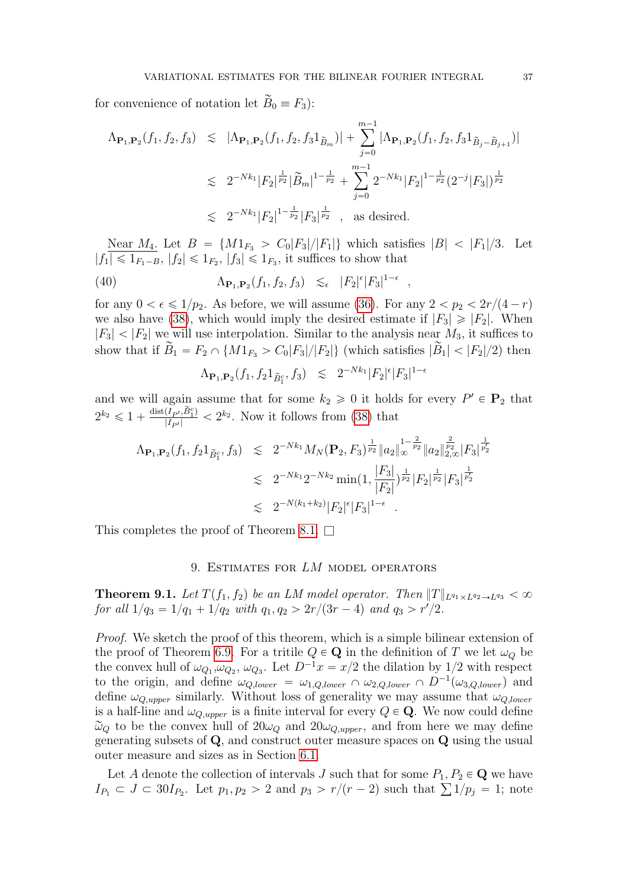for convenience of notation let  $\overline{B}_0 \equiv F_3$ :

$$
\begin{array}{lcl} \Lambda_{\mathbf{P}_1,\mathbf{P}_2}(f_1,f_2,f_3) & \lesssim & |\Lambda_{\mathbf{P}_1,\mathbf{P}_2}(f_1,f_2,f_31_{\widetilde{B}_m})| + \sum_{j=0}^{m-1} |\Lambda_{\mathbf{P}_1,\mathbf{P}_2}(f_1,f_2,f_31_{\widetilde{B}_j-\widetilde{B}_{j+1}})| \\ \\ & \lesssim & 2^{-Nk_1} |F_2|^{\frac{1}{p_2}} |\widetilde{B}_m|^{1-\frac{1}{p_2}} + \sum_{j=0}^{m-1} 2^{-Nk_1} |F_2|^{1-\frac{1}{p_2}} (2^{-j} |F_3|)^{\frac{1}{p_2}} \\ \\ & \lesssim & 2^{-Nk_1} |F_2|^{1-\frac{1}{p_2}} |F_3|^{\frac{1}{p_2}} \quad , \quad \text{as desired.} \end{array}
$$

Near  $M_4$ . Let  $B = \{M1_{F_3} > C_0|F_3|/|F_1|\}$  which satisfies  $|B| < |F_1|/3$ . Let  $|f_1| \leq 1_{F_1-B}, |f_2| \leq 1_{F_2}, |f_3| \leq 1_{F_3}$ , it suffices to show that

(40) 
$$
\Lambda_{\mathbf{P}_1,\mathbf{P}_2}(f_1,f_2,f_3) \leq \epsilon |F_2|^{\epsilon} |F_3|^{1-\epsilon},
$$

for any  $0 < \epsilon \leq 1/p_2$ . As before, we will assume [\(36\)](#page-34-1). For any  $2 < p_2 < 2r/(4 - r)$ we also have [\(38\)](#page-35-2), which would imply the desired estimate if  $|F_3| \geq |F_2|$ . When  $|F_3|$   $\langle |F_2|$  we will use interpolation. Similar to the analysis near  $M_3$ , it suffices to show that if  $\widetilde{B}_1 = F_2 \cap \{M1_{F_3} > C_0|F_3|/|F_2|\}$  (which satisfies  $|\widetilde{B}_1| < |F_2|/2$ ) then

$$
\Lambda_{\mathbf{P}_1, \mathbf{P}_2}(f_1, f_2 1_{\tilde{B}_1^c}, f_3) \leq 2^{-Nk_1} |F_2|^{\epsilon} |F_3|^{1-\epsilon}
$$

and we will again assume that for some  $k_2 \geq 0$  it holds for every  $P' \in \mathbf{P}_2$  that  $2^{k_2} \leq 1 + \frac{\text{dist}(I_{P'}, \tilde{B}_1^c)}{|I_{P'}|} < 2^{k_2}$ . Now it follows from [\(38\)](#page-35-2) that

$$
\Lambda_{\mathbf{P}_1, \mathbf{P}_2}(f_1, f_2 1_{\tilde{B}_1^c}, f_3) \leq 2^{-Nk_1} M_N(\mathbf{P}_2, F_3)^{\frac{1}{p_2}} \|a_2\|_{\infty}^{\frac{2}{p_2}} \|a_2\|_{2,\infty}^{\frac{2}{p_2}} |F_3|^{\frac{1}{p_2}} \n\lesssim 2^{-Nk_1} 2^{-Nk_2} \min(1, \frac{|F_3|}{|F_2|})^{\frac{1}{p_2}} |F_2|^{\frac{1}{p_2}} |F_3|^{\frac{1}{p_2}} \n\lesssim 2^{-N(k_1 + k_2)} |F_2|^{\epsilon} |F_3|^{1-\epsilon}.
$$

This completes the proof of Theorem [8.1.](#page-27-3)  $\Box$ 

#### 9. ESTIMATES FOR LM MODEL OPERATORS

**Theorem 9.1.** Let  $T(f_1, f_2)$  be an LM model operator. Then  $||T||_{L^{q_1}\times L^{q_2}\rightarrow L^{q_3}} < \infty$ for all  $1/q_3 = 1/q_1 + 1/q_2$  with  $q_1, q_2 > 2r/(3r - 4)$  and  $q_3 > r'/2$ .

Proof. We sketch the proof of this theorem, which is a simple bilinear extension of the proof of Theorem [6.9.](#page-17-0) For a tritile  $Q \in \mathbf{Q}$  in the definition of T we let  $\omega_Q$  be the convex hull of  $\omega_{Q_1}, \omega_{Q_2}, \omega_{Q_3}$ . Let  $D^{-1}x = x/2$  the dilation by 1/2 with respect to the origin, and define  $\omega_{Q, lower} = \omega_{1,Q, lower} \cap \omega_{2,Q, lower} \cap D^{-1}(\omega_{3,Q, lower})$  and define  $\omega_{Q,upper}$  similarly. Without loss of generality we may assume that  $\omega_{Q,lower}$ is a half-line and  $\omega_{Q,upper}$  is a finite interval for every  $Q \in \mathbf{Q}$ . We now could define  $\tilde{\omega}_Q$  to be the convex hull of  $20\omega_Q$  and  $20\omega_{Q,upper}$ , and from here we may define generating subsets of Q, and construct outer measure spaces on Q using the usual outer measure and sizes as in Section [6.1.](#page-12-1)

Let A denote the collection of intervals J such that for some  $P_1, P_2 \in \mathbf{Q}$  we have Let A denote the collection of intervals J such that for some  $P_1, P_2 \in \mathbf{Q}$  we have  $I_{P_1} \subset J \subset 30I_{P_2}$ . Let  $p_1, p_2 > 2$  and  $p_3 > r/(r-2)$  such that  $\sum 1/p_j = 1$ ; note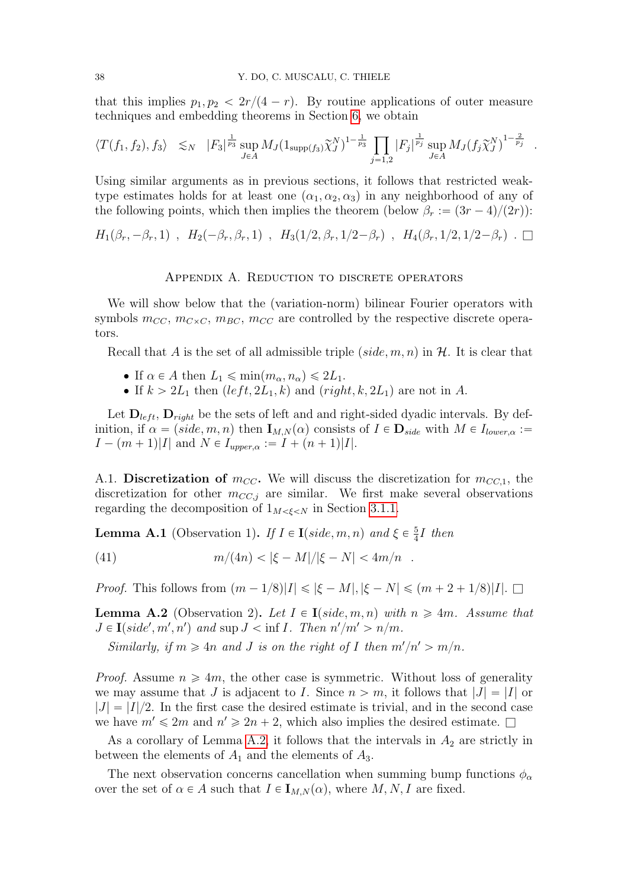that this implies  $p_1, p_2 < 2r/(4 - r)$ . By routine applications of outer measure techniques and embedding theorems in Section [6,](#page-12-0) we obtain

$$
\langle T(f_1, f_2), f_3 \rangle \leq N \quad |F_3|^{\frac{1}{p_3}} \sup_{J \in A} M_J(1_{\text{supp}(f_3)} \tilde{\chi}_J^N)^{1-\frac{1}{p_3}} \prod_{j=1,2} |F_j|^{\frac{1}{p_j}} \sup_{J \in A} M_J(f_j \tilde{\chi}_J^N)^{1-\frac{2}{p_j}}.
$$

Using similar arguments as in previous sections, it follows that restricted weaktype estimates holds for at least one  $(\alpha_1, \alpha_2, \alpha_3)$  in any neighborhood of any of the following points, which then implies the theorem (below  $\beta_r := (3r - 4)/(2r)$ ):

$$
H_1(\beta_r, -\beta_r, 1) , H_2(-\beta_r, \beta_r, 1) , H_3(1/2, \beta_r, 1/2-\beta_r) , H_4(\beta_r, 1/2, 1/2-\beta_r) . \square
$$

#### Appendix A. Reduction to discrete operators

We will show below that the (variation-norm) bilinear Fourier operators with symbols  $m_{CC}$ ,  $m_{C\times C}$ ,  $m_{BC}$ ,  $m_{CC}$  are controlled by the respective discrete operators.

Recall that A is the set of all admissible triple  $(side, m, n)$  in H. It is clear that

- If  $\alpha \in A$  then  $L_1 \leqslant \min(m_\alpha, n_\alpha) \leqslant 2L_1$ .
- If  $k > 2L_1$  then  $(left, 2L_1, k)$  and  $(right, k, 2L_1)$  are not in A.

Let  $\mathbf{D}_{left}$ ,  $\mathbf{D}_{right}$  be the sets of left and and right-sided dyadic intervals. By definition, if  $\alpha = (side, m, n)$  then  $\mathbf{I}_{M,N}(\alpha)$  consists of  $I \in \mathbf{D}_{side}$  with  $M \in I_{lower,\alpha}$  :=  $I - (m + 1)|I|$  and  $N \in I_{upper,\alpha} := I + (n + 1)|I|.$ 

A.1. Discretization of  $m_{CC}$ . We will discuss the discretization for  $m_{CC,1}$ , the discretization for other  $m_{CC,i}$  are similar. We first make several observations regarding the decomposition of  $1_{M \leq \xi \leq N}$  in Section [3.1.1.](#page-3-2)

<span id="page-37-1"></span>**Lemma A.1** (Observation 1). If  $I \in I(side, m, n)$  and  $\xi \in \frac{5}{4}$  $\frac{5}{4}I$  then

(41) 
$$
m/(4n) < |\xi - M|/|\xi - N| < 4m/n.
$$

*Proof.* This follows from  $(m - 1/8)|I| \le |\xi - M|, |\xi - N| \le (m + 2 + 1/8)|I|$ .  $\square$ 

<span id="page-37-0"></span>**Lemma A.2** (Observation 2). Let  $I \in I$  (side, m, n) with  $n \ge 4m$ . Assume that  $J \in \mathbf{I}(side', m', n')$  and sup  $J < \inf I$ . Then  $n'/m' > n/m$ .

Similarly, if  $m \ge 4n$  and J is on the right of I then  $m'/n' > m/n$ .

*Proof.* Assume  $n \ge 4m$ , the other case is symmetric. Without loss of generality we may assume that J is adjacent to I. Since  $n > m$ , it follows that  $|J| = |I|$  or  $|J| = |I|/2$ . In the first case the desired estimate is trivial, and in the second case we have  $m' \leq 2m$  and  $n' \geq 2n + 2$ , which also implies the desired estimate.  $\square$ 

As a corollary of Lemma [A.2,](#page-37-0) it follows that the intervals in  $A_2$  are strictly in between the elements of  $A_1$  and the elements of  $A_3$ .

The next observation concerns cancellation when summing bump functions  $\phi_{\alpha}$ over the set of  $\alpha \in A$  such that  $I \in I_{M,N}(\alpha)$ , where  $M, N, I$  are fixed.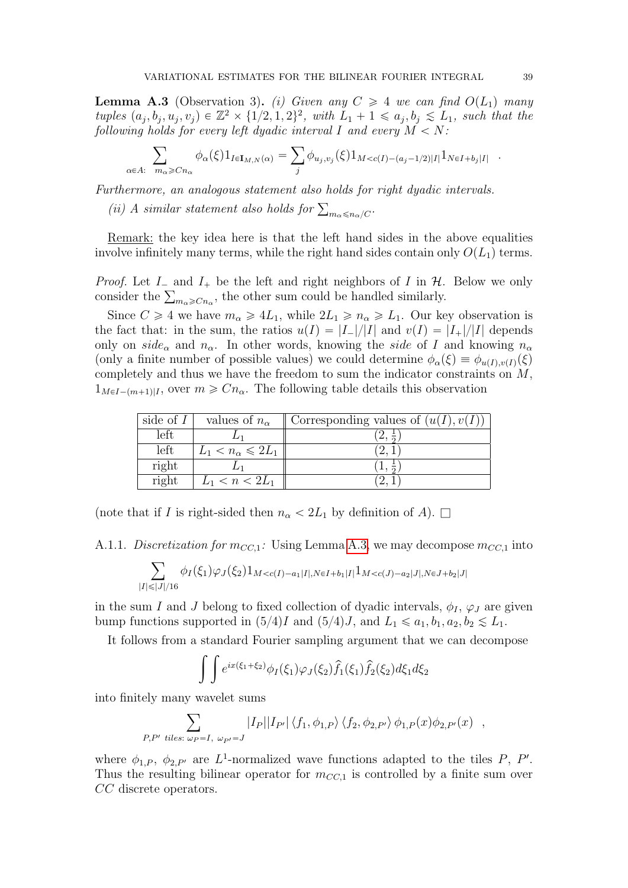<span id="page-38-0"></span>**Lemma A.3** (Observation 3). (i) Given any  $C \geq 4$  we can find  $O(L_1)$  many tuples  $(a_j, b_j, u_j, v_j) \in \mathbb{Z}^2 \times \{1/2, 1, 2\}^2$ , with  $L_1 + 1 \leq a_j, b_j \leq L_1$ , such that the following holds for every left dyadic interval I and every  $M < N$ : ine je i every rejeasyance in

$$
\sum_{A: m_{\alpha} \geq Cn_{\alpha}} \phi_{\alpha}(\xi) 1_{I \in I_{M,N}(\alpha)} = \sum_{j} \phi_{u_j, v_j}(\xi) 1_{M < c(I) - (a_j - 1/2)|I|} 1_{N \in I + b_j|I|} .
$$

Furthermore, an analogous statement also holds for right dyadic intervals.

(ii) A similar statement also holds for  $\sum_{m_{\alpha}\leqslant n_{\alpha}/C}$ .

 $\alpha \in$ 

Remark: the key idea here is that the left hand sides in the above equalities involve infinitely many terms, while the right hand sides contain only  $O(L_1)$  terms.

*Proof.* Let  $I_{-}$  and  $I_{+}$  be the left and right neighbors of I in  $H$ . Below we only *Proof.* Let  $I_{-}$  and  $I_{+}$  be the left and right neighbors of  $I$  in  $H$ .<br>consider the  $\sum_{m_{\alpha} \geqslant C_{n_{\alpha}}}$ , the other sum could be handled similarly.

Since  $C \ge 4$  we have  $m_{\alpha} \ge 4L_1$ , while  $2L_1 \ge n_{\alpha} \ge L_1$ . Our key observation is the fact that: in the sum, the ratios  $u(I) = |I_-|/|I|$  and  $v(I) = |I_+|/|I|$  depends only on side<sub>α</sub> and  $n_{\alpha}$ . In other words, knowing the side of I and knowing  $n_{\alpha}$ (only a finite number of possible values) we could determine  $\phi_{\alpha}(\xi) \equiv \phi_{u(I),v(I)}(\xi)$ completely and thus we have the freedom to sum the indicator constraints on M,  $1_{M\in I-(m+1)|I}$ , over  $m\geq Cn_{\alpha}$ . The following table details this observation

| side of $I$ | values of $n_{\alpha}$          | Corresponding values of $(u(I), v(I))$ |
|-------------|---------------------------------|----------------------------------------|
| left        |                                 |                                        |
| left        | $L_1 < n_\alpha \leqslant 2L_1$ |                                        |
| right       |                                 |                                        |
| right       | $L_1 < n < 2L_1$                |                                        |

(note that if I is right-sided then  $n_{\alpha} < 2L_1$  by definition of A).  $\square$ 

A.1.1. Discretization for  $m_{CC,1}$ : Using Lemma [A.3,](#page-38-0) we may decompose  $m_{CC,1}$  into

$$
\sum_{|I| \leq |J|/16} \phi_I(\xi_1)\varphi_J(\xi_2) 1_{M < c(I) - a_1|I|, N \in I + b_1|I|} 1_{M < c(J) - a_2|J|, N \in J + b_2|J|}
$$

in the sum I and J belong to fixed collection of dyadic intervals,  $\phi_I$ ,  $\varphi_J$  are given bump functions supported in  $(5/4)I$  and  $(5/4)J$ , and  $L_1 \leq a_1, b_1, a_2, b_2 \leq L_1$ .

It follows from a standard Fourier sampling argument that we can decompose  $\sum_{i=1}^{n}$ 

$$
\int \int e^{ix(\xi_1+\xi_2)} \phi_I(\xi_1) \varphi_J(\xi_2) \hat{f}_1(\xi_1) \hat{f}_2(\xi_2) d\xi_1 d\xi_2
$$

into finitely many wavelet sums ÿ

$$
\sum_{P,P' \text{ tiles: } \omega_P = I, \ \omega_{P'} = J} |I_P||I_{P'}|\langle f_1, \phi_{1,P}\rangle \langle f_2, \phi_{2,P'}\rangle \phi_{1,P}(x)\phi_{2,P'}(x) ,
$$

where  $\phi_{1,P}, \phi_{2,P'}$  are L<sup>1</sup>-normalized wave functions adapted to the tiles P, P'. Thus the resulting bilinear operator for  $m_{CC,1}$  is controlled by a finite sum over CC discrete operators.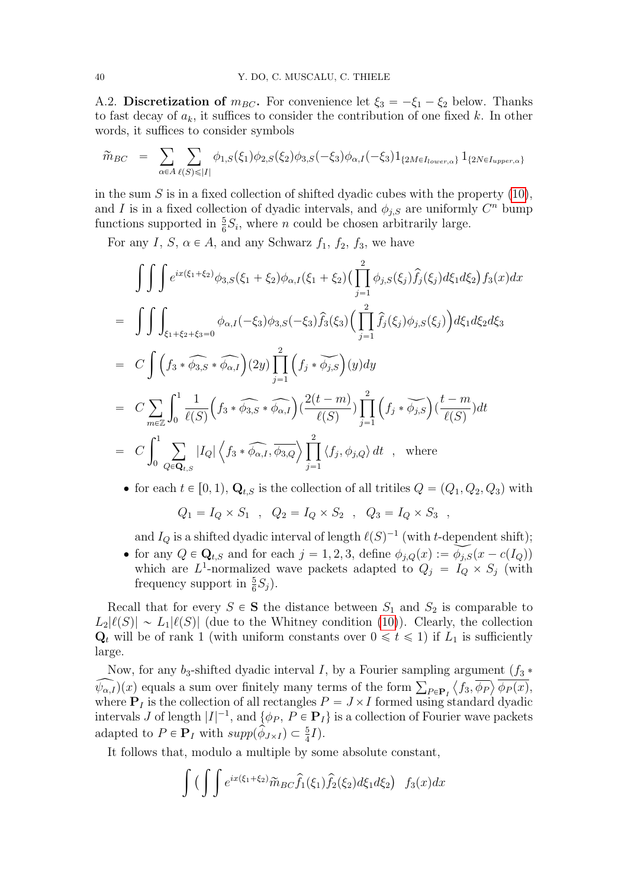A.2. Discretization of  $m_{BC}$ . For convenience let  $\xi_3 = -\xi_1 - \xi_2$  below. Thanks to fast decay of  $a_k$ , it suffices to consider the contribution of one fixed k. In other words, it suffices to consider symbols

$$
\widetilde{m}_{BC} = \sum_{\alpha \in A} \sum_{\ell(S) \leq |I|} \phi_{1,S}(\xi_1) \phi_{2,S}(\xi_2) \phi_{3,S}(-\xi_3) \phi_{\alpha,I}(-\xi_3) 1_{\{2M \in I_{lower,\alpha}\}} 1_{\{2N \in I_{upper,\alpha}\}}
$$

in the sum  $S$  is in a fixed collection of shifted dyadic cubes with the property  $(10)$ , and I is in a fixed collection of dyadic intervals, and  $\phi_{j,S}$  are uniformly  $C^n$  bump functions supported in  $\frac{5}{6}S_i$ , where *n* could be chosen arbitrarily large.

For any I,  $S$ ,  $\alpha \in A$ , and any Schwarz  $f_1$ ,  $f_2$ ,  $f_3$ , we have

$$
\iiint e^{ix(\xi_1+\xi_2)}\phi_{3,S}(\xi_1+\xi_2)\phi_{\alpha,I}(\xi_1+\xi_2)\left(\prod_{j=1}^2\phi_{j,S}(\xi_j)\hat{f}_j(\xi_j)d\xi_1d\xi_2\right)f_3(x)dx
$$
  
\n
$$
= \iint \int \int_{\xi_1+\xi_2+\xi_3=0} \phi_{\alpha,I}(-\xi_3)\phi_{3,S}(-\xi_3)\hat{f}_3(\xi_3)\left(\prod_{j=1}^2\hat{f}_j(\xi_j)\phi_{j,S}(\xi_j)\right)d\xi_1d\xi_2d\xi_3
$$
  
\n
$$
= C \int \left(f_3 * \widehat{\phi_{3,S}} * \widehat{\phi_{\alpha,I}}\right)(2y) \prod_{j=1}^2 \left(f_j * \widecheck{\phi_{j,S}}\right)(y)dy
$$
  
\n
$$
= C \sum_{m\in\mathbb{Z}} \int_0^1 \frac{1}{\ell(S)} \left(f_3 * \widehat{\phi_{3,S}} * \widehat{\phi_{\alpha,I}}\right) \left(\frac{2(t-m)}{\ell(S)}\right) \prod_{j=1}^2 \left(f_j * \widecheck{\phi_{j,S}}\right) \left(\frac{t-m}{\ell(S)}\right)dt
$$
  
\n
$$
= C \int_0^1 \sum_{Q\in\mathbf{Q}_{t,S}} |I_Q| \left\langle f_3 * \widehat{\phi_{\alpha,I}}, \overline{\phi_{3,Q}}\right\rangle \prod_{j=1}^2 \left\langle f_j, \phi_{j,Q} \right\rangle dt \quad , \text{ where}
$$

• for each  $t \in [0, 1)$ ,  $\mathbf{Q}_{t,S}$  is the collection of all tritiles  $Q = (Q_1, Q_2, Q_3)$  with

$$
Q_1 = I_Q \times S_1 , Q_2 = I_Q \times S_2 , Q_3 = I_Q \times S_3 ,
$$

and  $I_Q$  is a shifted dyadic interval of length  $\ell(S)^{-1}$  (with t-dependent shift);

• for any  $Q \in \mathbf{Q}_{t,S}$  and for each  $j = 1, 2, 3$ , define  $\phi_{j,Q}(x) := \widetilde{\phi_{j,S}}(x - c(I_Q))$ which are  $L^1$ -normalized wave packets adapted to  $Q_j = I_Q \times S_j$  (with frequency support in  $\frac{5}{6}S_j$ .

Recall that for every  $S \in \mathbf{S}$  the distance between  $S_1$  and  $S_2$  is comparable to  $L_2\ell(S)| \sim L_1\ell(S)|$  (due to the Whitney condition [\(10\)](#page-5-1)). Clearly, the collection  $\mathbf{Q}_t$  will be of rank 1 (with uniform constants over  $0 \leq t \leq 1$ ) if  $L_1$  is sufficiently large.

Now, for any  $b_3$ -shifted dyadic interval I, by a Fourier sampling argument  $(f_3 * f_3)$ Now, for any  $\theta_3$ -shifted dyadic interval 1, by a Fourier sampling argument  $(J_3 * \widehat{\phi_{R,I}})(x)$  equals a sum over finitely many terms of the form  $\sum_{P \in \mathbf{P}_I} \langle f_3, \overline{\phi_P} \rangle \overline{\phi_P(x)}$ , where  $P_I$  is the collection of all rectangles  $P = J \times I$  formed using standard dyadic intervals J of length  $|I|^{-1}$ , and  $\{\phi_P, P \in \mathbf{P}_I\}$  is a collection of Fourier wave packets adapted to  $P \in \mathbf{P}_I$  with  $supp(\hat{\phi}_{J \times I}) \subset \frac{5}{4}I$ .

It follows that, modulo a multiple by some absolute constant, z<br>Zobacz z zobacz<br>Zobacz z zobacz z zobacz z zobacz z zobacz z zobacz z zobacz z zobacz z zobacz z zobacz z zobacz z zobacz z zo

$$
\int \left( \int \int e^{ix(\xi_1+\xi_2)} \widetilde{m}_{BC} \widehat{f}_1(\xi_1) \widehat{f}_2(\xi_2) d\xi_1 d\xi_2 \right) f_3(x) dx
$$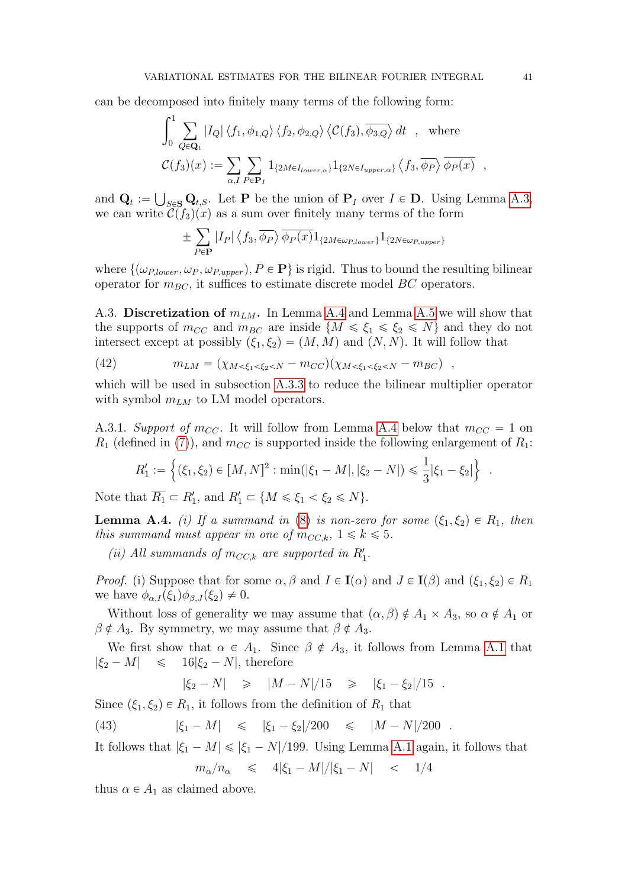can be decomposed into finitely many terms of the following form:

$$
\int_0^1 \sum_{Q \in \mathbf{Q}_t} |I_Q| \langle f_1, \phi_{1,Q} \rangle \langle f_2, \phi_{2,Q} \rangle \langle C(f_3), \overline{\phi_{3,Q}} \rangle dt \quad , \text{ where}
$$
  

$$
C(f_3)(x) := \sum_{\alpha, I} \sum_{P \in \mathbf{P}_I} 1_{\{2M \in I_{lower,\alpha}\}} 1_{\{2N \in I_{upper,\alpha}\}} \langle f_3, \overline{\phi_P} \rangle \overline{\phi_P(x)} \quad ,
$$

and  $\mathbf{Q}_t := \bigcup_{S \in \mathbf{S}} \mathbf{Q}_{t,S}$ . Let **P** be the union of  $\mathbf{P}_I$  over  $I \in \mathbf{D}$ . Using Lemma [A.3,](#page-38-0) we can write  $\mathcal{C}(f_3)(x)$  as a sum over finitely many terms of the form

$$
\pm \sum_{P \in \mathbf{P}} |I_P| \langle f_3, \overline{\phi_P} \rangle \overline{\phi_P(x)} 1_{\{2M \in \omega_{P, lower}\}} 1_{\{2N \in \omega_{P,upper}\}}
$$

where  $\{(\omega_{P,lower}, \omega_P, \omega_{P,upper}), P \in \mathbf{P}\}\$ is rigid. Thus to bound the resulting bilinear operator for  $m_{BC}$ , it suffices to estimate discrete model  $BC$  operators.

A.3. Discretization of  $m_{LM}$ . In Lemma [A.4](#page-40-0) and Lemma [A.5](#page-41-0) we will show that the supports of  $m_{CC}$  and  $m_{BC}$  are inside  $\{M \leq \xi_1 \leq \xi_2 \leq N\}$  and they do not intersect except at possibly  $(\xi_1, \xi_2) = (M, M)$  and  $(N, N)$ . It will follow that

<span id="page-40-2"></span>(42) 
$$
m_{LM} = (\chi_{M < \xi_1 < \xi_2 < N} - m_{CC})(\chi_{M < \xi_1 < \xi_2 < N} - m_{BC}),
$$

which will be used in subsection [A.3.3](#page-42-0) to reduce the bilinear multiplier operator with symbol  $m_{LM}$  to LM model operators.

A.3.1. Support of  $m_{CC}$ . It will follow from Lemma [A.4](#page-40-0) below that  $m_{CC} = 1$  on  $R_1$  (defined in [\(7\)](#page-3-3)), and  $m_{CC}$  is supported inside the following enlargement of  $R_1$ :

$$
R'_1 := \left\{ (\xi_1, \xi_2) \in [M, N]^2 : \min(|\xi_1 - M|, |\xi_2 - N|) \leq \frac{1}{3} |\xi_1 - \xi_2| \right\} .
$$

Note that  $\overline{R_1} \subset R'_1$ , and  $R'_1 \subset \{M \leq \xi_1 < \xi_2 \leq N\}.$ 

<span id="page-40-0"></span>**Lemma A.4.** (i) If a summand in [\(8\)](#page-4-0) is non-zero for some  $(\xi_1, \xi_2) \in R_1$ , then this summand must appear in one of  $m_{CC,k}$ ,  $1 \le k \le 5$ .

(ii) All summands of  $m_{CC,k}$  are supported in  $R'_1$ .

*Proof.* (i) Suppose that for some  $\alpha, \beta$  and  $I \in I(\alpha)$  and  $J \in I(\beta)$  and  $(\xi_1, \xi_2) \in R_1$ we have  $\phi_{\alpha,I}(\xi_1)\phi_{\beta,J}(\xi_2)\neq 0$ .

Without loss of generality we may assume that  $(\alpha, \beta) \notin A_1 \times A_3$ , so  $\alpha \notin A_1$  or  $\beta \notin A_3$ . By symmetry, we may assume that  $\beta \notin A_3$ .

We first show that  $\alpha \in A_1$ . Since  $\beta \notin A_3$ , it follows from Lemma [A.1](#page-37-1) that  $|\xi_2 - M| \leq 16|\xi_2 - N|$ , therefore

<span id="page-40-1"></span>
$$
|\xi_2 - N|
$$
  $\geq$   $|M - N|/15$   $\geq$   $|\xi_1 - \xi_2|/15$ .

Since  $(\xi_1, \xi_2) \in R_1$ , it follows from the definition of  $R_1$  that

(43) 
$$
|\xi_1 - M| \le |\xi_1 - \xi_2|/200 \le |M - N|/200
$$
.

It follows that  $|\xi_1 - M| \leq |\xi_1 - N|/199$ . Using Lemma [A.1](#page-37-1) again, it follows that

$$
m_{\alpha}/n_{\alpha} \leq 4|\xi_1 - M|/|\xi_1 - N| < 1/4
$$

thus  $\alpha \in A_1$  as claimed above.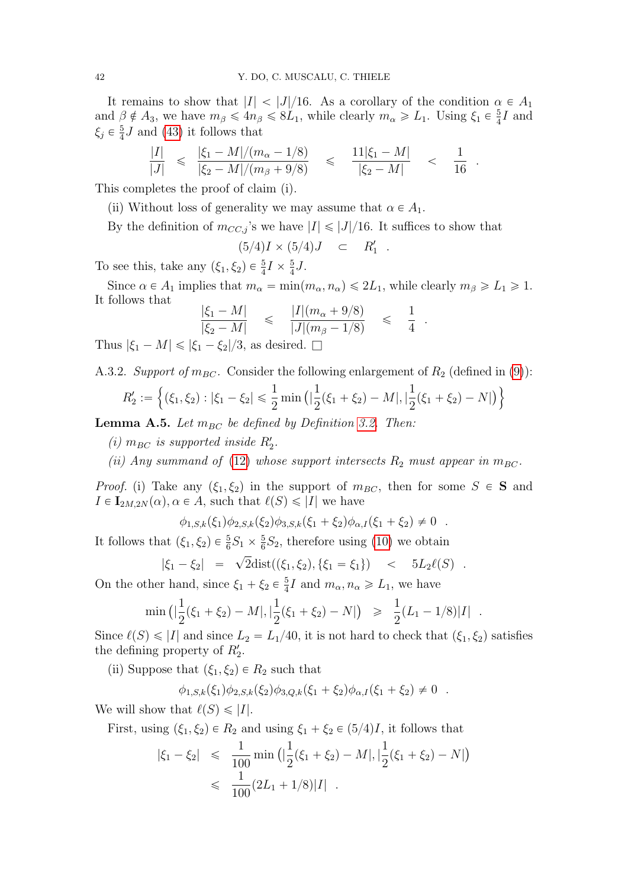It remains to show that  $|I| < |J|/16$ . As a corollary of the condition  $\alpha \in A_1$ and  $\beta \notin A_3$ , we have  $m_\beta \leqslant 4n_\beta \leqslant 8L_1$ , while clearly  $m_\alpha \geqslant L_1$ . Using  $\xi_1 \in \frac{5}{4}$  $\frac{5}{4}I$  and  $\xi_j \in \frac{5}{4}$  $\frac{5}{4}$ *J* and [\(43\)](#page-40-1) it follows that

$$
\frac{|I|}{|J|} \leq \frac{|\xi_1 - M|/(m_\alpha - 1/8)}{|\xi_2 - M|/(m_\beta + 9/8)} \leq \frac{11|\xi_1 - M|}{|\xi_2 - M|} < \frac{1}{16}.
$$

This completes the proof of claim (i).

(ii) Without loss of generality we may assume that  $\alpha \in A_1$ .

By the definition of  $m_{CC,i}$ 's we have  $|I| \leq |J|/16$ . It suffices to show that

$$
(5/4)I \times (5/4)J \quad \subset \quad R'_1 \quad .
$$

To see this, take any  $(\xi_1, \xi_2) \in \frac{5}{4}I \times \frac{5}{4}$  $\frac{5}{4}J$ .

Since  $\alpha \in A_1$  implies that  $m_\alpha = \min(m_\alpha, n_\alpha) \leq 2L_1$ , while clearly  $m_\beta \geq L_1 \geq 1$ . It follows that

$$
\frac{|\xi_1 - M|}{|\xi_2 - M|} \leq \frac{|I|(m_\alpha + 9/8)}{|J|(m_\beta - 1/8)} \leq \frac{1}{4}
$$

.

Thus  $|\xi_1 - M| \leq |\xi_1 - \xi_2|/3$ , as desired.  $\square$ 

A.3.2. Support of  $m_{BC}$ . Consider the following enlargement of  $R_2$  (defined in [\(9\)](#page-4-1)):

$$
R'_2 := \left\{ (\xi_1, \xi_2) : |\xi_1 - \xi_2| \leq \frac{1}{2} \min \left( |\frac{1}{2}(\xi_1 + \xi_2) - M|, |\frac{1}{2}(\xi_1 + \xi_2) - N| \right) \right\}
$$

<span id="page-41-0"></span>**Lemma A.5.** Let  $m_{BC}$  be defined by Definition [3.2.](#page-6-1) Then:

(i)  $m_{BC}$  is supported inside  $R'_2$ .

(ii) Any summand of [\(12\)](#page-5-2) whose support intersects  $R_2$  must appear in  $m_{BC}$ .

*Proof.* (i) Take any  $(\xi_1, \xi_2)$  in the support of  $m_{BC}$ , then for some  $S \in S$  and  $I \in I_{2M,2N}(\alpha), \alpha \in A$ , such that  $\ell(S) \leq |I|$  we have

$$
\phi_{1,S,k}(\xi_1)\phi_{2,S,k}(\xi_2)\phi_{3,S,k}(\xi_1+\xi_2)\phi_{\alpha,I}(\xi_1+\xi_2)\neq 0.
$$

It follows that  $(\xi_1, \xi_2) \in \frac{5}{6}S_1 \times \frac{5}{6}$  $\frac{5}{6}S_2$ , therefore using [\(10\)](#page-5-1) we obtain

$$
|\xi_1 - \xi_2| = \sqrt{2} \text{dist}((\xi_1, \xi_2), \{\xi_1 = \xi_1\})
$$
  $< 5L_2 \ell(S)$ .

On the other hand, since  $\xi_1 + \xi_2 \in \frac{5}{4}$  $\frac{5}{4}I$  and  $m_{\alpha}, n_{\alpha} \geqslant L_1$ , we have

$$
\min\left(|\frac{1}{2}(\xi_1+\xi_2)-M|,|\frac{1}{2}(\xi_1+\xi_2)-N|\right) \geq \frac{1}{2}(L_1-1/8)|I|.
$$

Since  $\ell(S) \leq |I|$  and since  $L_2 = L_1/40$ , it is not hard to check that  $(\xi_1, \xi_2)$  satisfies the defining property of  $R'_2$ .

(ii) Suppose that  $(\xi_1, \xi_2) \in R_2$  such that

 $\phi_{1,S,k}(\xi_1)\phi_{2,S,k}(\xi_2)\phi_{3,O,k}(\xi_1 + \xi_2)\phi_{\alpha,I}(\xi_1 + \xi_2) \neq 0$ .

We will show that  $\ell(S) \leq |I|$ .

First, using  $(\xi_1, \xi_2) \in R_2$  and using  $\xi_1 + \xi_2 \in (5/4)I$ , it follows that

$$
|\xi_1 - \xi_2| \leq \frac{1}{100} \min\left( \left| \frac{1}{2} (\xi_1 + \xi_2) - M \right|, \left| \frac{1}{2} (\xi_1 + \xi_2) - N \right| \right)
$$
  

$$
\leq \frac{1}{100} (2L_1 + 1/8)|I|.
$$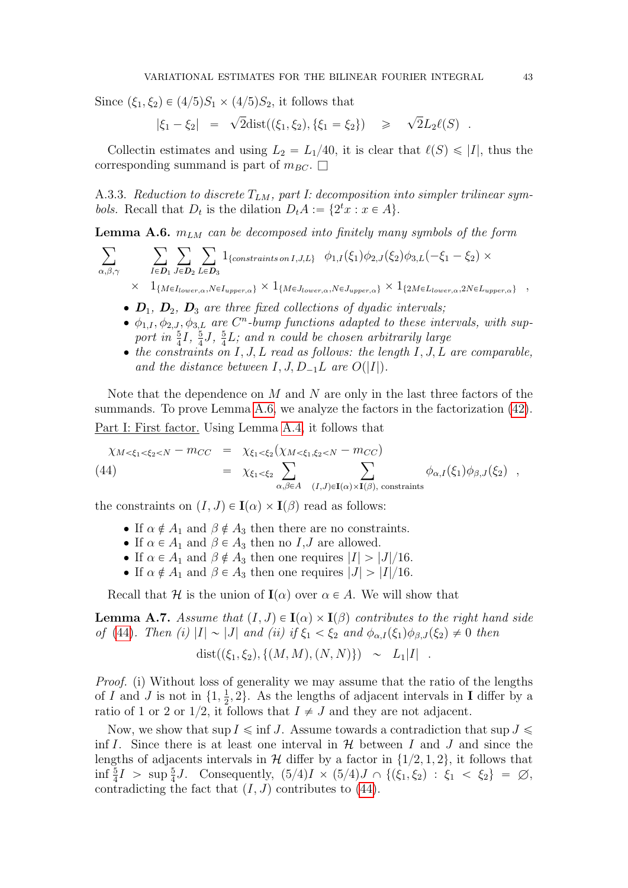Since  $(\xi_1, \xi_2) \in (4/5)S_1 \times (4/5)S_2$ , it follows that

$$
|\xi_1 - \xi_2| = \sqrt{2} \text{dist}((\xi_1, \xi_2), \{\xi_1 = \xi_2\}) \ge \sqrt{2} L_2 \ell(S)
$$
.

Collectin estimates and using  $L_2 = L_1/40$ , it is clear that  $\ell(S) \leq |I|$ , thus the corresponding summand is part of  $m_{BC}$ .  $\Box$ 

<span id="page-42-0"></span>A.3.3. Reduction to discrete  $T_{LM}$ , part I: decomposition into simpler trilinear symbols. Recall that  $D_t$  is the dilation  $D_t A := \{2^t x : x \in A\}.$ 

<span id="page-42-1"></span>**Lemma A.6.**  $m_{LM}$  can be decomposed into finitely many symbols of the form

$$
\sum_{\alpha,\beta,\gamma} \sum_{I \in \mathcal{D}_1} \sum_{J \in \mathcal{D}_2} \sum_{L \in \mathcal{D}_3} 1_{\{\text{constraints on } I,J,L\}} \phi_{1,I}(\xi_1) \phi_{2,J}(\xi_2) \phi_{3,L}(-\xi_1 - \xi_2) \times \times 1_{\{M \in I_{lower,\alpha}, N \in I_{upper,\alpha}\}} \times 1_{\{M \in J_{lower,\alpha}, N \in J_{upper,\alpha}\}} \times 1_{\{2M \in L_{lower,\alpha}, 2N \in L_{upper,\alpha}\}} ,
$$

- $\bullet$   $\mathbf{D}_1$ ,  $\mathbf{D}_2$ ,  $\mathbf{D}_3$  are three fixed collections of dyadic intervals;
- $\bullet$   $\phi_{1,I}, \phi_{2,I}, \phi_{3,L}$  are  $C^n$ -bump functions adapted to these intervals, with support in  $\frac{5}{4}I$ ,  $\frac{5}{4}$  $\frac{5}{4}$ J,  $\frac{5}{4}$  $\frac{5}{4}L$ ; and n could be chosen arbitrarily large
- $\bullet$  the constraints on I, J, L read as follows: the length I, J, L are comparable, and the distance between  $I, J, D_{-1}L$  are  $O(|I|)$ .

Note that the dependence on  $M$  and  $N$  are only in the last three factors of the summands. To prove Lemma [A.6,](#page-42-1) we analyze the factors in the factorization  $(42)$ . Part I: First factor. Using Lemma [A.4,](#page-40-0) it follows that

<span id="page-42-2"></span>
$$
\chi_{M < \xi_1 < \xi_2 < N} - m_{CC} = \chi_{\xi_1 < \xi_2} (\chi_{M < \xi_1, \xi_2 < N} - m_{CC})
$$
\n
$$
= \chi_{\xi_1 < \xi_2} \sum_{\alpha, \beta \in A} \sum_{(I,J) \in \mathbf{I}(\alpha) \times \mathbf{I}(\beta), \text{ constraints}} \phi_{\alpha, I}(\xi_1) \phi_{\beta, J}(\xi_2) ,
$$

the constraints on  $(I, J) \in I(\alpha) \times I(\beta)$  read as follows:

- If  $\alpha \notin A_1$  and  $\beta \notin A_3$  then there are no constraints.
- If  $\alpha \in A_1$  and  $\beta \in A_3$  then no  $I, J$  are allowed.
- If  $\alpha \in A_1$  and  $\beta \notin A_3$  then one requires  $|I| > |J|/16$ .
- If  $\alpha \notin A_1$  and  $\beta \in A_3$  then one requires  $|J| > |I|/16$ .

Recall that H is the union of  $I(\alpha)$  over  $\alpha \in A$ . We will show that

<span id="page-42-3"></span>**Lemma A.7.** Assume that  $(I, J) \in I(\alpha) \times I(\beta)$  contributes to the right hand side of [\(44\)](#page-42-2). Then (i)  $|I| \sim |J|$  and (ii) if  $\xi_1 < \xi_2$  and  $\phi_{\alpha,I}(\xi_1)\phi_{\beta,J}(\xi_2) \neq 0$  then

$$
dist((\xi_1, \xi_2), \{(M, M), (N, N)\}) \sim L_1|I| .
$$

Proof. (i) Without loss of generality we may assume that the ratio of the lengths of I and J is not in  $\{1, \frac{1}{2}\}$  $\frac{1}{2}$ , 2. As the lengths of adjacent intervals in **I** differ by a ratio of 1 or 2 or 1/2, it follows that  $I \neq J$  and they are not adjacent.

Now, we show that sup  $I \leq \inf J$ . Assume towards a contradiction that sup  $J \leq$ inf I. Since there is at least one interval in  $\mathcal H$  between I and J and since the lengths of adjacents intervals in  $H$  differ by a factor in  $\{1/2, 1, 2\}$ , it follows that  $\inf \frac{5}{4} I > \sup \frac{5}{4} J$ . Consequently,  $(5/4) I \times (5/4) J \cap \{(\xi_1, \xi_2) : \xi_1 < \xi_2\} = \emptyset$ , contradicting the fact that  $(I, J)$  contributes to [\(44\)](#page-42-2).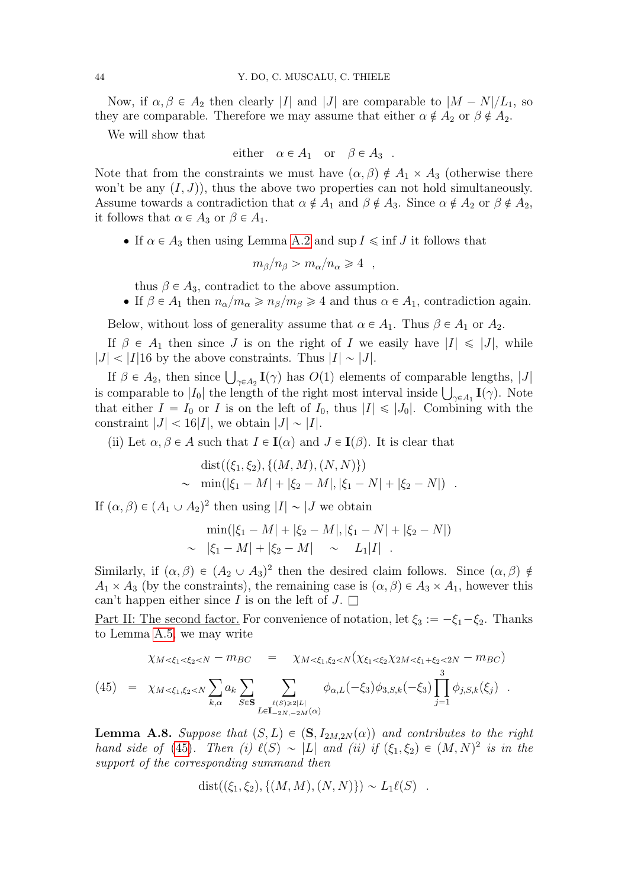Now, if  $\alpha, \beta \in A_2$  then clearly |I| and |J| are comparable to  $|M - N|/L_1$ , so they are comparable. Therefore we may assume that either  $\alpha \notin A_2$  or  $\beta \notin A_2$ .

We will show that

either 
$$
\alpha \in A_1
$$
 or  $\beta \in A_3$ .

Note that from the constraints we must have  $(\alpha, \beta) \notin A_1 \times A_3$  (otherwise there won't be any  $(I, J)$ , thus the above two properties can not hold simultaneously. Assume towards a contradiction that  $\alpha \notin A_1$  and  $\beta \notin A_3$ . Since  $\alpha \notin A_2$  or  $\beta \notin A_2$ , it follows that  $\alpha \in A_3$  or  $\beta \in A_1$ .

• If  $\alpha \in A_3$  then using Lemma [A.2](#page-37-0) and sup  $I \leq \inf J$  it follows that

$$
m_{\beta}/n_{\beta} > m_{\alpha}/n_{\alpha} \geqslant 4 \quad ,
$$

thus  $\beta \in A_3$ , contradict to the above assumption.

• If  $\beta \in A_1$  then  $n_{\alpha}/m_{\alpha} \geqslant n_{\beta}/m_{\beta} \geqslant 4$  and thus  $\alpha \in A_1$ , contradiction again.

Below, without loss of generality assume that  $\alpha \in A_1$ . Thus  $\beta \in A_1$  or  $A_2$ .

If  $\beta \in A_1$  then since J is on the right of I we easily have  $|I| \leq |J|$ , while  $|J| < |I|16$  by the above constraints. Thus  $|I| \sim |J|$ .

If  $\beta \in A_2$ , then since  $\bigcup_{\gamma \in A_2} I(\gamma)$  has  $O(1)$  elements of comparable lengths, |J| If  $\beta \in A_2$ , then since  $\bigcup_{\gamma \in A_2} I(\gamma)$  has  $U(1)$  elements of comparable lengths,  $|J|$ <br>is comparable to  $|I_0|$  the length of the right most interval inside  $\bigcup_{\gamma \in A_1} I(\gamma)$ . Note that either  $I = I_0$  or I is on the left of  $I_0$ , thus  $|I| \leq |J_0|$ . Combining with the constraint  $|J| < 16|I|$ , we obtain  $|J| \sim |I|$ .

(ii) Let  $\alpha, \beta \in A$  such that  $I \in I(\alpha)$  and  $J \in I(\beta)$ . It is clear that

$$
dist((\xi_1, \xi_2), \{(M, M), (N, N)\})
$$
  
~ 
$$
min(|\xi_1 - M| + |\xi_2 - M|, |\xi_1 - N| + |\xi_2 - N|)
$$
.

If  $(\alpha, \beta) \in (A_1 \cup A_2)^2$  then using  $|I| \sim |J|$  we obtain

$$
\min(|\xi_1 - M| + |\xi_2 - M|, |\xi_1 - N| + |\xi_2 - N|)
$$
  
 
$$
\sim |\xi_1 - M| + |\xi_2 - M| \sim L_1 |I|.
$$

Similarly, if  $(\alpha, \beta) \in (A_2 \cup A_3)^2$  then the desired claim follows. Since  $(\alpha, \beta) \notin$  $A_1 \times A_3$  (by the constraints), the remaining case is  $(\alpha, \beta) \in A_3 \times A_1$ , however this can't happen either since I is on the left of  $J$ .  $\Box$ 

<u>Part II: The second factor.</u> For convenience of notation, let  $\xi_3 := -\xi_1 - \xi_2$ . Thanks to Lemma [A.5,](#page-41-0) we may write

<span id="page-43-0"></span>
$$
\chi_{M < \xi_1 < \xi_2 < N} - m_{BC} = \chi_{M < \xi_1, \xi_2 < N}(\chi_{\xi_1 < \xi_2} \chi_{2M < \xi_1 + \xi_2 < 2N} - m_{BC})
$$
\n
$$
(45) = \chi_{M < \xi_1, \xi_2 < N} \sum_{k, \alpha} a_k \sum_{S \in \mathbf{S}} \sum_{\ell(S) \ge 2|L| \atop L \in \mathbf{I}_{-2N, -2M}(\alpha)} \phi_{\alpha, L}(-\xi_3) \phi_{3, S, k}(-\xi_3) \prod_{j=1}^3 \phi_{j, S, k}(\xi_j) .
$$

<span id="page-43-1"></span>**Lemma A.8.** Suppose that  $(S, L) \in (\mathbf{S}, I_{2M,2N}(\alpha))$  and contributes to the right hand side of [\(45\)](#page-43-0). Then (i)  $\ell(S) \sim |L|$  and (ii) if  $(\xi_1, \xi_2) \in (M, N)^2$  is in the support of the corresponding summand then

$$
dist((\xi_1, \xi_2), \{(M, M), (N, N)\}) \sim L_1 \ell(S) .
$$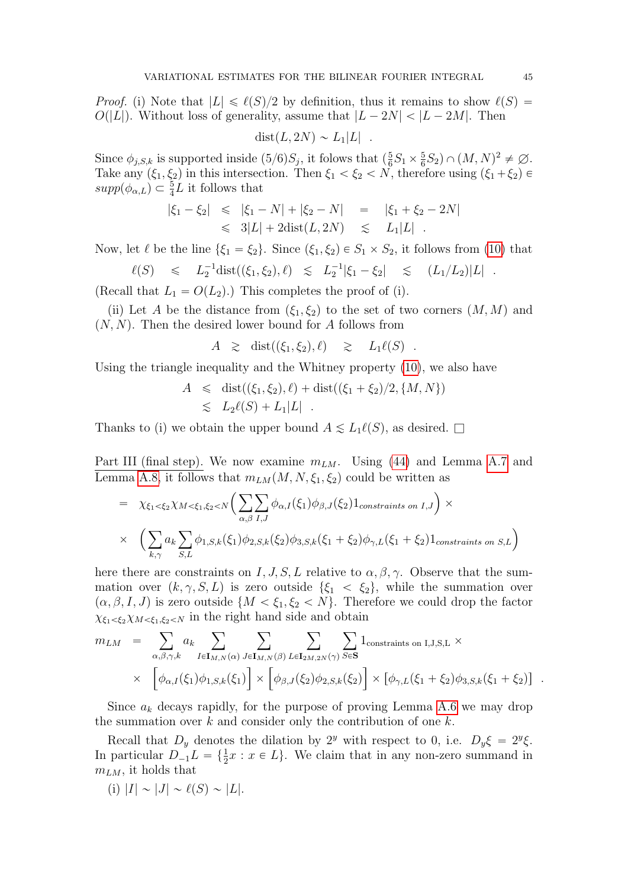*Proof.* (i) Note that  $|L| \leq \ell(S)/2$  by definition, thus it remains to show  $\ell(S)$  =  $O(|L|)$ . Without loss of generality, assume that  $|L - 2N| < |L - 2M|$ . Then

$$
dist(L, 2N) \sim L_1|L| .
$$

Since  $\phi_{j,S,k}$  is supported inside  $(5/6)S_j$ , it folows that  $\left(\frac{5}{6}\right)$  $\frac{5}{6}S_1 \times \frac{5}{6}$  $(\frac{5}{6}S_2) \cap (M,N)^2 \neq \varnothing$ . Take any  $(\xi_1, \xi_2)$  in this intersection. Then  $\xi_1 < \xi_2 < N$ , therefore using  $(\xi_1 + \xi_2) \in$  $supp(\phi_{\alpha,L}) \subset \frac{5}{4}L$  it follows that

$$
|\xi_1 - \xi_2| \leq |\xi_1 - N| + |\xi_2 - N| = |\xi_1 + \xi_2 - 2N|
$$
  

$$
\leq 3|L| + 2\text{dist}(L, 2N) \leq L_1|L|.
$$

Now, let  $\ell$  be the line  $\{\xi_1 = \xi_2\}$ . Since  $(\xi_1, \xi_2) \in S_1 \times S_2$ , it follows from [\(10\)](#page-5-1) that

$$
\ell(S) \leq L_2^{-1} \text{dist}((\xi_1, \xi_2), \ell) \leq L_2^{-1} |\xi_1 - \xi_2| \leq (L_1/L_2)|L|.
$$

(Recall that  $L_1 = O(L_2)$ .) This completes the proof of (i).

(ii) Let A be the distance from  $(\xi_1, \xi_2)$  to the set of two corners  $(M, M)$  and  $(N, N)$ . Then the desired lower bound for A follows from

$$
A \geq \text{dist}((\xi_1, \xi_2), \ell) \geq L_1 \ell(S) .
$$

Using the triangle inequality and the Whitney property [\(10\)](#page-5-1), we also have

$$
A \leq \text{dist}((\xi_1, \xi_2), \ell) + \text{dist}((\xi_1 + \xi_2)/2, \{M, N\})
$$
  

$$
\leq L_2 \ell(S) + L_1 |L|.
$$

Thanks to (i) we obtain the upper bound  $A \leq L_1\ell(S)$ , as desired.  $\square$ 

Part III (final step). We now examine  $m_{LM}$ . Using [\(44\)](#page-42-2) and Lemma [A.7](#page-42-3) and

Lemma A.8, it follows that 
$$
m_{LM}(M, N, \xi_1, \xi_2)
$$
 could be written as  
\n
$$
= \chi_{\xi_1 < \xi_2} \chi_{M < \xi_1, \xi_2 < N} \Big( \sum_{\alpha, \beta} \sum_{I, J} \phi_{\alpha, I}(\xi_1) \phi_{\beta, J}(\xi_2) 1_{constraints on I, J} \Big) \times
$$
\n
$$
\times \Big( \sum_{k, \gamma} a_k \sum_{S, L} \phi_{1, S, k}(\xi_1) \phi_{2, S, k}(\xi_2) \phi_{3, S, k}(\xi_1 + \xi_2) \phi_{\gamma, L}(\xi_1 + \xi_2) 1_{constraints on S, L} \Big)
$$

here there are constraints on I, J, S, L relative to  $\alpha, \beta, \gamma$ . Observe that the summation over  $(k, \gamma, S, L)$  is zero outside  $\{\xi_1 < \xi_2\}$ , while the summation over  $p(\alpha, \beta, I, J)$  is zero outside  $\{M < \xi_1, \xi_2 < N\}$ . Therefore we could drop the factor  $\chi_{\xi_1 < \xi_2} \chi_{M < \xi_1, \xi_2 < N}$  in the right hand side and obtain

$$
m_{LM} = \sum_{\alpha,\beta,\gamma,k} a_k \sum_{I \in \mathbf{I}_{M,N}(\alpha)} \sum_{J \in \mathbf{I}_{M,N}(\beta)} \sum_{L \in \mathbf{I}_{2M,2N}(\gamma)} \sum_{S \in \mathbf{S}} 1_{\text{constraints on I,J,S,L}} \times \times \left[ \phi_{\alpha,I}(\xi_1) \phi_{1,S,k}(\xi_1) \right] \times \left[ \phi_{\beta,J}(\xi_2) \phi_{2,S,k}(\xi_2) \right] \times \left[ \phi_{\gamma,L}(\xi_1 + \xi_2) \phi_{3,S,k}(\xi_1 + \xi_2) \right].
$$

Since  $a_k$  decays rapidly, for the purpose of proving Lemma [A.6](#page-42-1) we may drop the summation over  $k$  and consider only the contribution of one  $k$ .

Recall that  $D_y$  denotes the dilation by  $2^y$  with respect to 0, i.e.  $D_y \xi = 2^y \xi$ . In particular  $D_{-1}L = \{\frac{1}{2}x : x \in L\}$ . We claim that in any non-zero summand in  $m_{LM}$ , it holds that

(i) 
$$
|I| \sim |J| \sim \ell(S) \sim |L|
$$
.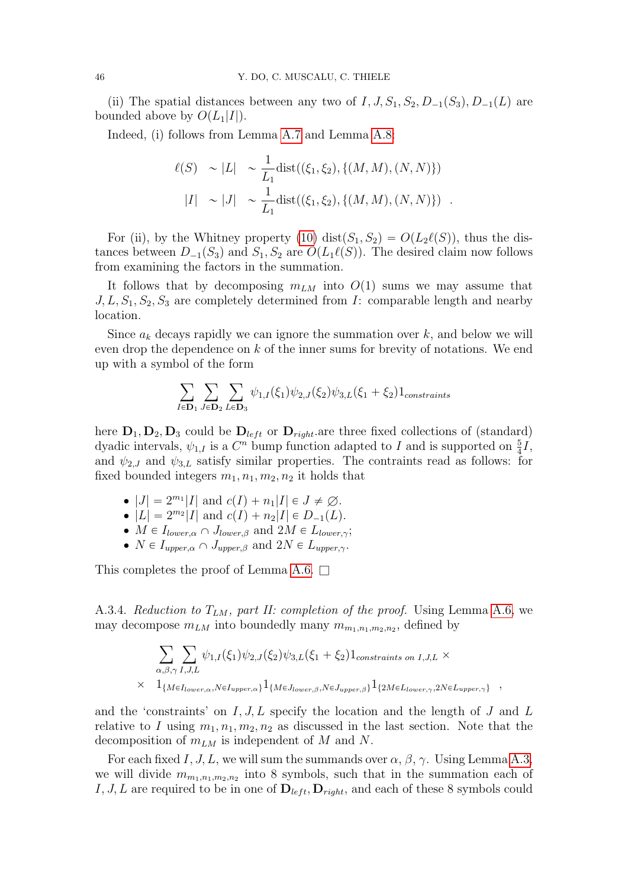(ii) The spatial distances between any two of  $I, J, S_1, S_2, D_{-1}(S_3), D_{-1}(L)$  are bounded above by  $O(L_1|I|)$ .

Indeed, (i) follows from Lemma [A.7](#page-42-3) and Lemma [A.8:](#page-43-1)

$$
\ell(S) \sim |L| \sim \frac{1}{L_1} \text{dist}((\xi_1, \xi_2), \{(M, M), (N, N)\})
$$
  

$$
|I| \sim |J| \sim \frac{1}{L_1} \text{dist}((\xi_1, \xi_2), \{(M, M), (N, N)\}) .
$$

For (ii), by the Whitney property [\(10\)](#page-5-1) dist $(S_1, S_2) = O(L_2\ell(S))$ , thus the distances between  $D_{-1}(S_3)$  and  $S_1, S_2$  are  $O(L_1\ell(S))$ . The desired claim now follows from examining the factors in the summation.

It follows that by decomposing  $m_{LM}$  into  $O(1)$  sums we may assume that  $J, L, S_1, S_2, S_3$  are completely determined from  $I:$  comparable length and nearby location.

Since  $a_k$  decays rapidly we can ignore the summation over  $k$ , and below we will even drop the dependence on k of the inner sums for brevity of notations. We end up with a symbol of the form

$$
\sum_{I \in \mathbf{D}_1} \sum_{J \in \mathbf{D}_2} \sum_{L \in \mathbf{D}_3} \psi_{1,I}(\xi_1) \psi_{2,J}(\xi_2) \psi_{3,L}(\xi_1 + \xi_2) 1_{constraints}
$$

here  $D_1, D_2, D_3$  could be  $D_{left}$  or  $D_{right}$  are three fixed collections of (standard) dyadic intervals,  $\psi_{1,I}$  is a  $C^n$  bump function adapted to I and is supported on  $\frac{5}{4}I$ , and  $\psi_{2,J}$  and  $\psi_{3,L}$  satisfy similar properties. The contraints read as follows: for fixed bounded integers  $m_1, n_1, m_2, n_2$  it holds that

- $|J| = 2^{m_1} |I|$  and  $c(I) + n_1 |I| \in J \neq \emptyset$ .
- $|L| = 2^{m_2} |I|$  and  $c(I) + n_2 |I| \in D_{-1}(L)$ .
- $M \in I_{lower,\alpha} \cap J_{lower,\beta}$  and  $2M \in L_{lower,\gamma}$ ;
- $N \in I_{upper,\alpha} \cap J_{upper,\beta}$  and  $2N \in L_{upper,\gamma}$ .

This completes the proof of Lemma [A.6.](#page-42-1)  $\square$ 

A.3.4. Reduction to  $T_{LM}$ , part II: completion of the proof. Using Lemma [A.6,](#page-42-1) we may decompose  $m_{LM}$  into boundedly many  $m_{m_1,n_1,m_2,n_2}$ , defined by

$$
\sum_{\alpha,\beta,\gamma}\sum_{I,J,L}\psi_{1,I}(\xi_1)\psi_{2,J}(\xi_2)\psi_{3,L}(\xi_1+\xi_2)1_{constraints on I,J,L} \times \times 1_{\{M \in I_{lower,\alpha}, N \in I_{upper,\alpha}\}}1_{\{M \in J_{lower,\beta}, N \in J_{upper,\beta}\}}1_{\{2M \in L_{lower,\gamma}, 2N \in L_{upper,\gamma}\}} ,
$$

and the 'constraints' on  $I, J, L$  specify the location and the length of  $J$  and  $L$ relative to I using  $m_1, n_1, m_2, n_2$  as discussed in the last section. Note that the decomposition of  $m_{LM}$  is independent of M and N.

For each fixed I, J, L, we will sum the summands over  $\alpha$ ,  $\beta$ ,  $\gamma$ . Using Lemma [A.3,](#page-38-0) we will divide  $m_{m_1,n_1,m_2,n_2}$  into 8 symbols, such that in the summation each of I, J, L are required to be in one of  $D_{left}$ ,  $D_{right}$ , and each of these 8 symbols could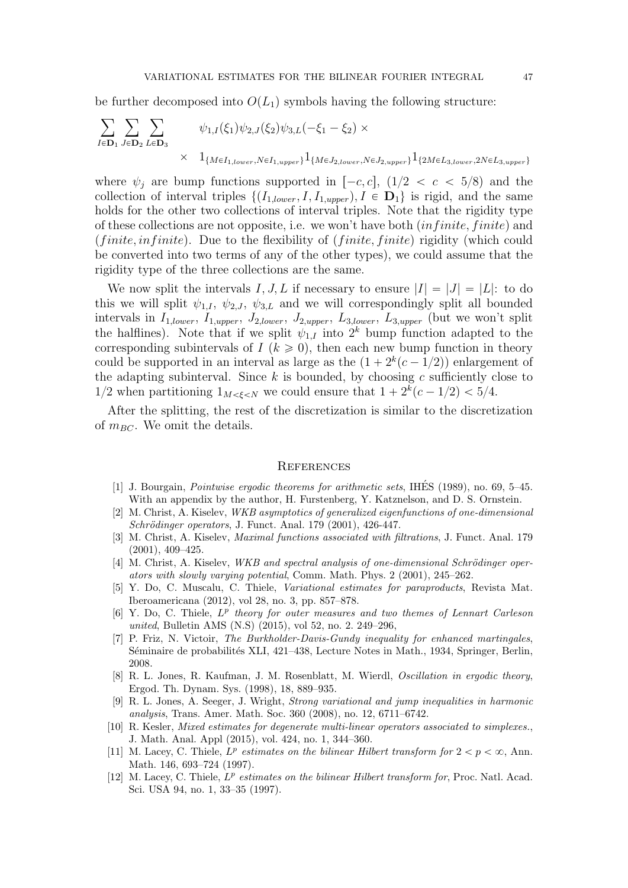be further decomposed into  $O(L_1)$  symbols having the following structure:

$$
\sum_{I \in \mathbf{D}_1} \sum_{J \in \mathbf{D}_2} \sum_{L \in \mathbf{D}_3} \psi_{1,I}(\xi_1) \psi_{2,J}(\xi_2) \psi_{3,L}(-\xi_1 - \xi_2) \times \times 1_{\{M \in I_{1,lower}, N \in I_{1,upper}\}} 1_{\{M \in J_{2,lower}, N \in J_{2,upper}\}} 1_{\{2M \in L_{3,lower}, 2N \in L_{3,upper}\}}
$$

where  $\psi_i$  are bump functions supported in  $[-c, c]$ ,  $(1/2 < c < 5/8)$  and the collection of interval triples  $\{(I_{1,lower}, I, I_{1,upper}), I \in \mathbf{D}_1\}$  is rigid, and the same holds for the other two collections of interval triples. Note that the rigidity type of these collections are not opposite, i.e. we won't have both  $(infinite, finite)$  and  $(finite, infinite)$ . Due to the flexibility of  $(finite, finite)$  rigidity (which could be converted into two terms of any of the other types), we could assume that the rigidity type of the three collections are the same.

We now split the intervals I, J, L if necessary to ensure  $|I| = |J| = |L|$ : to do this we will split  $\psi_{1,I}, \psi_{2,J}, \psi_{3,L}$  and we will correspondingly split all bounded intervals in  $I_{1,lower}, I_{1,upper}, J_{2,lower}, J_{2,upper}, L_{3,lower}, L_{3,upper}$  (but we won't split the halflines). Note that if we split  $\psi_{1,I}$  into  $2^k$  bump function adapted to the corresponding subintervals of  $I (k \ge 0)$ , then each new bump function in theory could be supported in an interval as large as the  $(1 + 2<sup>k</sup>(c - 1/2))$  enlargement of the adapting subinterval. Since  $k$  is bounded, by choosing  $c$  sufficiently close to  $1/2$  when partitioning  $1_{M < \xi < N}$  we could ensure that  $1 + 2^k(c - 1/2) < 5/4$ .

After the splitting, the rest of the discretization is similar to the discretization of  $m_{BC}$ . We omit the details.

#### **REFERENCES**

- <span id="page-46-4"></span>[1] J. Bourgain, *Pointwise ergodic theorems for arithmetic sets*, IHÉS (1989), no. 69, 5–45. With an appendix by the author, H. Furstenberg, Y. Katznelson, and D. S. Ornstein.
- [2] M. Christ, A. Kiselev, WKB asymptotics of generalized eigenfunctions of one-dimensional  $Schrödinger\ operators, J. Funct. Anal. 179 (2001), 426-447.$
- [3] M. Christ, A. Kiselev, *Maximal functions associated with filtrations*, J. Funct. Anal. 179 (2001), 409–425.
- $[4]$  M. Christ, A. Kiselev, *WKB and spectral analysis of one-dimensional Schrödinger oper*ators with slowly varying potential, Comm. Math. Phys. 2 (2001), 245–262.
- <span id="page-46-6"></span>[5] Y. Do, C. Muscalu, C. Thiele, Variational estimates for paraproducts, Revista Mat. Iberoamericana (2012), vol 28, no. 3, pp. 857–878.
- <span id="page-46-3"></span>[6] Y. Do, C. Thiele,  $L^p$  theory for outer measures and two themes of Lennart Carleson united, Bulletin AMS (N.S) (2015), vol 52, no. 2. 249–296,
- [7] P. Friz, N. Victoir, The Burkholder-Davis-Gundy inequality for enhanced martingales, Séminaire de probabilités XLI, 421–438, Lecture Notes in Math., 1934, Springer, Berlin, 2008.
- [8] R. L. Jones, R. Kaufman, J. M. Rosenblatt, M. Wierdl, Oscillation in ergodic theory, Ergod. Th. Dynam. Sys. (1998), 18, 889–935.
- <span id="page-46-5"></span>[9] R. L. Jones, A. Seeger, J. Wright, Strong variational and jump inequalities in harmonic analysis, Trans. Amer. Math. Soc. 360 (2008), no. 12, 6711–6742.
- <span id="page-46-2"></span>[10] R. Kesler, Mixed estimates for degenerate multi-linear operators associated to simplexes., J. Math. Anal. Appl (2015), vol. 424, no. 1, 344–360.
- <span id="page-46-0"></span>[11] M. Lacey, C. Thiele,  $L^p$  estimates on the bilinear Hilbert transform for  $2 < p < \infty$ , Ann. Math. 146, 693–724 (1997).
- <span id="page-46-1"></span>[12] M. Lacey, C. Thiele,  $L^p$  estimates on the bilinear Hilbert transform for, Proc. Natl. Acad. Sci. USA 94, no. 1, 33–35 (1997).